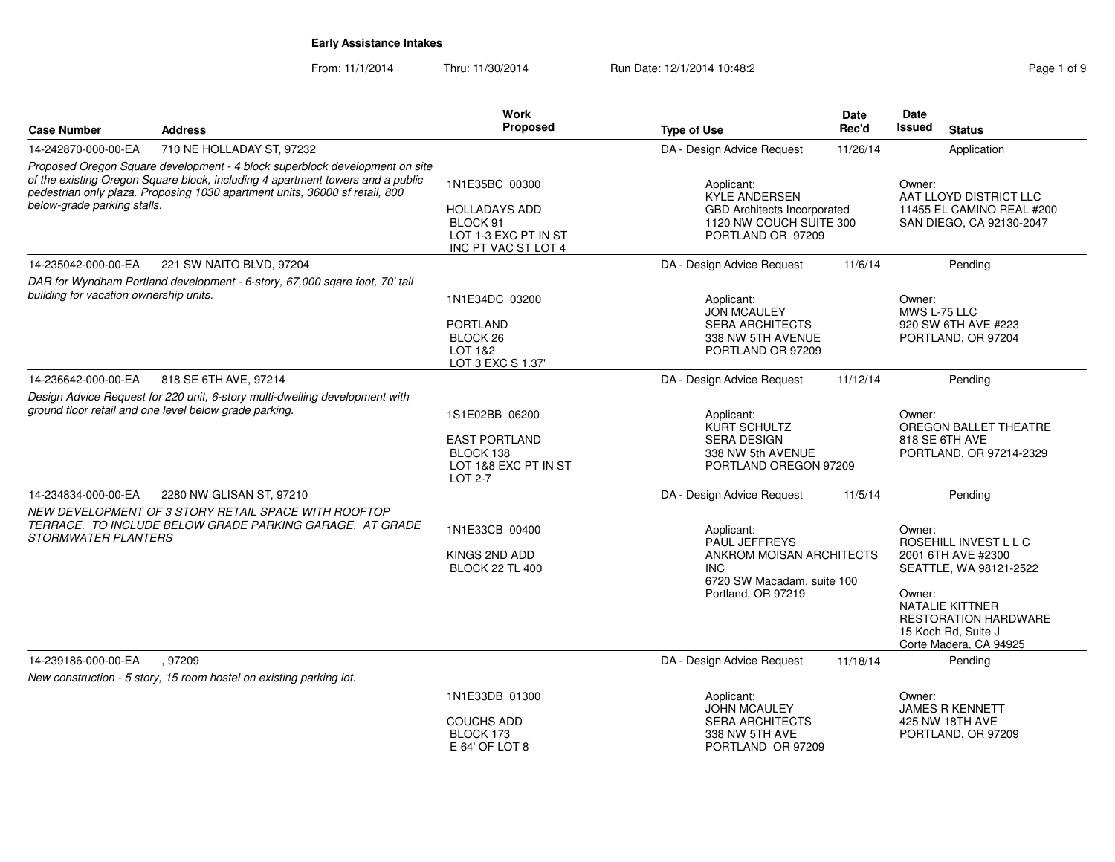From: 11/1/2014

Thru: 11/30/2014 Run Date: 12/1/2014 10:48:2<br>
Page 1 of 9

|                                        |                                                                                                                                                                                                                                              | Work<br><b>Proposed</b>                                                                           |                                                                                                      | Date                                                                                                                                                                            | Date<br>Issued                                                                          |
|----------------------------------------|----------------------------------------------------------------------------------------------------------------------------------------------------------------------------------------------------------------------------------------------|---------------------------------------------------------------------------------------------------|------------------------------------------------------------------------------------------------------|---------------------------------------------------------------------------------------------------------------------------------------------------------------------------------|-----------------------------------------------------------------------------------------|
| <b>Case Number</b>                     | <b>Address</b>                                                                                                                                                                                                                               |                                                                                                   | <b>Type of Use</b>                                                                                   | Rec'd                                                                                                                                                                           | <b>Status</b>                                                                           |
| 14-242870-000-00-EA                    | 710 NE HOLLADAY ST, 97232                                                                                                                                                                                                                    |                                                                                                   | DA - Design Advice Request                                                                           | 11/26/14                                                                                                                                                                        | Application                                                                             |
| below-grade parking stalls.            | Proposed Oregon Square development - 4 block superblock development on site<br>of the existing Oregon Square block, including 4 apartment towers and a public<br>pedestrian only plaza. Proposing 1030 apartment units, 36000 sf retail, 800 | 1N1E35BC 00300<br><b>HOLLADAYS ADD</b><br>BLOCK 91<br>LOT 1-3 EXC PT IN ST<br>INC PT VAC ST LOT 4 | Applicant:<br>KYLE ANDERSEN                                                                          | Owner:<br>AAT LLOYD DISTRICT LLC<br><b>GBD Architects Incorporated</b><br>11455 EL CAMINO REAL #200<br>1120 NW COUCH SUITE 300<br>SAN DIEGO, CA 92130-2047<br>PORTLAND OR 97209 |                                                                                         |
| 14-235042-000-00-EA                    | 221 SW NAITO BLVD, 97204                                                                                                                                                                                                                     |                                                                                                   | DA - Design Advice Request                                                                           | 11/6/14                                                                                                                                                                         | Pending                                                                                 |
| building for vacation ownership units. | DAR for Wyndham Portland development - 6-story, 67,000 sqare foot, 70' tall                                                                                                                                                                  | 1N1E34DC 03200<br><b>PORTLAND</b><br>BLOCK <sub>26</sub><br>LOT 1&2<br>LOT 3 EXC S 1.37'          | Applicant:<br><b>JON MCAULEY</b><br><b>SERA ARCHITECTS</b><br>338 NW 5TH AVENUE<br>PORTLAND OR 97209 |                                                                                                                                                                                 | Owner:<br>MWS L-75 LLC<br>920 SW 6TH AVE #223<br>PORTLAND, OR 97204                     |
| 14-236642-000-00-EA                    | 818 SE 6TH AVE, 97214                                                                                                                                                                                                                        |                                                                                                   | DA - Design Advice Request                                                                           | 11/12/14                                                                                                                                                                        | Pending                                                                                 |
|                                        | Design Advice Request for 220 unit, 6-story multi-dwelling development with<br>ground floor retail and one level below grade parking.                                                                                                        | 1S1E02BB 06200<br><b>EAST PORTLAND</b><br>BLOCK 138<br>LOT 1&8 EXC PT IN ST<br>LOT 2-7            | Applicant:<br>KURT SCHULTZ<br><b>SERA DESIGN</b><br>338 NW 5th AVENUE<br>PORTLAND OREGON 97209       |                                                                                                                                                                                 | Owner:<br>OREGON BALLET THEATRE<br>818 SE 6TH AVE<br>PORTLAND, OR 97214-2329            |
| 14-234834-000-00-EA                    | 2280 NW GLISAN ST, 97210                                                                                                                                                                                                                     |                                                                                                   | DA - Design Advice Request                                                                           | 11/5/14                                                                                                                                                                         | Pending                                                                                 |
| STORMWATER PLANTERS                    | NEW DEVELOPMENT OF 3 STORY RETAIL SPACE WITH ROOFTOP<br>TERRACE. TO INCLUDE BELOW GRADE PARKING GARAGE. AT GRADE                                                                                                                             | 1N1E33CB 00400<br>KINGS 2ND ADD<br><b>BLOCK 22 TL 400</b>                                         | Applicant:<br>PAUL JEFFREYS<br><b>INC</b><br>Portland, OR 97219                                      | ANKROM MOISAN ARCHITECTS<br>6720 SW Macadam, suite 100                                                                                                                          |                                                                                         |
| 14-239186-000-00-EA                    | , 97209                                                                                                                                                                                                                                      |                                                                                                   | DA - Design Advice Request                                                                           | 11/18/14                                                                                                                                                                        | <b>RESTORATION HARDWARE</b><br>15 Koch Rd, Suite J<br>Corte Madera, CA 94925<br>Pending |
|                                        | New construction - 5 story, 15 room hostel on existing parking lot.                                                                                                                                                                          |                                                                                                   |                                                                                                      |                                                                                                                                                                                 |                                                                                         |
|                                        |                                                                                                                                                                                                                                              | 1N1E33DB 01300<br><b>COUCHS ADD</b><br>BLOCK 173<br>E 64' OF LOT 8                                | Applicant:<br><b>JOHN MCAULEY</b><br><b>SERA ARCHITECTS</b><br>338 NW 5TH AVE<br>PORTLAND OR 97209   |                                                                                                                                                                                 | Owner:<br><b>JAMES R KENNETT</b><br>425 NW 18TH AVE<br>PORTLAND, OR 97209               |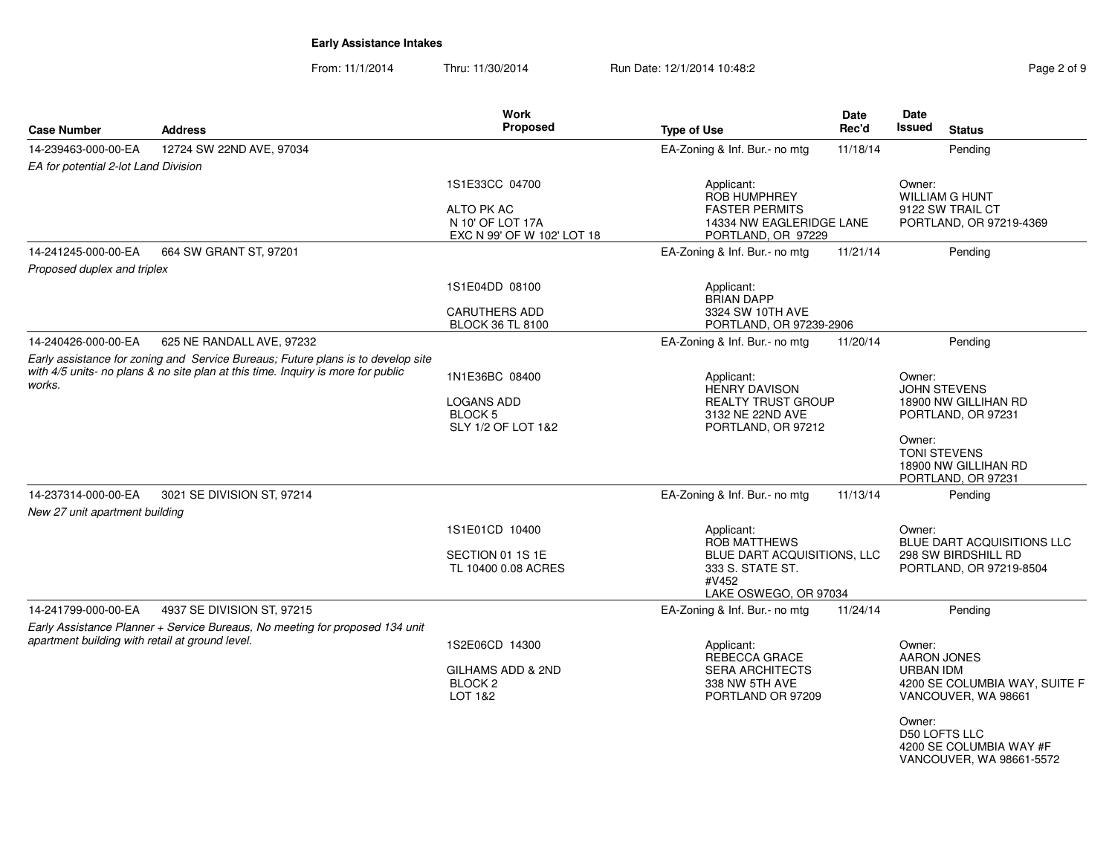From: 11/1/2014Thru: 11/30/2014 Run Date: 12/1/2014 10:48:2<br>
Page 2 of 9

|                                                 |                                                                                                                                                                      | <b>Work</b>                                                   |                                                                         | Date     | <b>Date</b>                                                                    |
|-------------------------------------------------|----------------------------------------------------------------------------------------------------------------------------------------------------------------------|---------------------------------------------------------------|-------------------------------------------------------------------------|----------|--------------------------------------------------------------------------------|
| <b>Case Number</b>                              | <b>Address</b>                                                                                                                                                       | Proposed                                                      | <b>Type of Use</b>                                                      | Rec'd    | <b>Issued</b><br><b>Status</b>                                                 |
| 14-239463-000-00-EA                             | 12724 SW 22ND AVE, 97034                                                                                                                                             |                                                               | EA-Zoning & Inf. Bur.- no mtg                                           | 11/18/14 | Pending                                                                        |
| EA for potential 2-lot Land Division            |                                                                                                                                                                      |                                                               |                                                                         |          |                                                                                |
|                                                 |                                                                                                                                                                      | 1S1E33CC 04700                                                | Applicant:<br><b>ROB HUMPHREY</b>                                       |          | Owner:<br><b>WILLIAM G HUNT</b>                                                |
|                                                 |                                                                                                                                                                      | ALTO PK AC<br>N 10' OF LOT 17A<br>EXC N 99' OF W 102' LOT 18  | <b>FASTER PERMITS</b><br>14334 NW EAGLERIDGE LANE<br>PORTLAND, OR 97229 |          | 9122 SW TRAIL CT<br>PORTLAND, OR 97219-4369                                    |
| 14-241245-000-00-EA                             | 664 SW GRANT ST, 97201                                                                                                                                               |                                                               | EA-Zoning & Inf. Bur.- no mtg                                           | 11/21/14 | Pending                                                                        |
| Proposed duplex and triplex                     |                                                                                                                                                                      |                                                               |                                                                         |          |                                                                                |
|                                                 |                                                                                                                                                                      | 1S1E04DD 08100                                                | Applicant:<br><b>BRIAN DAPP</b>                                         |          |                                                                                |
|                                                 |                                                                                                                                                                      | <b>CARUTHERS ADD</b><br><b>BLOCK 36 TL 8100</b>               | 3324 SW 10TH AVE<br>PORTLAND, OR 97239-2906                             |          |                                                                                |
| 14-240426-000-00-EA                             | 625 NE RANDALL AVE, 97232                                                                                                                                            |                                                               | EA-Zoning & Inf. Bur.- no mtg                                           | 11/20/14 | Pending                                                                        |
|                                                 | Early assistance for zoning and Service Bureaus; Future plans is to develop site<br>with 4/5 units- no plans & no site plan at this time. Inquiry is more for public |                                                               |                                                                         |          |                                                                                |
| works.                                          |                                                                                                                                                                      | 1N1E36BC 08400                                                | Applicant:<br><b>HENRY DAVISON</b>                                      |          | Owner:<br><b>JOHN STEVENS</b>                                                  |
|                                                 |                                                                                                                                                                      | <b>LOGANS ADD</b><br>BLOCK <sub>5</sub><br>SLY 1/2 OF LOT 1&2 | <b>REALTY TRUST GROUP</b><br>3132 NE 22ND AVE<br>PORTLAND, OR 97212     |          | 18900 NW GILLIHAN RD<br>PORTLAND, OR 97231                                     |
|                                                 |                                                                                                                                                                      |                                                               |                                                                         |          | Owner:                                                                         |
|                                                 |                                                                                                                                                                      |                                                               |                                                                         |          | <b>TONI STEVENS</b><br>18900 NW GILLIHAN RD<br>PORTLAND, OR 97231              |
| 14-237314-000-00-EA                             | 3021 SE DIVISION ST, 97214                                                                                                                                           |                                                               | EA-Zoning & Inf. Bur.- no mtg                                           | 11/13/14 | Pending                                                                        |
| New 27 unit apartment building                  |                                                                                                                                                                      |                                                               |                                                                         |          |                                                                                |
|                                                 |                                                                                                                                                                      | 1S1E01CD 10400                                                | Applicant:<br><b>ROB MATTHEWS</b>                                       |          | Owner:<br>BLUE DART ACQUISITIONS LLC                                           |
|                                                 |                                                                                                                                                                      | SECTION 01 1S 1E<br>TL 10400 0.08 ACRES                       | BLUE DART ACQUISITIONS, LLC<br>333 S. STATE ST.                         |          | 298 SW BIRDSHILL RD<br>PORTLAND, OR 97219-8504                                 |
|                                                 |                                                                                                                                                                      |                                                               | #V452<br>LAKE OSWEGO, OR 97034                                          |          |                                                                                |
| 14-241799-000-00-EA                             | 4937 SE DIVISION ST, 97215                                                                                                                                           |                                                               | EA-Zoning & Inf. Bur.- no mtg                                           | 11/24/14 | Pending                                                                        |
|                                                 | Early Assistance Planner + Service Bureaus, No meeting for proposed 134 unit                                                                                         |                                                               |                                                                         |          |                                                                                |
| apartment building with retail at ground level. |                                                                                                                                                                      | 1S2E06CD 14300                                                | Applicant:<br>REBECCA GRACE                                             |          | Owner:<br><b>AARON JONES</b>                                                   |
|                                                 |                                                                                                                                                                      | GILHAMS ADD & 2ND<br>BLOCK <sub>2</sub><br>LOT 1&2            | <b>SERA ARCHITECTS</b><br>338 NW 5TH AVE<br>PORTLAND OR 97209           |          | <b>URBAN IDM</b><br>4200 SE COLUMBIA WAY, SUITE F<br>VANCOUVER, WA 98661       |
|                                                 |                                                                                                                                                                      |                                                               |                                                                         |          | Owner:<br>D50 LOFTS LLC<br>4200 SE COLUMBIA WAY #F<br>VANCOUVER, WA 98661-5572 |
|                                                 |                                                                                                                                                                      |                                                               |                                                                         |          |                                                                                |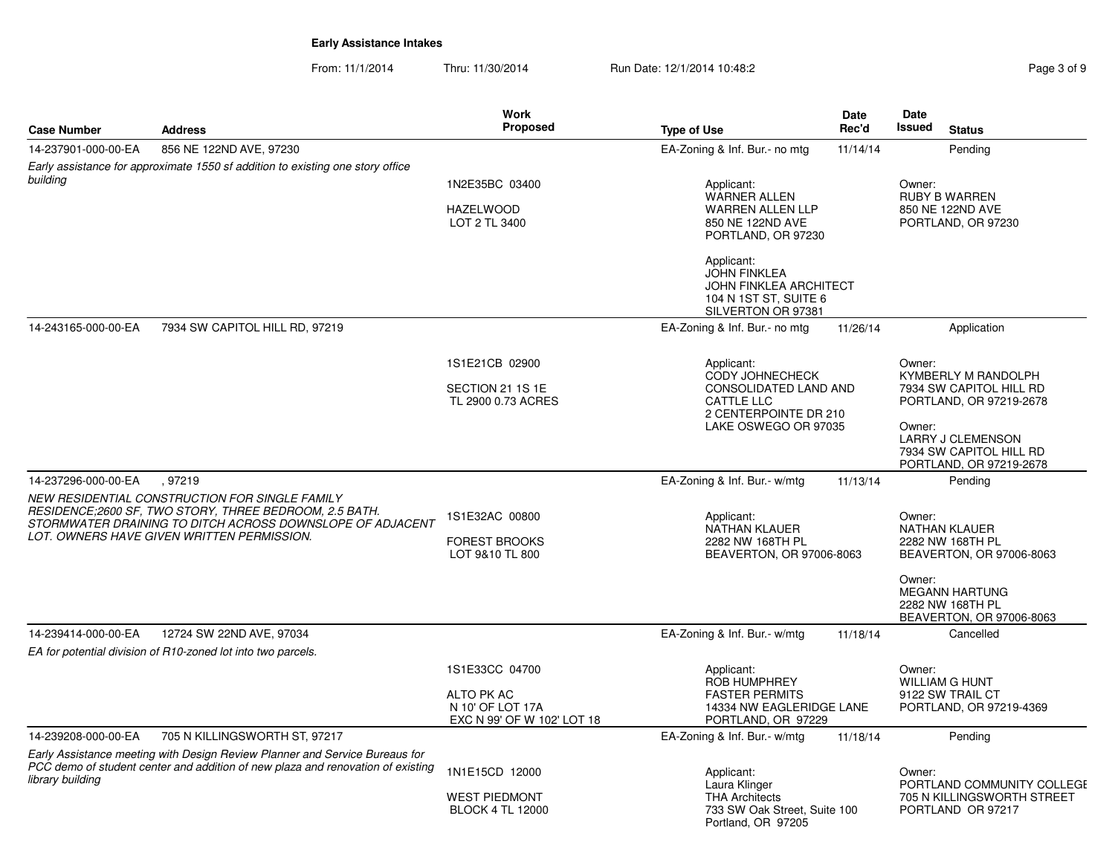From: 11/1/2014Thru: 11/30/2014 Run Date: 12/1/2014 10:48:2<br>
Page 3 of 9

|                     |                                                                                                          | <b>Work</b>                                    |                                                     | <b>Date</b> | Date                                                     |
|---------------------|----------------------------------------------------------------------------------------------------------|------------------------------------------------|-----------------------------------------------------|-------------|----------------------------------------------------------|
| <b>Case Number</b>  | <b>Address</b>                                                                                           | Proposed                                       | <b>Type of Use</b>                                  | Rec'd       | Issued<br><b>Status</b>                                  |
| 14-237901-000-00-EA | 856 NE 122ND AVE, 97230                                                                                  |                                                | EA-Zoning & Inf. Bur.- no mtg                       | 11/14/14    | Pending                                                  |
| building            | Early assistance for approximate 1550 sf addition to existing one story office                           |                                                |                                                     |             |                                                          |
|                     |                                                                                                          | 1N2E35BC 03400                                 | Applicant:<br><b>WARNER ALLEN</b>                   |             | Owner:<br><b>RUBY B WARREN</b>                           |
|                     |                                                                                                          | <b>HAZELWOOD</b>                               | <b>WARREN ALLEN LLP</b>                             |             | 850 NE 122ND AVE                                         |
|                     |                                                                                                          | LOT 2 TL 3400                                  | 850 NE 122ND AVE<br>PORTLAND, OR 97230              |             | PORTLAND, OR 97230                                       |
|                     |                                                                                                          |                                                |                                                     |             |                                                          |
|                     |                                                                                                          |                                                | Applicant:<br><b>JOHN FINKLEA</b>                   |             |                                                          |
|                     |                                                                                                          |                                                | <b>JOHN FINKLEA ARCHITECT</b>                       |             |                                                          |
|                     |                                                                                                          |                                                | 104 N 1ST ST, SUITE 6                               |             |                                                          |
| 14-243165-000-00-EA | 7934 SW CAPITOL HILL RD, 97219                                                                           |                                                | SILVERTON OR 97381<br>EA-Zoning & Inf. Bur.- no mtg | 11/26/14    | Application                                              |
|                     |                                                                                                          |                                                |                                                     |             |                                                          |
|                     |                                                                                                          | 1S1E21CB 02900                                 | Applicant:                                          |             | Owner:                                                   |
|                     |                                                                                                          |                                                | <b>CODY JOHNECHECK</b>                              |             | KYMBERLY M RANDOLPH                                      |
|                     |                                                                                                          | SECTION 21 1S 1E<br>TL 2900 0.73 ACRES         | CONSOLIDATED LAND AND<br><b>CATTLE LLC</b>          |             | 7934 SW CAPITOL HILL RD<br>PORTLAND, OR 97219-2678       |
|                     |                                                                                                          |                                                | 2 CENTERPOINTE DR 210                               |             |                                                          |
|                     |                                                                                                          |                                                | LAKE OSWEGO OR 97035                                |             | Owner:<br><b>LARRY J CLEMENSON</b>                       |
|                     |                                                                                                          |                                                |                                                     |             | 7934 SW CAPITOL HILL RD                                  |
|                     |                                                                                                          |                                                |                                                     |             | PORTLAND, OR 97219-2678                                  |
| 14-237296-000-00-EA | .97219                                                                                                   |                                                | EA-Zoning & Inf. Bur.- w/mtg                        | 11/13/14    | Pending                                                  |
|                     | NEW RESIDENTIAL CONSTRUCTION FOR SINGLE FAMILY<br>RESIDENCE;2600 SF, TWO STORY, THREE BEDROOM, 2.5 BATH. |                                                |                                                     |             | Owner:                                                   |
|                     | STORMWATER DRAINING TO DITCH ACROSS DOWNSLOPE OF ADJACENT                                                | 1S1E32AC 00800                                 | Applicant:<br><b>NATHAN KLAUER</b>                  |             | <b>NATHAN KLAUER</b>                                     |
|                     | LOT. OWNERS HAVE GIVEN WRITTEN PERMISSION.                                                               | <b>FOREST BROOKS</b>                           | 2282 NW 168TH PL                                    |             | 2282 NW 168TH PL                                         |
|                     |                                                                                                          | LOT 9&10 TL 800                                | BEAVERTON, OR 97006-8063                            |             | BEAVERTON, OR 97006-8063                                 |
|                     |                                                                                                          |                                                |                                                     |             | Owner:                                                   |
|                     |                                                                                                          |                                                |                                                     |             | <b>MEGANN HARTUNG</b><br>2282 NW 168TH PL                |
|                     |                                                                                                          |                                                |                                                     |             | BEAVERTON, OR 97006-8063                                 |
| 14-239414-000-00-EA | 12724 SW 22ND AVE, 97034                                                                                 |                                                | EA-Zoning & Inf. Bur.- w/mtg                        | 11/18/14    | Cancelled                                                |
|                     | EA for potential division of R10-zoned lot into two parcels.                                             |                                                |                                                     |             |                                                          |
|                     |                                                                                                          | 1S1E33CC 04700                                 | Applicant:<br><b>ROB HUMPHREY</b>                   |             | Owner:<br><b>WILLIAM G HUNT</b>                          |
|                     |                                                                                                          | ALTO PK AC                                     | <b>FASTER PERMITS</b>                               |             | 9122 SW TRAIL CT                                         |
|                     |                                                                                                          | N 10' OF LOT 17A<br>EXC N 99' OF W 102' LOT 18 | 14334 NW EAGLERIDGE LANE<br>PORTLAND, OR 97229      |             | PORTLAND, OR 97219-4369                                  |
| 14-239208-000-00-EA | 705 N KILLINGSWORTH ST, 97217                                                                            |                                                | EA-Zoning & Inf. Bur.- w/mtg                        | 11/18/14    | Pending                                                  |
|                     | Early Assistance meeting with Design Review Planner and Service Bureaus for                              |                                                |                                                     |             |                                                          |
|                     | PCC demo of student center and addition of new plaza and renovation of existing                          | 1N1E15CD 12000                                 | Applicant:                                          |             | Owner:                                                   |
| library building    |                                                                                                          | <b>WEST PIEDMONT</b>                           | Laura Klinger<br><b>THA Architects</b>              |             | PORTLAND COMMUNITY COLLEGE<br>705 N KILLINGSWORTH STREET |
|                     |                                                                                                          | <b>BLOCK 4 TL 12000</b>                        | 733 SW Oak Street, Suite 100<br>Portland, OR 97205  |             | PORTLAND OR 97217                                        |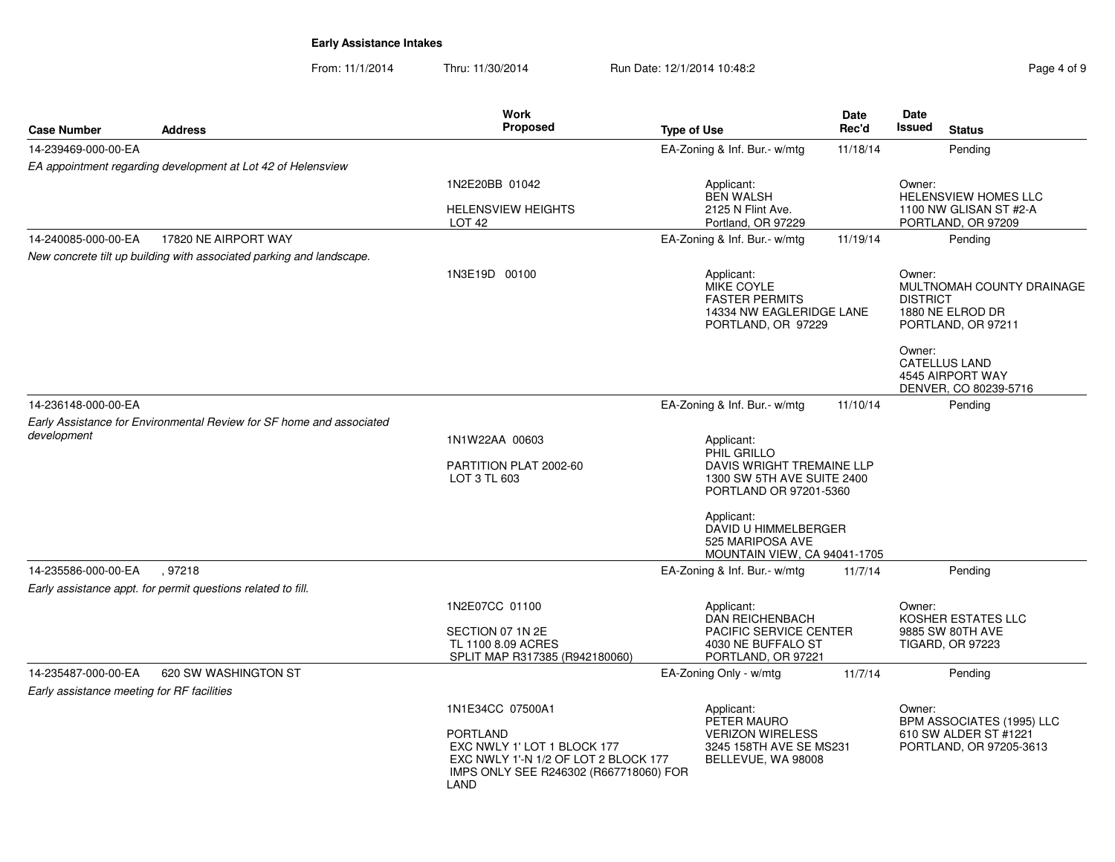From: 11/1/2014Thru: 11/30/2014 Run Date: 12/1/2014 10:48:2<br> **Page 4 of 9** 

| Case Number                                | <b>Address</b>                                                       | <b>Work</b><br><b>Proposed</b>                                                                                                           | <b>Type of Use</b>           |                                                                                                                                  | Date<br>Rec'd | Date<br>Issued                                                      | <b>Status</b>                                                     |
|--------------------------------------------|----------------------------------------------------------------------|------------------------------------------------------------------------------------------------------------------------------------------|------------------------------|----------------------------------------------------------------------------------------------------------------------------------|---------------|---------------------------------------------------------------------|-------------------------------------------------------------------|
| 14-239469-000-00-EA                        |                                                                      |                                                                                                                                          | EA-Zoning & Inf. Bur.- w/mtg |                                                                                                                                  | 11/18/14      |                                                                     | Pending                                                           |
|                                            | EA appointment regarding development at Lot 42 of Helensview         |                                                                                                                                          |                              |                                                                                                                                  |               |                                                                     |                                                                   |
|                                            |                                                                      | 1N2E20BB 01042                                                                                                                           |                              | Applicant:<br><b>BEN WALSH</b>                                                                                                   |               | Owner:                                                              | <b>HELENSVIEW HOMES LLC</b>                                       |
|                                            |                                                                      | <b>HELENSVIEW HEIGHTS</b><br>LOT <sub>42</sub>                                                                                           |                              | 2125 N Flint Ave.<br>Portland, OR 97229                                                                                          |               |                                                                     | 1100 NW GLISAN ST #2-A<br>PORTLAND, OR 97209                      |
| 14-240085-000-00-EA                        | 17820 NE AIRPORT WAY                                                 |                                                                                                                                          | EA-Zoning & Inf. Bur.- w/mtg |                                                                                                                                  | 11/19/14      |                                                                     | Pending                                                           |
|                                            | New concrete tilt up building with associated parking and landscape. |                                                                                                                                          |                              |                                                                                                                                  |               |                                                                     |                                                                   |
|                                            |                                                                      | 1N3E19D 00100                                                                                                                            |                              | Applicant:<br>Owner:<br>MIKE COYLE<br><b>FASTER PERMITS</b><br><b>DISTRICT</b><br>14334 NW EAGLERIDGE LANE<br>PORTLAND, OR 97229 |               | MULTNOMAH COUNTY DRAINAGE<br>1880 NE ELROD DR<br>PORTLAND, OR 97211 |                                                                   |
|                                            |                                                                      |                                                                                                                                          |                              |                                                                                                                                  |               | Owner:                                                              | <b>CATELLUS LAND</b><br>4545 AIRPORT WAY<br>DENVER, CO 80239-5716 |
| 14-236148-000-00-EA                        |                                                                      |                                                                                                                                          | EA-Zoning & Inf. Bur.- w/mtg |                                                                                                                                  | 11/10/14      |                                                                     | Pendina                                                           |
|                                            | Early Assistance for Environmental Review for SF home and associated |                                                                                                                                          |                              |                                                                                                                                  |               |                                                                     |                                                                   |
| development                                |                                                                      | 1N1W22AA 00603                                                                                                                           | Applicant:                   |                                                                                                                                  |               |                                                                     |                                                                   |
|                                            |                                                                      | PARTITION PLAT 2002-60<br>LOT 3 TL 603                                                                                                   | PHIL GRILLO                  | DAVIS WRIGHT TREMAINE LLP<br>1300 SW 5TH AVE SUITE 2400<br>PORTLAND OR 97201-5360                                                |               |                                                                     |                                                                   |
|                                            |                                                                      |                                                                                                                                          | Applicant:                   | DAVID U HIMMELBERGER<br>525 MARIPOSA AVE<br>MOUNTAIN VIEW, CA 94041-1705                                                         |               |                                                                     |                                                                   |
| 14-235586-000-00-EA                        | .97218                                                               |                                                                                                                                          | EA-Zoning & Inf. Bur.- w/mtg |                                                                                                                                  | 11/7/14       |                                                                     | Pending                                                           |
|                                            | Early assistance appt. for permit questions related to fill.         |                                                                                                                                          |                              |                                                                                                                                  |               |                                                                     |                                                                   |
|                                            |                                                                      | 1N2E07CC 01100                                                                                                                           | Applicant:                   | <b>DAN REICHENBACH</b>                                                                                                           |               | Owner:                                                              | KOSHER ESTATES LLC                                                |
|                                            |                                                                      | SECTION 07 1N 2E<br>TL 1100 8.09 ACRES<br>SPLIT MAP R317385 (R942180060)                                                                 |                              | PACIFIC SERVICE CENTER<br>4030 NE BUFFALO ST<br>PORTLAND, OR 97221                                                               |               |                                                                     | 9885 SW 80TH AVE<br>TIGARD, OR 97223                              |
| 14-235487-000-00-EA                        | 620 SW WASHINGTON ST                                                 |                                                                                                                                          | EA-Zoning Only - w/mtg       |                                                                                                                                  | 11/7/14       |                                                                     | Pending                                                           |
| Early assistance meeting for RF facilities |                                                                      |                                                                                                                                          |                              |                                                                                                                                  |               |                                                                     |                                                                   |
|                                            |                                                                      | 1N1E34CC 07500A1                                                                                                                         | Applicant:                   | PETER MAURO                                                                                                                      |               | Owner:                                                              | BPM ASSOCIATES (1995) LLC                                         |
|                                            |                                                                      | <b>PORTLAND</b><br>EXC NWLY 1' LOT 1 BLOCK 177<br>EXC NWLY 1'-N 1/2 OF LOT 2 BLOCK 177<br>IMPS ONLY SEE R246302 (R667718060) FOR<br>LAND |                              | <b>VERIZON WIRELESS</b><br>3245 158TH AVE SE MS231<br>BELLEVUE, WA 98008                                                         |               |                                                                     | 610 SW ALDER ST #1221<br>PORTLAND, OR 97205-3613                  |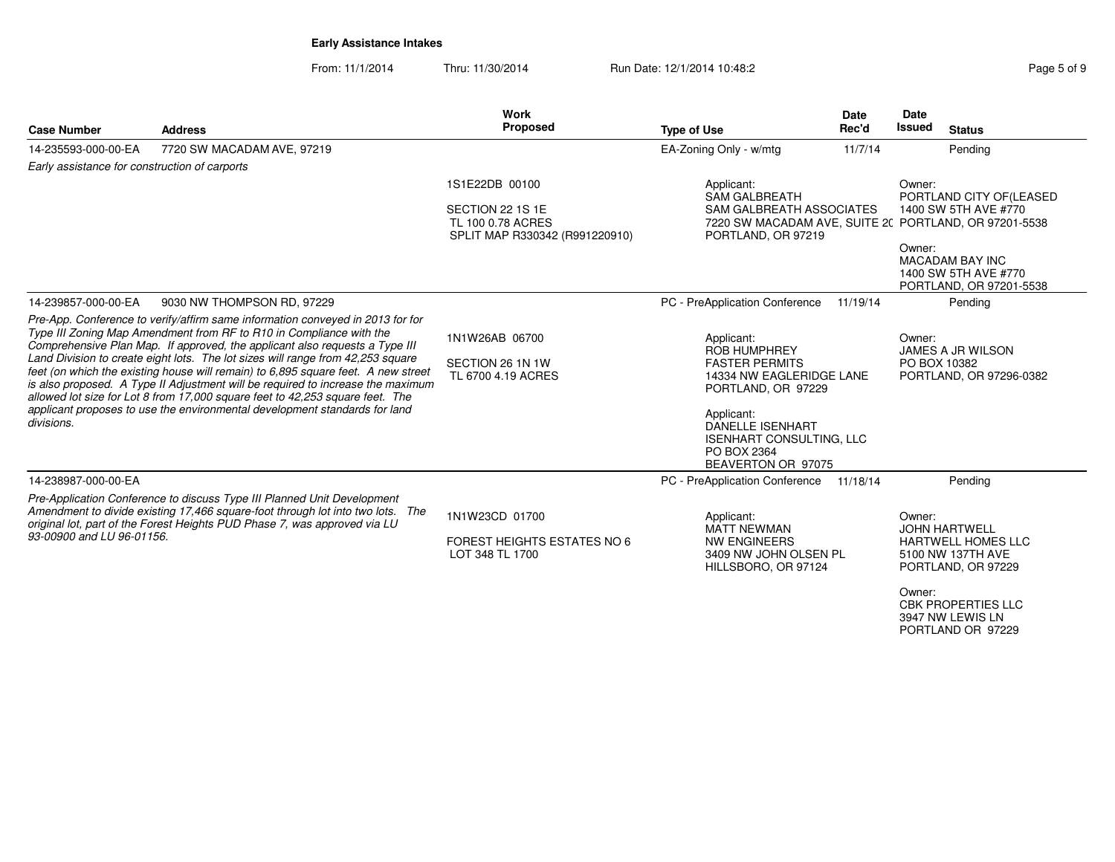From: 11/1/2014Thru: 11/30/2014 Run Date: 12/1/2014 10:48:28 Page 5 of 9

| Page 5 of 9 |  |  |  |  |
|-------------|--|--|--|--|
|-------------|--|--|--|--|

| <b>Case Number</b>                            | <b>Address</b>                                                                                                                                                                                                                                                                                                                                                                                                                                                                                                                                                                                                                                                 | <b>Work</b><br>Proposed                                                                   | <b>Type of Use</b>                                                                                                                                                                                                            | Date<br>Rec'd | <b>Date</b><br><b>Issued</b> | <b>Status</b>                                                                                                                                                      |
|-----------------------------------------------|----------------------------------------------------------------------------------------------------------------------------------------------------------------------------------------------------------------------------------------------------------------------------------------------------------------------------------------------------------------------------------------------------------------------------------------------------------------------------------------------------------------------------------------------------------------------------------------------------------------------------------------------------------------|-------------------------------------------------------------------------------------------|-------------------------------------------------------------------------------------------------------------------------------------------------------------------------------------------------------------------------------|---------------|------------------------------|--------------------------------------------------------------------------------------------------------------------------------------------------------------------|
| 14-235593-000-00-EA                           | 7720 SW MACADAM AVE, 97219                                                                                                                                                                                                                                                                                                                                                                                                                                                                                                                                                                                                                                     |                                                                                           | EA-Zoning Only - w/mtg                                                                                                                                                                                                        | 11/7/14       |                              | Pending                                                                                                                                                            |
| Early assistance for construction of carports |                                                                                                                                                                                                                                                                                                                                                                                                                                                                                                                                                                                                                                                                |                                                                                           |                                                                                                                                                                                                                               |               |                              |                                                                                                                                                                    |
|                                               |                                                                                                                                                                                                                                                                                                                                                                                                                                                                                                                                                                                                                                                                | 1S1E22DB 00100<br>SECTION 22 1S 1E<br>TL 100 0.78 ACRES<br>SPLIT MAP R330342 (R991220910) | Applicant:<br><b>SAM GALBREATH</b><br>SAM GALBREATH ASSOCIATES<br>7220 SW MACADAM AVE, SUITE 2( PORTLAND, OR 97201-5538<br>PORTLAND, OR 97219                                                                                 |               | Owner:<br>Owner:             | PORTLAND CITY OF(LEASED<br>1400 SW 5TH AVE #770<br><b>MACADAM BAY INC</b><br>1400 SW 5TH AVE #770                                                                  |
| 14-239857-000-00-EA                           | 9030 NW THOMPSON RD, 97229                                                                                                                                                                                                                                                                                                                                                                                                                                                                                                                                                                                                                                     |                                                                                           | PC - PreApplication Conference                                                                                                                                                                                                | 11/19/14      |                              | PORTLAND, OR 97201-5538<br>Pending                                                                                                                                 |
| divisions.                                    | Pre-App. Conference to verify/affirm same information conveyed in 2013 for for<br>Type III Zoning Map Amendment from RF to R10 in Compliance with the<br>Comprehensive Plan Map. If approved, the applicant also requests a Type III<br>Land Division to create eight lots. The lot sizes will range from 42,253 square<br>feet (on which the existing house will remain) to 6,895 square feet. A new street<br>is also proposed. A Type II Adjustment will be required to increase the maximum<br>allowed lot size for Lot 8 from 17,000 square feet to 42,253 square feet. The<br>applicant proposes to use the environmental development standards for land | 1N1W26AB 06700<br>SECTION 26 1N 1W<br>TL 6700 4.19 ACRES                                  | Applicant:<br><b>ROB HUMPHREY</b><br><b>FASTER PERMITS</b><br>14334 NW EAGLERIDGE LANE<br>PORTLAND, OR 97229<br>Applicant:<br><b>DANELLE ISENHART</b><br><b>ISENHART CONSULTING, LLC</b><br>PO BOX 2364<br>BEAVERTON OR 97075 |               | Owner:<br>PO BOX 10382       | <b>JAMES A JR WILSON</b><br>PORTLAND, OR 97296-0382                                                                                                                |
| 14-238987-000-00-EA                           |                                                                                                                                                                                                                                                                                                                                                                                                                                                                                                                                                                                                                                                                |                                                                                           | PC - PreApplication Conference 11/18/14                                                                                                                                                                                       |               |                              | Pending                                                                                                                                                            |
| 93-00900 and LU 96-01156.                     | Pre-Application Conference to discuss Type III Planned Unit Development<br>Amendment to divide existing 17,466 square-foot through lot into two lots. The<br>original lot, part of the Forest Heights PUD Phase 7, was approved via LU                                                                                                                                                                                                                                                                                                                                                                                                                         | 1N1W23CD 01700<br><b>FOREST HEIGHTS ESTATES NO 6</b><br>LOT 348 TL 1700                   | Applicant:<br><b>MATT NEWMAN</b><br>NW ENGINEERS<br>3409 NW JOHN OLSEN PL<br>HILLSBORO, OR 97124                                                                                                                              |               | Owner:<br>Owner:             | <b>JOHN HARTWELL</b><br><b>HARTWELL HOMES LLC</b><br>5100 NW 137TH AVE<br>PORTLAND, OR 97229<br><b>CBK PROPERTIES LLC</b><br>3947 NW LEWIS LN<br>PORTLAND OR 97229 |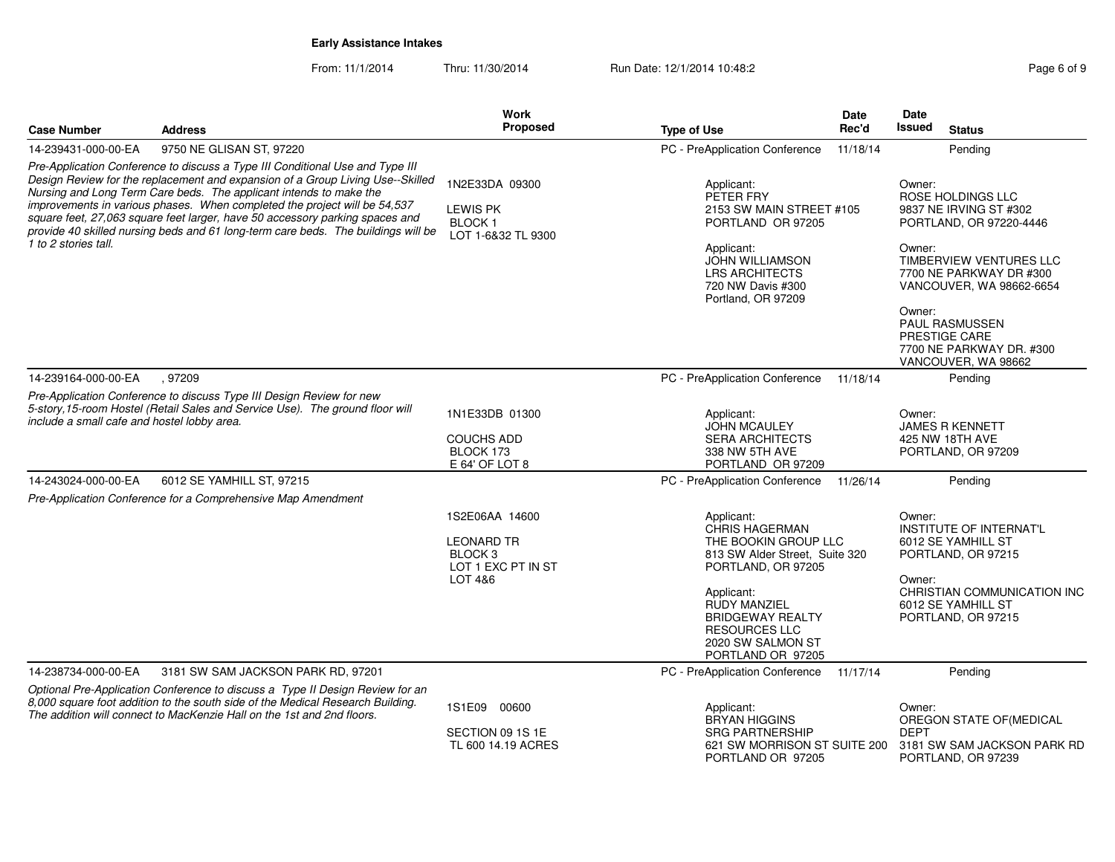From: 11/1/2014Thru: 11/30/2014 Run Date: 12/1/2014 10:48:2<br> **Page 6 of 9** 

| <b>Case Number</b>                                                                                                                                                                                                                                                                                                                                                                                                             | <b>Address</b>                                                                                                                                                                                                                            | Work<br>Proposed                                                                | <b>Type of Use</b>                                                                                                             | Date<br>Rec'd | Date<br>Issued | <b>Status</b>                                                                             |
|--------------------------------------------------------------------------------------------------------------------------------------------------------------------------------------------------------------------------------------------------------------------------------------------------------------------------------------------------------------------------------------------------------------------------------|-------------------------------------------------------------------------------------------------------------------------------------------------------------------------------------------------------------------------------------------|---------------------------------------------------------------------------------|--------------------------------------------------------------------------------------------------------------------------------|---------------|----------------|-------------------------------------------------------------------------------------------|
| 14-239431-000-00-EA                                                                                                                                                                                                                                                                                                                                                                                                            | 9750 NE GLISAN ST, 97220                                                                                                                                                                                                                  |                                                                                 | PC - PreApplication Conference                                                                                                 | 11/18/14      |                | Pending                                                                                   |
|                                                                                                                                                                                                                                                                                                                                                                                                                                | Pre-Application Conference to discuss a Type III Conditional Use and Type III                                                                                                                                                             |                                                                                 |                                                                                                                                |               |                |                                                                                           |
| Design Review for the replacement and expansion of a Group Living Use--Skilled<br>Nursing and Long Term Care beds. The applicant intends to make the<br>improvements in various phases. When completed the project will be 54,537<br>square feet, 27,063 square feet larger, have 50 accessory parking spaces and<br>provide 40 skilled nursing beds and 61 long-term care beds. The buildings will be<br>1 to 2 stories tall. |                                                                                                                                                                                                                                           | 1N2E33DA 09300<br><b>LEWIS PK</b><br><b>BLOCK1</b><br>LOT 1-6&32 TL 9300        | Applicant:<br>PETER FRY<br>2153 SW MAIN STREET #105<br>PORTLAND OR 97205                                                       |               | Owner:         | ROSE HOLDINGS LLC<br>9837 NE IRVING ST #302<br>PORTLAND, OR 97220-4446                    |
|                                                                                                                                                                                                                                                                                                                                                                                                                                |                                                                                                                                                                                                                                           |                                                                                 | Applicant:<br><b>JOHN WILLIAMSON</b><br><b>LRS ARCHITECTS</b><br>720 NW Davis #300<br>Portland, OR 97209                       |               | Owner:         | TIMBERVIEW VENTURES LLC<br>7700 NE PARKWAY DR #300<br>VANCOUVER, WA 98662-6654            |
|                                                                                                                                                                                                                                                                                                                                                                                                                                |                                                                                                                                                                                                                                           |                                                                                 |                                                                                                                                |               | Owner:         | <b>PAUL RASMUSSEN</b><br>PRESTIGE CARE<br>7700 NE PARKWAY DR. #300<br>VANCOUVER, WA 98662 |
| 14-239164-000-00-EA                                                                                                                                                                                                                                                                                                                                                                                                            | .97209                                                                                                                                                                                                                                    |                                                                                 | PC - PreApplication Conference                                                                                                 | 11/18/14      |                | Pending                                                                                   |
|                                                                                                                                                                                                                                                                                                                                                                                                                                | Pre-Application Conference to discuss Type III Design Review for new<br>5-story, 15-room Hostel (Retail Sales and Service Use). The ground floor will                                                                                     | 1N1E33DB 01300                                                                  | Applicant:                                                                                                                     |               | Owner:         |                                                                                           |
| include a small cafe and hostel lobby area.                                                                                                                                                                                                                                                                                                                                                                                    |                                                                                                                                                                                                                                           |                                                                                 | <b>JOHN MCAULEY</b>                                                                                                            |               |                | <b>JAMES R KENNETT</b>                                                                    |
|                                                                                                                                                                                                                                                                                                                                                                                                                                |                                                                                                                                                                                                                                           | <b>COUCHS ADD</b><br>BLOCK 173<br>E 64' OF LOT 8                                | <b>SERA ARCHITECTS</b><br>338 NW 5TH AVE<br>PORTLAND OR 97209                                                                  |               |                | 425 NW 18TH AVE<br>PORTLAND, OR 97209                                                     |
| 14-243024-000-00-EA                                                                                                                                                                                                                                                                                                                                                                                                            | 6012 SE YAMHILL ST, 97215                                                                                                                                                                                                                 |                                                                                 | PC - PreApplication Conference                                                                                                 | 11/26/14      |                | Pending                                                                                   |
|                                                                                                                                                                                                                                                                                                                                                                                                                                | Pre-Application Conference for a Comprehensive Map Amendment                                                                                                                                                                              |                                                                                 |                                                                                                                                |               |                |                                                                                           |
|                                                                                                                                                                                                                                                                                                                                                                                                                                |                                                                                                                                                                                                                                           | 1S2E06AA 14600<br><b>LEONARD TR</b><br>BLOCK <sub>3</sub><br>LOT 1 EXC PT IN ST | Applicant:<br>CHRIS HAGERMAN<br>THE BOOKIN GROUP LLC<br>813 SW Alder Street, Suite 320<br>PORTLAND, OR 97205                   |               | Owner:         | <b>INSTITUTE OF INTERNAT'L</b><br>6012 SE YAMHILL ST<br>PORTLAND, OR 97215                |
|                                                                                                                                                                                                                                                                                                                                                                                                                                |                                                                                                                                                                                                                                           | LOT 4&6                                                                         | Applicant:<br><b>RUDY MANZIEL</b><br><b>BRIDGEWAY REALTY</b><br><b>RESOURCES LLC</b><br>2020 SW SALMON ST<br>PORTLAND OR 97205 |               | Owner:         | CHRISTIAN COMMUNICATION INC<br>6012 SE YAMHILL ST<br>PORTLAND, OR 97215                   |
| 14-238734-000-00-EA                                                                                                                                                                                                                                                                                                                                                                                                            | 3181 SW SAM JACKSON PARK RD, 97201                                                                                                                                                                                                        |                                                                                 | PC - PreApplication Conference                                                                                                 | 11/17/14      |                | Pendina                                                                                   |
|                                                                                                                                                                                                                                                                                                                                                                                                                                | Optional Pre-Application Conference to discuss a Type II Design Review for an<br>8,000 square foot addition to the south side of the Medical Research Building.<br>The addition will connect to MacKenzie Hall on the 1st and 2nd floors. | 1S1E09 00600                                                                    | Applicant:<br><b>BRYAN HIGGINS</b>                                                                                             |               | Owner:         | OREGON STATE OF (MEDICAL                                                                  |
|                                                                                                                                                                                                                                                                                                                                                                                                                                |                                                                                                                                                                                                                                           | SECTION 09 1S 1E<br>TL 600 14.19 ACRES                                          | <b>SRG PARTNERSHIP</b><br>621 SW MORRISON ST SUITE 200<br>PORTLAND OR 97205                                                    |               | <b>DEPT</b>    | 3181 SW SAM JACKSON PARK RD<br>PORTLAND, OR 97239                                         |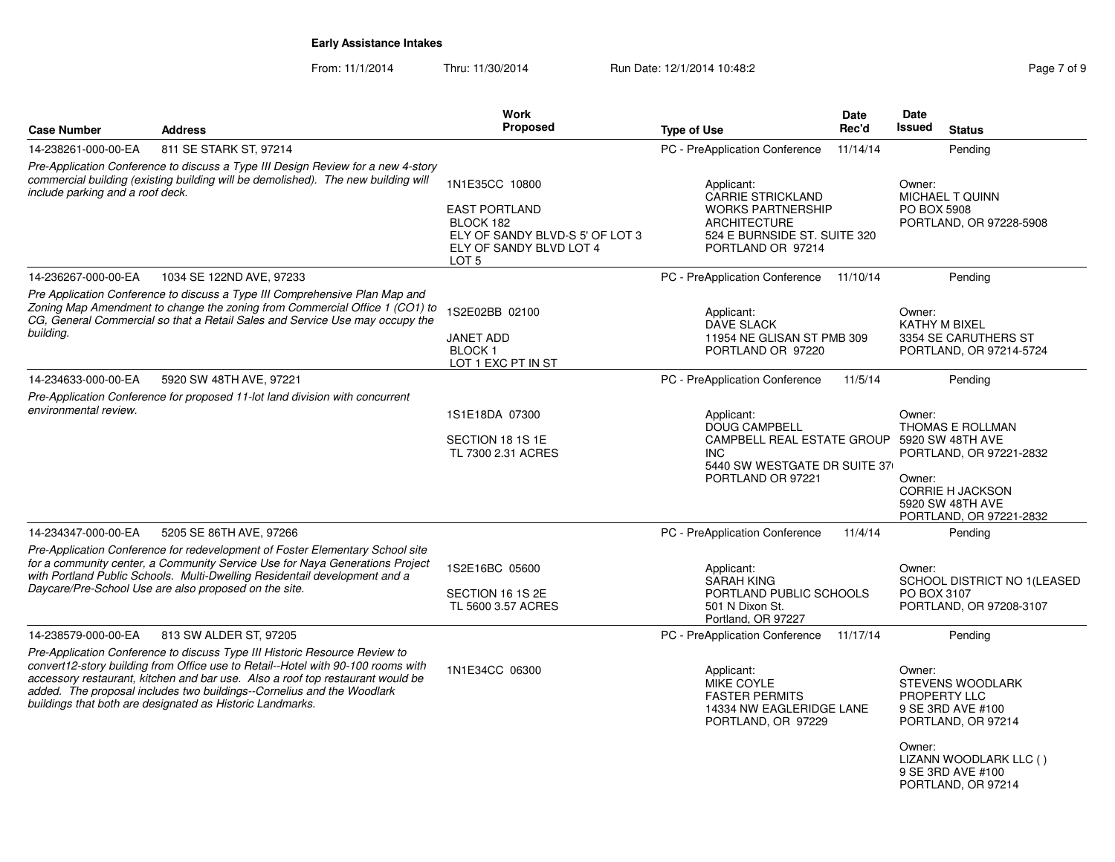From: 11/1/2014

Thru: 11/30/2014 Run Date: 12/1/2014 10:48:2<br>
Page 7 of 9

|                                  |                                                                                                                                                                                                                                                                                                                                                                                         | <b>Work</b><br><b>Proposed</b>                                                                                                        |                                                                                                                                                      | Date     | Date<br>Issued                                                                                                                                                              |
|----------------------------------|-----------------------------------------------------------------------------------------------------------------------------------------------------------------------------------------------------------------------------------------------------------------------------------------------------------------------------------------------------------------------------------------|---------------------------------------------------------------------------------------------------------------------------------------|------------------------------------------------------------------------------------------------------------------------------------------------------|----------|-----------------------------------------------------------------------------------------------------------------------------------------------------------------------------|
| <b>Case Number</b>               | <b>Address</b>                                                                                                                                                                                                                                                                                                                                                                          |                                                                                                                                       | <b>Type of Use</b>                                                                                                                                   | Rec'd    | <b>Status</b>                                                                                                                                                               |
| 14-238261-000-00-EA              | 811 SE STARK ST, 97214                                                                                                                                                                                                                                                                                                                                                                  |                                                                                                                                       | PC - PreApplication Conference                                                                                                                       | 11/14/14 | Pending                                                                                                                                                                     |
| include parking and a roof deck. | Pre-Application Conference to discuss a Type III Design Review for a new 4-story<br>commercial building (existing building will be demolished). The new building will                                                                                                                                                                                                                   | 1N1E35CC 10800<br><b>EAST PORTLAND</b><br>BLOCK 182<br>ELY OF SANDY BLVD-S 5' OF LOT 3<br>ELY OF SANDY BLVD LOT 4<br>LOT <sub>5</sub> | Applicant:<br><b>CARRIE STRICKLAND</b><br><b>WORKS PARTNERSHIP</b><br><b>ARCHITECTURE</b><br>524 E BURNSIDE ST. SUITE 320<br>PORTLAND OR 97214       |          | Owner:<br><b>MICHAEL T QUINN</b><br><b>PO BOX 5908</b><br>PORTLAND, OR 97228-5908                                                                                           |
| 14-236267-000-00-EA              | 1034 SE 122ND AVE, 97233                                                                                                                                                                                                                                                                                                                                                                |                                                                                                                                       | PC - PreApplication Conference                                                                                                                       | 11/10/14 | Pending                                                                                                                                                                     |
| building.                        | Pre Application Conference to discuss a Type III Comprehensive Plan Map and<br>Zoning Map Amendment to change the zoning from Commercial Office 1 (CO1) to<br>CG, General Commercial so that a Retail Sales and Service Use may occupy the                                                                                                                                              | 1S2E02BB 02100<br><b>JANET ADD</b><br>BLOCK <sub>1</sub><br>LOT 1 EXC PT IN ST                                                        | Applicant:<br><b>DAVE SLACK</b><br>11954 NE GLISAN ST PMB 309<br>PORTLAND OR 97220                                                                   |          | Owner:<br><b>KATHY M BIXEL</b><br>3354 SE CARUTHERS ST<br>PORTLAND, OR 97214-5724                                                                                           |
| 14-234633-000-00-EA              | 5920 SW 48TH AVE, 97221                                                                                                                                                                                                                                                                                                                                                                 |                                                                                                                                       | PC - PreApplication Conference                                                                                                                       | 11/5/14  | Pending                                                                                                                                                                     |
| environmental review.            | Pre-Application Conference for proposed 11-lot land division with concurrent                                                                                                                                                                                                                                                                                                            | 1S1E18DA 07300<br>SECTION 18 1S 1E<br>TL 7300 2.31 ACRES                                                                              | Applicant:<br><b>DOUG CAMPBELL</b><br>CAMPBELL REAL ESTATE GROUP 5920 SW 48TH AVE<br><b>INC</b><br>5440 SW WESTGATE DR SUITE 37<br>PORTLAND OR 97221 |          | Owner:<br>THOMAS E ROLLMAN<br>PORTLAND, OR 97221-2832<br>Owner:<br><b>CORRIE H JACKSON</b><br>5920 SW 48TH AVE<br>PORTLAND, OR 97221-2832                                   |
| 14-234347-000-00-EA              | 5205 SE 86TH AVE, 97266                                                                                                                                                                                                                                                                                                                                                                 |                                                                                                                                       | PC - PreApplication Conference                                                                                                                       | 11/4/14  | Pending                                                                                                                                                                     |
|                                  | Pre-Application Conference for redevelopment of Foster Elementary School site<br>for a community center, a Community Service Use for Naya Generations Project<br>with Portland Public Schools. Multi-Dwelling Residentail development and a<br>Daycare/Pre-School Use are also proposed on the site.                                                                                    | 1S2E16BC 05600<br>SECTION 16 1S 2E<br>TL 5600 3.57 ACRES                                                                              | Applicant:<br><b>SARAH KING</b><br>PORTLAND PUBLIC SCHOOLS<br>501 N Dixon St.<br>Portland, OR 97227                                                  |          | Owner:<br>SCHOOL DISTRICT NO 1(LEASED<br>PO BOX 3107<br>PORTLAND, OR 97208-3107                                                                                             |
| 14-238579-000-00-EA              | 813 SW ALDER ST, 97205                                                                                                                                                                                                                                                                                                                                                                  |                                                                                                                                       | PC - PreApplication Conference 11/17/14                                                                                                              |          | Pending                                                                                                                                                                     |
|                                  | Pre-Application Conference to discuss Type III Historic Resource Review to<br>convert12-story building from Office use to Retail--Hotel with 90-100 rooms with<br>accessory restaurant, kitchen and bar use. Also a roof top restaurant would be<br>added. The proposal includes two buildings--Cornelius and the Woodlark<br>buildings that both are designated as Historic Landmarks. | 1N1E34CC 06300                                                                                                                        | Applicant:<br><b>MIKE COYLE</b><br><b>FASTER PERMITS</b><br>14334 NW EAGLERIDGE LANE<br>PORTLAND, OR 97229                                           |          | Owner:<br><b>STEVENS WOODLARK</b><br>PROPERTY LLC<br>9 SE 3RD AVE #100<br>PORTLAND, OR 97214<br>Owner:<br>LIZANN WOODLARK LLC ()<br>9 SE 3RD AVE #100<br>PORTLAND, OR 97214 |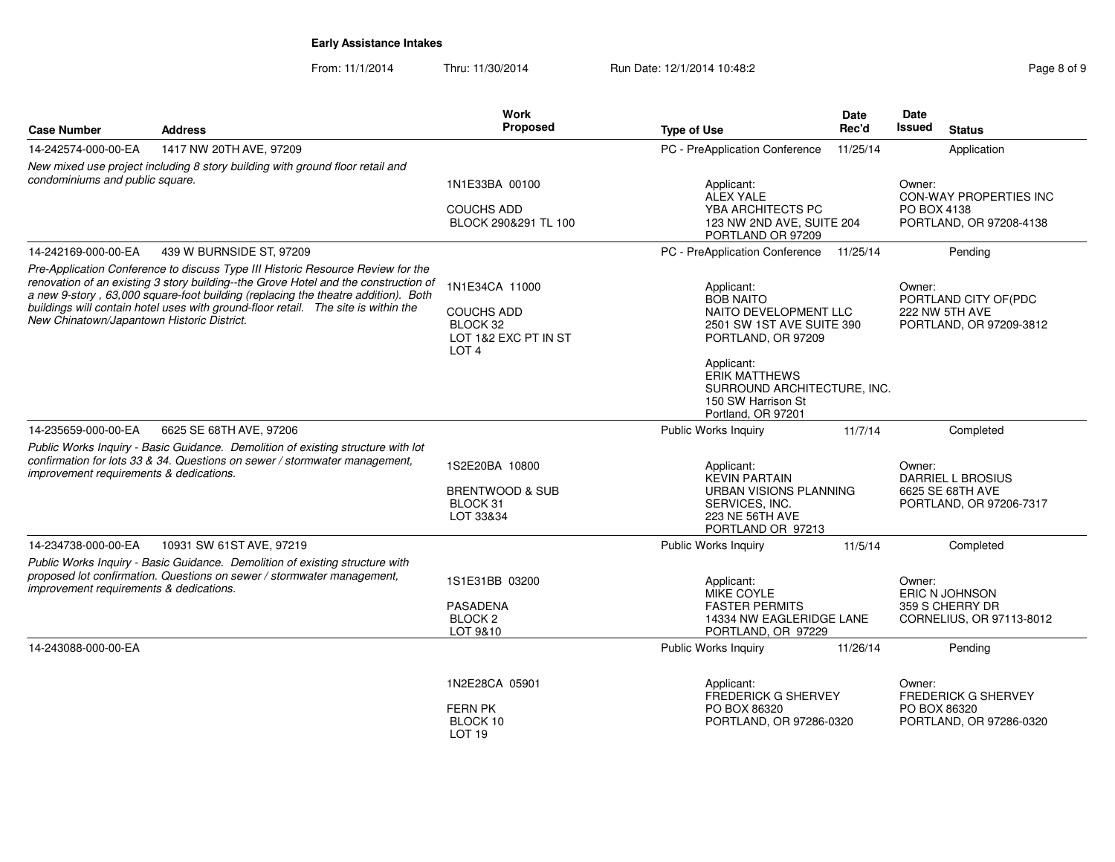From: 11/1/2014Thru: 11/30/2014 Run Date: 12/1/2014 10:48:2<br> **Page 8 of 9** 

|                                                                                                                                                                                                                                                                                                                                                                                                                                                                                                                                                                                                                                              | Work<br>Proposed                                                                                                                                                                                                                                                                                                                                                                                                              | <b>Type of Use</b>                                                                                                                                                                                                                                          | <b>Date</b><br>Rec'd                                                     | Date<br>Issued                                                                                                                                   | <b>Status</b>                                                           |  |
|----------------------------------------------------------------------------------------------------------------------------------------------------------------------------------------------------------------------------------------------------------------------------------------------------------------------------------------------------------------------------------------------------------------------------------------------------------------------------------------------------------------------------------------------------------------------------------------------------------------------------------------------|-------------------------------------------------------------------------------------------------------------------------------------------------------------------------------------------------------------------------------------------------------------------------------------------------------------------------------------------------------------------------------------------------------------------------------|-------------------------------------------------------------------------------------------------------------------------------------------------------------------------------------------------------------------------------------------------------------|--------------------------------------------------------------------------|--------------------------------------------------------------------------------------------------------------------------------------------------|-------------------------------------------------------------------------|--|
|                                                                                                                                                                                                                                                                                                                                                                                                                                                                                                                                                                                                                                              |                                                                                                                                                                                                                                                                                                                                                                                                                               | PC - PreApplication Conference                                                                                                                                                                                                                              | 11/25/14                                                                 |                                                                                                                                                  | Application                                                             |  |
|                                                                                                                                                                                                                                                                                                                                                                                                                                                                                                                                                                                                                                              |                                                                                                                                                                                                                                                                                                                                                                                                                               | Applicant:<br>ALEX YALE<br>YBA ARCHITECTS PC                                                                                                                                                                                                                |                                                                          | Owner:                                                                                                                                           | <b>CON-WAY PROPERTIES INC</b><br>PORTLAND, OR 97208-4138                |  |
|                                                                                                                                                                                                                                                                                                                                                                                                                                                                                                                                                                                                                                              |                                                                                                                                                                                                                                                                                                                                                                                                                               |                                                                                                                                                                                                                                                             |                                                                          |                                                                                                                                                  | Pending                                                                 |  |
| 14-242169-000-00-EA<br>439 W BURNSIDE ST, 97209<br>Pre-Application Conference to discuss Type III Historic Resource Review for the<br>renovation of an existing 3 story building--the Grove Hotel and the construction of<br>1N1E34CA 11000<br>Applicant:<br>a new 9-story, 63,000 square-foot building (replacing the theatre addition). Both<br><b>BOB NAITO</b><br>buildings will contain hotel uses with ground-floor retail.  The site is within the<br><b>COUCHS ADD</b><br>NAITO DEVELOPMENT LLC<br>New Chinatown/Japantown Historic District.<br>BLOCK 32<br>2501 SW 1ST AVE SUITE 390<br>LOT 1&2 EXC PT IN ST<br>PORTLAND, OR 97209 |                                                                                                                                                                                                                                                                                                                                                                                                                               |                                                                                                                                                                                                                                                             |                                                                          | Owner:<br>PORTLAND CITY OF(PDC<br>222 NW 5TH AVE<br>PORTLAND, OR 97209-3812                                                                      |                                                                         |  |
|                                                                                                                                                                                                                                                                                                                                                                                                                                                                                                                                                                                                                                              |                                                                                                                                                                                                                                                                                                                                                                                                                               | Applicant:<br><b>ERIK MATTHEWS</b><br>150 SW Harrison St<br>Portland, OR 97201                                                                                                                                                                              |                                                                          |                                                                                                                                                  |                                                                         |  |
|                                                                                                                                                                                                                                                                                                                                                                                                                                                                                                                                                                                                                                              |                                                                                                                                                                                                                                                                                                                                                                                                                               | Public Works Inquiry                                                                                                                                                                                                                                        | 11/7/14                                                                  |                                                                                                                                                  | Completed                                                               |  |
|                                                                                                                                                                                                                                                                                                                                                                                                                                                                                                                                                                                                                                              |                                                                                                                                                                                                                                                                                                                                                                                                                               | Applicant:<br><b>KEVIN PARTAIN</b><br>SERVICES, INC.<br>223 NE 56TH AVE                                                                                                                                                                                     | <b>URBAN VISIONS PLANNING</b>                                            |                                                                                                                                                  | <b>DARRIEL L BROSIUS</b><br>6625 SE 68TH AVE<br>PORTLAND, OR 97206-7317 |  |
|                                                                                                                                                                                                                                                                                                                                                                                                                                                                                                                                                                                                                                              |                                                                                                                                                                                                                                                                                                                                                                                                                               | <b>Public Works Inquiry</b>                                                                                                                                                                                                                                 | 11/5/14                                                                  |                                                                                                                                                  | Completed                                                               |  |
|                                                                                                                                                                                                                                                                                                                                                                                                                                                                                                                                                                                                                                              |                                                                                                                                                                                                                                                                                                                                                                                                                               | Applicant:<br>MIKE COYLE<br><b>FASTER PERMITS</b>                                                                                                                                                                                                           |                                                                          | Owner:                                                                                                                                           | ERIC N JOHNSON<br>359 S CHERRY DR<br>CORNELIUS, OR 97113-8012           |  |
|                                                                                                                                                                                                                                                                                                                                                                                                                                                                                                                                                                                                                                              |                                                                                                                                                                                                                                                                                                                                                                                                                               | Public Works Inquiry                                                                                                                                                                                                                                        | 11/26/14                                                                 |                                                                                                                                                  | Pending                                                                 |  |
|                                                                                                                                                                                                                                                                                                                                                                                                                                                                                                                                                                                                                                              |                                                                                                                                                                                                                                                                                                                                                                                                                               | Applicant:<br>PO BOX 86320                                                                                                                                                                                                                                  |                                                                          | Owner:                                                                                                                                           | <b>FREDERICK G SHERVEY</b><br>PORTLAND, OR 97286-0320                   |  |
|                                                                                                                                                                                                                                                                                                                                                                                                                                                                                                                                                                                                                                              | New mixed use project including 8 story building with ground floor retail and<br>LOT <sub>4</sub><br>Public Works Inquiry - Basic Guidance. Demolition of existing structure with lot<br>confirmation for lots 33 & 34. Questions on sewer / stormwater management,<br>Public Works Inquiry - Basic Guidance. Demolition of existing structure with<br>proposed lot confirmation. Questions on sewer / stormwater management. | 1N1E33BA 00100<br><b>COUCHS ADD</b><br>BLOCK 290&291 TL 100<br>1S2E20BA 10800<br><b>BRENTWOOD &amp; SUB</b><br>BLOCK 31<br>LOT 33&34<br>1S1E31BB 03200<br><b>PASADENA</b><br>BLOCK <sub>2</sub><br>LOT 9&10<br>1N2E28CA 05901<br><b>FERN PK</b><br>BLOCK 10 | PORTLAND OR 97209<br>PC - PreApplication Conference<br>PORTLAND OR 97213 | 123 NW 2ND AVE, SUITE 204<br>11/25/14<br>14334 NW EAGLERIDGE LANE<br>PORTLAND, OR 97229<br><b>FREDERICK G SHERVEY</b><br>PORTLAND, OR 97286-0320 | PO BOX 4138<br>SURROUND ARCHITECTURE, INC.<br>Owner:<br>PO BOX 86320    |  |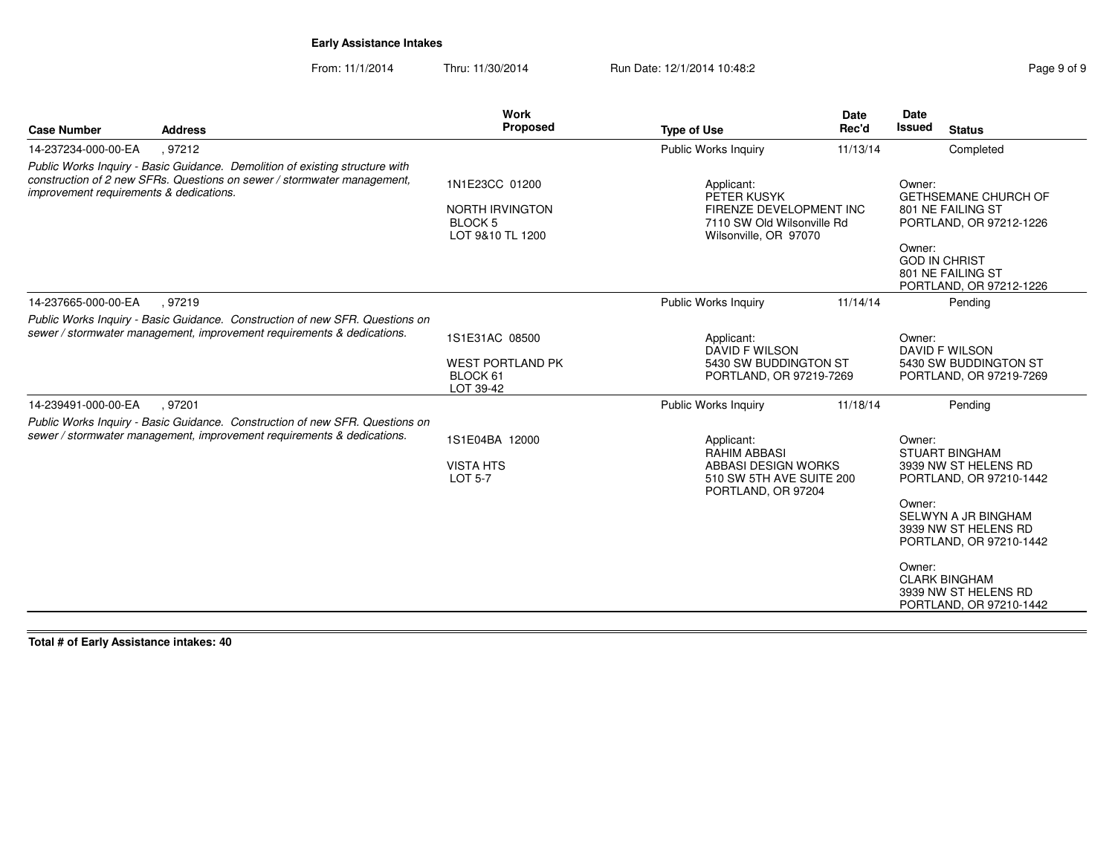From: 11/1/2014Thru: 11/30/2014 Run Date: 12/1/2014 10:48:2<br> **Page 9 of 9** 

| <b>Case Number</b>                      | <b>Address</b>                                                                                                                                          | Work<br><b>Proposed</b>                                                        | <b>Type of Use</b>                                                                                         | <b>Date</b><br>Rec'd                                                           | <b>Date</b><br><b>Issued</b>   | <b>Status</b>                                                               |
|-----------------------------------------|---------------------------------------------------------------------------------------------------------------------------------------------------------|--------------------------------------------------------------------------------|------------------------------------------------------------------------------------------------------------|--------------------------------------------------------------------------------|--------------------------------|-----------------------------------------------------------------------------|
| 14-237234-000-00-EA                     | , 97212                                                                                                                                                 |                                                                                | Public Works Inquiry                                                                                       | 11/13/14                                                                       |                                | Completed                                                                   |
| improvement requirements & dedications. | Public Works Inquiry - Basic Guidance. Demolition of existing structure with<br>construction of 2 new SFRs. Questions on sewer / stormwater management. | 1N1E23CC 01200<br><b>NORTH IRVINGTON</b><br><b>BLOCK 5</b><br>LOT 9&10 TL 1200 | Applicant:<br>PETER KUSYK                                                                                  | FIRENZE DEVELOPMENT INC<br>7110 SW Old Wilsonville Rd<br>Wilsonville, OR 97070 |                                | <b>GETHSEMANE CHURCH OF</b><br>801 NE FAILING ST<br>PORTLAND, OR 97212-1226 |
|                                         |                                                                                                                                                         |                                                                                |                                                                                                            |                                                                                | Owner:<br><b>GOD IN CHRIST</b> | 801 NE FAILING ST<br>PORTLAND, OR 97212-1226                                |
| 14-237665-000-00-EA                     | .97219                                                                                                                                                  |                                                                                | Public Works Inquiry                                                                                       | 11/14/14                                                                       |                                | Pending                                                                     |
|                                         | Public Works Inquiry - Basic Guidance. Construction of new SFR. Questions on<br>sewer / stormwater management, improvement requirements & dedications.  | 1S1E31AC 08500                                                                 | Applicant:<br><b>DAVID F WILSON</b>                                                                        |                                                                                | Owner:<br>DAVID F WILSON       |                                                                             |
|                                         |                                                                                                                                                         | <b>WEST PORTLAND PK</b><br>BLOCK 61<br>LOT 39-42                               | 5430 SW BUDDINGTON ST<br>PORTLAND, OR 97219-7269                                                           |                                                                                |                                | 5430 SW BUDDINGTON ST<br>PORTLAND, OR 97219-7269                            |
| 14-239491-000-00-EA                     | .97201                                                                                                                                                  |                                                                                | Public Works Inquiry                                                                                       | 11/18/14                                                                       |                                | Pending                                                                     |
|                                         | Public Works Inquiry - Basic Guidance. Construction of new SFR. Questions on<br>sewer / stormwater management, improvement requirements & dedications.  | 1S1E04BA 12000<br><b>VISTA HTS</b><br><b>LOT 5-7</b>                           | Applicant:<br><b>RAHIM ABBASI</b><br>ABBASI DESIGN WORKS<br>510 SW 5TH AVE SUITE 200<br>PORTLAND, OR 97204 |                                                                                |                                | <b>STUART BINGHAM</b><br>3939 NW ST HELENS RD<br>PORTLAND, OR 97210-1442    |
|                                         |                                                                                                                                                         |                                                                                |                                                                                                            |                                                                                | Owner:                         | SELWYN A JR BINGHAM<br>3939 NW ST HELENS RD<br>PORTLAND, OR 97210-1442      |
|                                         |                                                                                                                                                         |                                                                                |                                                                                                            |                                                                                | Owner:                         | <b>CLARK BINGHAM</b><br>3939 NW ST HELENS RD<br>PORTLAND, OR 97210-1442     |

**Total # of Early Assistance intakes: 40**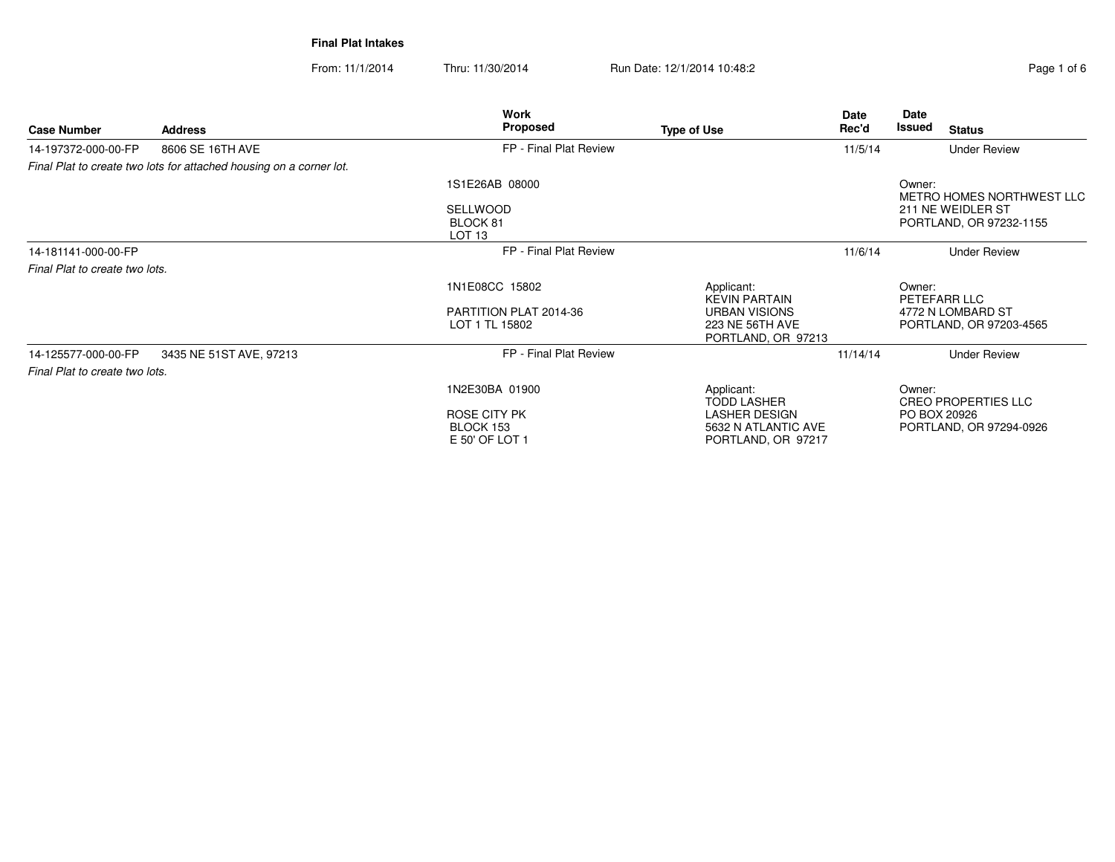**Final Plat Intakes**

From: 11/1/2014

Thru: 11/30/2014 Run Date: 12/1/2014 10:48:2<br> **Page 1 of 6** 

|                                |                                                                     | Work                                             |                                                                   | Date     | Date         |                                              |
|--------------------------------|---------------------------------------------------------------------|--------------------------------------------------|-------------------------------------------------------------------|----------|--------------|----------------------------------------------|
| <b>Case Number</b>             | <b>Address</b>                                                      | <b>Proposed</b>                                  | <b>Type of Use</b>                                                | Rec'd    | Issued       | <b>Status</b>                                |
| 14-197372-000-00-FP            | 8606 SE 16TH AVE                                                    | FP - Final Plat Review                           |                                                                   | 11/5/14  |              | <b>Under Review</b>                          |
|                                | Final Plat to create two lots for attached housing on a corner lot. |                                                  |                                                                   |          |              |                                              |
|                                |                                                                     | 1S1E26AB 08000                                   |                                                                   |          | Owner:       | METRO HOMES NORTHWEST LLC                    |
|                                |                                                                     | <b>SELLWOOD</b><br>BLOCK 81<br>LOT <sub>13</sub> |                                                                   |          |              | 211 NE WEIDLER ST<br>PORTLAND, OR 97232-1155 |
| 14-181141-000-00-FP            |                                                                     | FP - Final Plat Review                           |                                                                   | 11/6/14  |              | <b>Under Review</b>                          |
| Final Plat to create two lots. |                                                                     |                                                  |                                                                   |          |              |                                              |
|                                |                                                                     | 1N1E08CC 15802                                   | Applicant:<br><b>KEVIN PARTAIN</b>                                |          | Owner:       | PETEFARR LLC                                 |
|                                |                                                                     | PARTITION PLAT 2014-36                           | <b>URBAN VISIONS</b>                                              |          |              | 4772 N LOMBARD ST                            |
|                                |                                                                     | LOT 1 TL 15802                                   | 223 NE 56TH AVE<br>PORTLAND, OR 97213                             |          |              | PORTLAND, OR 97203-4565                      |
| 14-125577-000-00-FP            | 3435 NE 51ST AVE, 97213                                             | FP - Final Plat Review                           |                                                                   | 11/14/14 |              | <b>Under Review</b>                          |
| Final Plat to create two lots. |                                                                     |                                                  |                                                                   |          |              |                                              |
|                                |                                                                     | 1N2E30BA 01900                                   | Applicant:<br><b>TODD LASHER</b>                                  |          | Owner:       | <b>CREO PROPERTIES LLC</b>                   |
|                                |                                                                     | ROSE CITY PK<br>BLOCK 153<br>E 50' OF LOT 1      | <b>LASHER DESIGN</b><br>5632 N ATLANTIC AVE<br>PORTLAND, OR 97217 |          | PO BOX 20926 | PORTLAND, OR 97294-0926                      |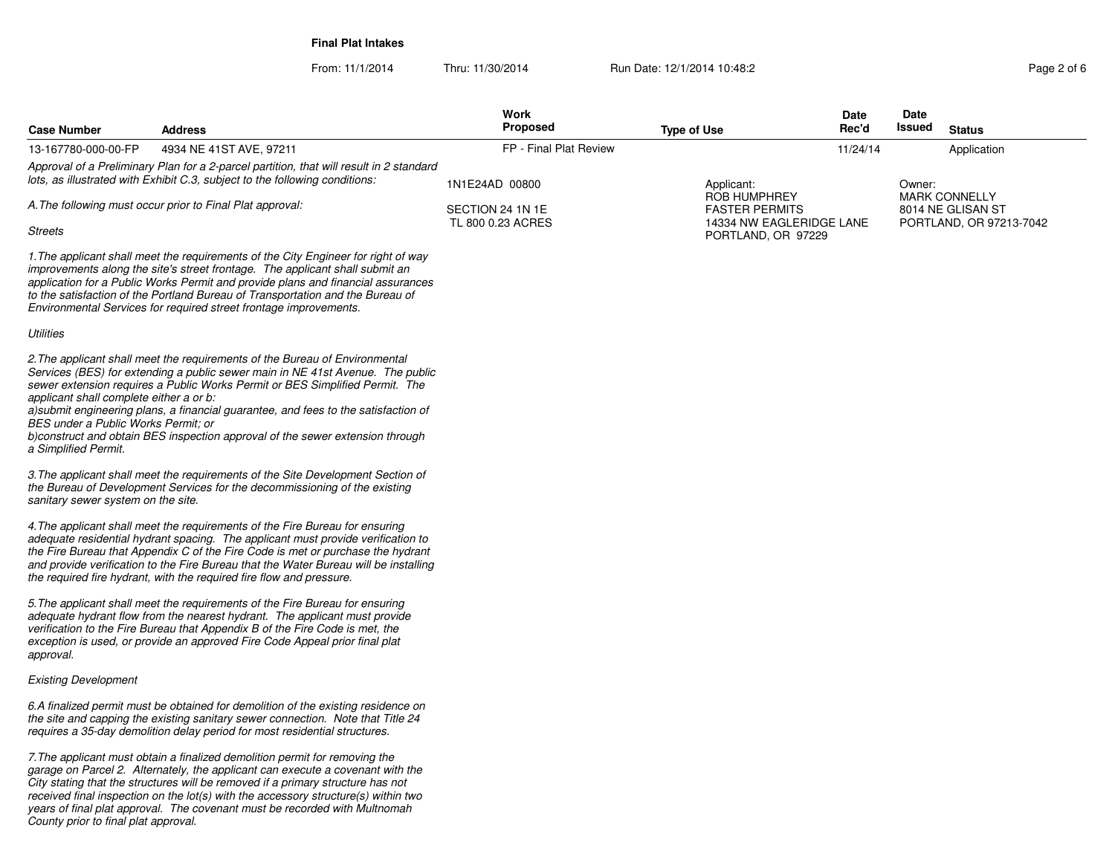**Final Plat Intakes**

From: 11/1/2014Thru: 11/30/2014 Run Date: 12/1/2014 10:48:2<br>
Page 2 of 6

| <b>Case Number</b>                                                                                     | Address                                                                                                                                                                                                                                                                                                                                                                                                              | Work<br><b>Proposed</b>               | <b>Type of Use</b>                                                                             | Date<br>Rec'd | Date<br>Issued | <b>Status</b>                                |
|--------------------------------------------------------------------------------------------------------|----------------------------------------------------------------------------------------------------------------------------------------------------------------------------------------------------------------------------------------------------------------------------------------------------------------------------------------------------------------------------------------------------------------------|---------------------------------------|------------------------------------------------------------------------------------------------|---------------|----------------|----------------------------------------------|
| 13-167780-000-00-FP                                                                                    | 4934 NE 41ST AVE, 97211                                                                                                                                                                                                                                                                                                                                                                                              | FP - Final Plat Review                |                                                                                                | 11/24/14      |                | Application                                  |
|                                                                                                        | Approval of a Preliminary Plan for a 2-parcel partition, that will result in 2 standard<br>lots, as illustrated with Exhibit C.3, subject to the following conditions:                                                                                                                                                                                                                                               | 1N1E24AD 00800                        | Applicant:                                                                                     |               | Owner:         | <b>MARK CONNELLY</b>                         |
| Streets                                                                                                | A. The following must occur prior to Final Plat approval:                                                                                                                                                                                                                                                                                                                                                            | SECTION 24 1N 1E<br>TL 800 0.23 ACRES | <b>ROB HUMPHREY</b><br><b>FASTER PERMITS</b><br>14334 NW EAGLERIDGE LANE<br>PORTLAND, OR 97229 |               |                | 8014 NE GLISAN ST<br>PORTLAND, OR 97213-7042 |
|                                                                                                        | 1. The applicant shall meet the requirements of the City Engineer for right of way<br>improvements along the site's street frontage. The applicant shall submit an<br>application for a Public Works Permit and provide plans and financial assurances<br>to the satisfaction of the Portland Bureau of Transportation and the Bureau of<br>Environmental Services for required street frontage improvements.        |                                       |                                                                                                |               |                |                                              |
| Utilities                                                                                              |                                                                                                                                                                                                                                                                                                                                                                                                                      |                                       |                                                                                                |               |                |                                              |
| applicant shall complete either a or b:<br>BES under a Public Works Permit; or<br>a Simplified Permit. | 2. The applicant shall meet the requirements of the Bureau of Environmental<br>Services (BES) for extending a public sewer main in NE 41st Avenue. The public<br>sewer extension requires a Public Works Permit or BES Simplified Permit. The<br>a)submit engineering plans, a financial guarantee, and fees to the satisfaction of<br>b)construct and obtain BES inspection approval of the sewer extension through |                                       |                                                                                                |               |                |                                              |
| sanitary sewer system on the site.                                                                     | 3. The applicant shall meet the requirements of the Site Development Section of<br>the Bureau of Development Services for the decommissioning of the existing                                                                                                                                                                                                                                                        |                                       |                                                                                                |               |                |                                              |
|                                                                                                        | 4. The applicant shall meet the requirements of the Fire Bureau for ensuring<br>adequate residential hydrant spacing. The applicant must provide verification to<br>the Fire Bureau that Appendix C of the Fire Code is met or purchase the hydrant<br>and provide verification to the Fire Bureau that the Water Bureau will be installing<br>the required fire hydrant, with the required fire flow and pressure.  |                                       |                                                                                                |               |                |                                              |
| approval.                                                                                              | 5. The applicant shall meet the requirements of the Fire Bureau for ensuring<br>adequate hydrant flow from the nearest hydrant. The applicant must provide<br>verification to the Fire Bureau that Appendix B of the Fire Code is met, the<br>exception is used, or provide an approved Fire Code Appeal prior final plat                                                                                            |                                       |                                                                                                |               |                |                                              |
| <b>Existing Development</b>                                                                            |                                                                                                                                                                                                                                                                                                                                                                                                                      |                                       |                                                                                                |               |                |                                              |
|                                                                                                        | 6.A finalized permit must be obtained for demolition of the existing residence on<br>the site and capping the existing sanitary sewer connection. Note that Title 24<br>requires a 35-day demolition delay period for most residential structures.                                                                                                                                                                   |                                       |                                                                                                |               |                |                                              |
|                                                                                                        | 7. The applicant must obtain a finalized demolition permit for removing the<br>garage on Parcel 2. Alternately, the applicant can execute a covenant with the                                                                                                                                                                                                                                                        |                                       |                                                                                                |               |                |                                              |

*City stating that the structures will be removed if a primary structure has notreceived final inspection on the lot(s) with the accessory structure(s) within two years of final plat approval. The covenant must be recorded with Multnomah County prior to final plat approval.*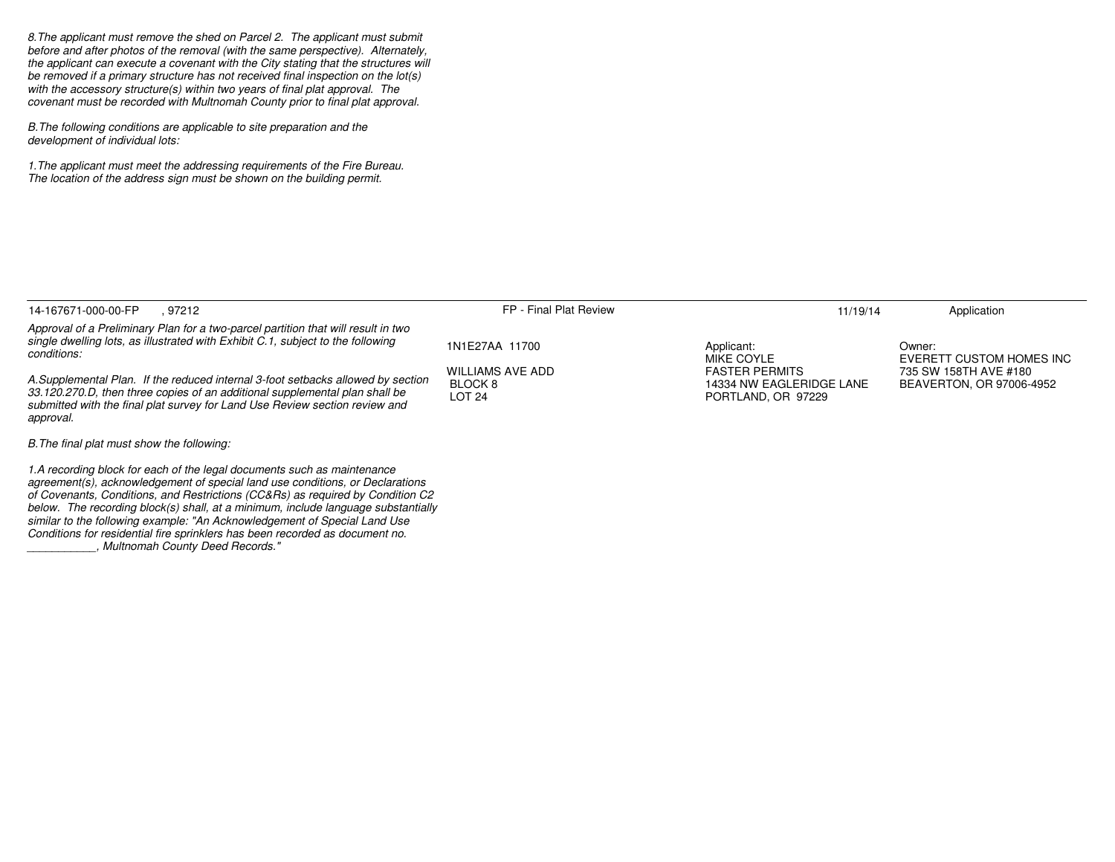*8.The applicant must remove the shed on Parcel 2. The applicant must submit before and after photos of the removal (with the same perspective). Alternately, the applicant can execute a covenant with the City stating that the structures willbe removed if a primary structure has not received final inspection on the lot(s)with the accessory structure(s) within two years of final plat approval. Thecovenant must be recorded with Multnomah County prior to final plat approval.*

*B.The following conditions are applicable to site preparation and thedevelopment of individual lots:*

*1.The applicant must meet the addressing requirements of the Fire Bureau.The location of the address sign must be shown on the building permit.*

*Conditions for residential fire sprinklers has been recorded as document no.*

*\_\_\_\_\_\_\_\_\_\_\_, Multnomah County Deed Records."*

| . 97212<br>14-167671-000-00-FP                                                                                                                                                                                                                                                                                                                                                                               | FP - Final Plat Review                                         | 11/19/14                                                                | Application                                       |
|--------------------------------------------------------------------------------------------------------------------------------------------------------------------------------------------------------------------------------------------------------------------------------------------------------------------------------------------------------------------------------------------------------------|----------------------------------------------------------------|-------------------------------------------------------------------------|---------------------------------------------------|
| Approval of a Preliminary Plan for a two-parcel partition that will result in two<br>single dwelling lots, as illustrated with Exhibit C.1, subject to the following<br>conditions:                                                                                                                                                                                                                          | 1N1E27AA 11700                                                 | Applicant:<br>MIKE COYLE                                                | Owner:<br>EVERETT CUSTOM HOMES INC                |
| A.Supplemental Plan. If the reduced internal 3-foot setbacks allowed by section<br>33.120.270.D, then three copies of an additional supplemental plan shall be<br>submitted with the final plat survey for Land Use Review section review and<br>approval.                                                                                                                                                   | <b>WILLIAMS AVE ADD</b><br>BLOCK <sub>8</sub><br><b>LOT 24</b> | <b>FASTER PERMITS</b><br>14334 NW EAGLERIDGE LANE<br>PORTLAND, OR 97229 | 735 SW 158TH AVE #180<br>BEAVERTON, OR 97006-4952 |
| B. The final plat must show the following:                                                                                                                                                                                                                                                                                                                                                                   |                                                                |                                                                         |                                                   |
| 1.A recording block for each of the legal documents such as maintenance<br>agreement(s), acknowledgement of special land use conditions, or Declarations<br>of Covenants, Conditions, and Restrictions (CC&Rs) as required by Condition C2<br>below. The recording block(s) shall, at a minimum, include language substantially<br>similar to the following example: "An Acknowledgement of Special Land Use |                                                                |                                                                         |                                                   |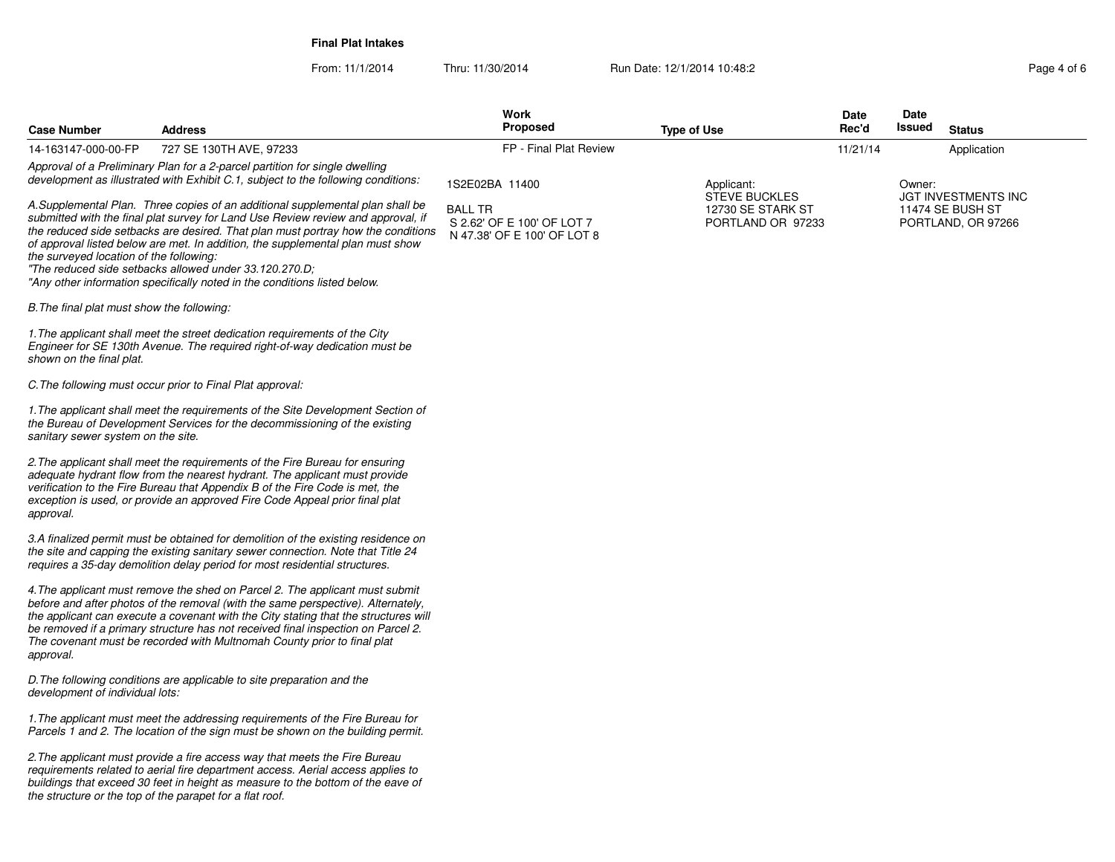**Final Plat Intakes**

From: 11/1/2014Thru: 11/30/2014 Run Date: 12/1/2014 10:48:2<br> **Page 4 of 6** 

| <b>Case Number</b>                         | <b>Address</b>                                                                                                                                                                                                                                                                                                                                                                                                                                                                 | Work<br><b>Proposed</b>                                                     | <b>Type of Use</b>                                      | Date<br>Rec'd | Date<br>Issued | <b>Status</b>                                                        |
|--------------------------------------------|--------------------------------------------------------------------------------------------------------------------------------------------------------------------------------------------------------------------------------------------------------------------------------------------------------------------------------------------------------------------------------------------------------------------------------------------------------------------------------|-----------------------------------------------------------------------------|---------------------------------------------------------|---------------|----------------|----------------------------------------------------------------------|
| 14-163147-000-00-FP                        | 727 SE 130TH AVE, 97233                                                                                                                                                                                                                                                                                                                                                                                                                                                        | FP - Final Plat Review                                                      |                                                         | 11/21/14      |                | Application                                                          |
|                                            | Approval of a Preliminary Plan for a 2-parcel partition for single dwelling<br>development as illustrated with Exhibit C.1, subject to the following conditions:                                                                                                                                                                                                                                                                                                               | 1S2E02BA 11400                                                              | Applicant:                                              |               | Owner:         |                                                                      |
| the surveyed location of the following:    | A.Supplemental Plan. Three copies of an additional supplemental plan shall be<br>submitted with the final plat survey for Land Use Review review and approval, if<br>the reduced side setbacks are desired. That plan must portray how the conditions<br>of approval listed below are met. In addition, the supplemental plan must show<br>"The reduced side setbacks allowed under 33.120.270.D:<br>"Any other information specifically noted in the conditions listed below. | <b>BALL TR</b><br>S 2.62' OF E 100' OF LOT 7<br>N 47.38' OF E 100' OF LOT 8 | STEVE BUCKLES<br>12730 SE STARK ST<br>PORTLAND OR 97233 |               |                | <b>JGT INVESTMENTS INC</b><br>11474 SE BUSH ST<br>PORTLAND, OR 97266 |
| B. The final plat must show the following: |                                                                                                                                                                                                                                                                                                                                                                                                                                                                                |                                                                             |                                                         |               |                |                                                                      |
| shown on the final plat.                   | 1. The applicant shall meet the street dedication requirements of the City<br>Engineer for SE 130th Avenue. The required right-of-way dedication must be                                                                                                                                                                                                                                                                                                                       |                                                                             |                                                         |               |                |                                                                      |
|                                            | C. The following must occur prior to Final Plat approval:                                                                                                                                                                                                                                                                                                                                                                                                                      |                                                                             |                                                         |               |                |                                                                      |
| sanitary sewer system on the site.         | 1. The applicant shall meet the requirements of the Site Development Section of<br>the Bureau of Development Services for the decommissioning of the existing                                                                                                                                                                                                                                                                                                                  |                                                                             |                                                         |               |                |                                                                      |
| approval.                                  | 2. The applicant shall meet the requirements of the Fire Bureau for ensuring<br>adequate hydrant flow from the nearest hydrant. The applicant must provide<br>verification to the Fire Bureau that Appendix B of the Fire Code is met, the<br>exception is used, or provide an approved Fire Code Appeal prior final plat                                                                                                                                                      |                                                                             |                                                         |               |                |                                                                      |
|                                            | 3.A finalized permit must be obtained for demolition of the existing residence on<br>the site and capping the existing sanitary sewer connection. Note that Title 24<br>requires a 35-day demolition delay period for most residential structures.                                                                                                                                                                                                                             |                                                                             |                                                         |               |                |                                                                      |
| approval.                                  | 4. The applicant must remove the shed on Parcel 2. The applicant must submit<br>before and after photos of the removal (with the same perspective). Alternately,<br>the applicant can execute a covenant with the City stating that the structures will<br>be removed if a primary structure has not received final inspection on Parcel 2.<br>The covenant must be recorded with Multnomah County prior to final plat                                                         |                                                                             |                                                         |               |                |                                                                      |
| development of individual lots:            | D. The following conditions are applicable to site preparation and the                                                                                                                                                                                                                                                                                                                                                                                                         |                                                                             |                                                         |               |                |                                                                      |
|                                            | 1. The applicant must meet the addressing requirements of the Fire Bureau for<br>Parcels 1 and 2. The location of the sign must be shown on the building permit.                                                                                                                                                                                                                                                                                                               |                                                                             |                                                         |               |                |                                                                      |
|                                            | 2. The applicant must provide a fire access way that meets the Fire Bureau<br>requirements related to aerial fire department access. Aerial access applies to<br>buildings that exceed 30 feet in height as measure to the bottom of the eave of<br>the structure or the top of the parapet for a flat roof.                                                                                                                                                                   |                                                                             |                                                         |               |                |                                                                      |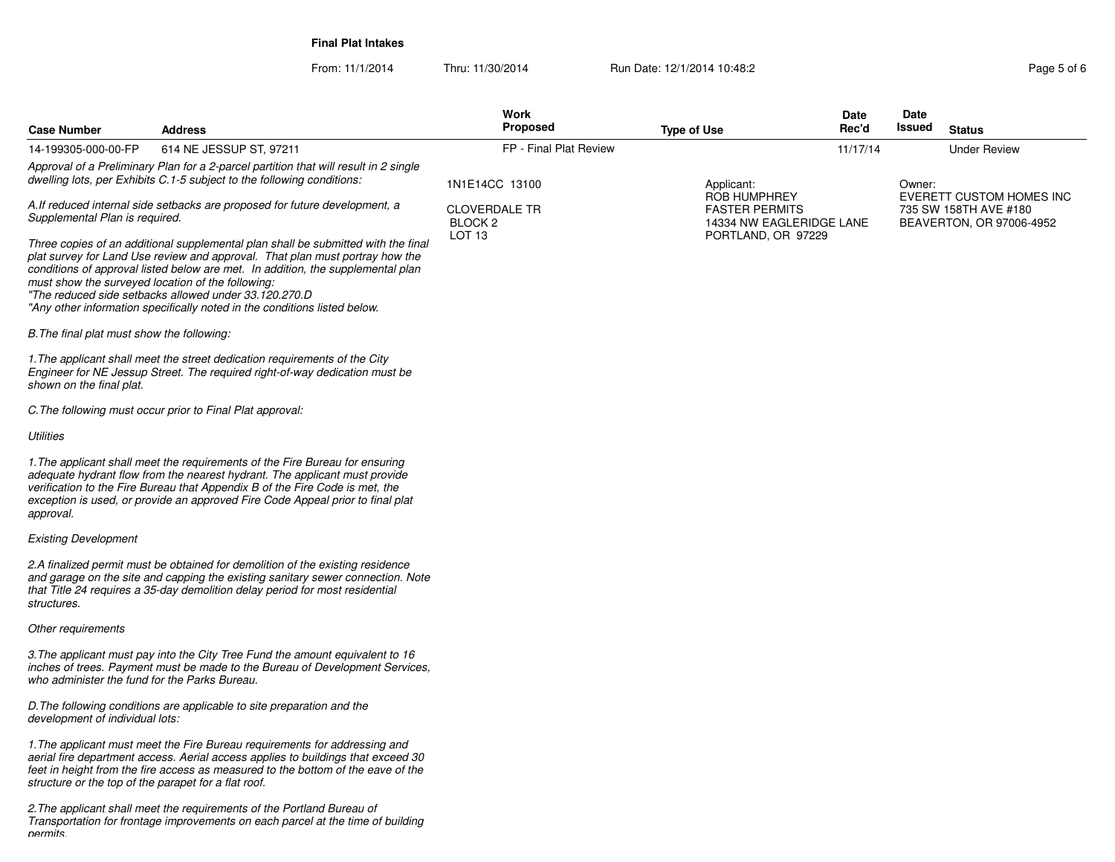**Final Plat Intakes**

From: 11/1/2014Thru: 11/30/2014 Run Date: 12/1/2014 10:48:2<br> **Page 5 of 6** 

| <b>Case Number</b>                                                                                            | <b>Address</b>                                                                                                                                                                                                                                                                                                                                                                                                                                  | <b>Work</b><br><b>Proposed</b>             | <b>Type of Use</b>                                                | Date<br>Rec'd | Date<br>Issued | <b>Status</b>                                                                        |
|---------------------------------------------------------------------------------------------------------------|-------------------------------------------------------------------------------------------------------------------------------------------------------------------------------------------------------------------------------------------------------------------------------------------------------------------------------------------------------------------------------------------------------------------------------------------------|--------------------------------------------|-------------------------------------------------------------------|---------------|----------------|--------------------------------------------------------------------------------------|
| 14-199305-000-00-FP                                                                                           | 614 NE JESSUP ST, 97211                                                                                                                                                                                                                                                                                                                                                                                                                         | FP - Final Plat Review                     |                                                                   | 11/17/14      |                | <b>Under Review</b>                                                                  |
|                                                                                                               | Approval of a Preliminary Plan for a 2-parcel partition that will result in 2 single<br>dwelling lots, per Exhibits C.1-5 subject to the following conditions:                                                                                                                                                                                                                                                                                  | 1N1E14CC 13100                             | Applicant:                                                        |               | Owner:         |                                                                                      |
| A. If reduced internal side setbacks are proposed for future development, a<br>Supplemental Plan is required. |                                                                                                                                                                                                                                                                                                                                                                                                                                                 | <b>CLOVERDALE TR</b><br>BLOCK <sub>2</sub> | ROB HUMPHREY<br><b>FASTER PERMITS</b><br>14334 NW EAGLERIDGE LANE |               |                | <b>EVERETT CUSTOM HOMES INC</b><br>735 SW 158TH AVE #180<br>BEAVERTON, OR 97006-4952 |
|                                                                                                               | Three copies of an additional supplemental plan shall be submitted with the final<br>plat survey for Land Use review and approval. That plan must portray how the<br>conditions of approval listed below are met. In addition, the supplemental plan<br>must show the surveyed location of the following:<br>"The reduced side setbacks allowed under 33.120.270.D<br>"Any other information specifically noted in the conditions listed below. | LOT <sub>13</sub>                          | PORTLAND, OR 97229                                                |               |                |                                                                                      |
| B. The final plat must show the following:                                                                    |                                                                                                                                                                                                                                                                                                                                                                                                                                                 |                                            |                                                                   |               |                |                                                                                      |
| shown on the final plat.                                                                                      | 1. The applicant shall meet the street dedication requirements of the City<br>Engineer for NE Jessup Street. The required right-of-way dedication must be                                                                                                                                                                                                                                                                                       |                                            |                                                                   |               |                |                                                                                      |
|                                                                                                               | C. The following must occur prior to Final Plat approval:                                                                                                                                                                                                                                                                                                                                                                                       |                                            |                                                                   |               |                |                                                                                      |
| Utilities                                                                                                     |                                                                                                                                                                                                                                                                                                                                                                                                                                                 |                                            |                                                                   |               |                |                                                                                      |
| approval.                                                                                                     | 1. The applicant shall meet the requirements of the Fire Bureau for ensuring<br>adequate hydrant flow from the nearest hydrant. The applicant must provide<br>verification to the Fire Bureau that Appendix B of the Fire Code is met, the<br>exception is used, or provide an approved Fire Code Appeal prior to final plat                                                                                                                    |                                            |                                                                   |               |                |                                                                                      |
| <b>Existing Development</b>                                                                                   |                                                                                                                                                                                                                                                                                                                                                                                                                                                 |                                            |                                                                   |               |                |                                                                                      |
| structures.                                                                                                   | 2.A finalized permit must be obtained for demolition of the existing residence<br>and garage on the site and capping the existing sanitary sewer connection. Note<br>that Title 24 requires a 35-day demolition delay period for most residential                                                                                                                                                                                               |                                            |                                                                   |               |                |                                                                                      |
| Other requirements                                                                                            |                                                                                                                                                                                                                                                                                                                                                                                                                                                 |                                            |                                                                   |               |                |                                                                                      |
| who administer the fund for the Parks Bureau.                                                                 | 3. The applicant must pay into the City Tree Fund the amount equivalent to 16<br>inches of trees. Payment must be made to the Bureau of Development Services,                                                                                                                                                                                                                                                                                   |                                            |                                                                   |               |                |                                                                                      |
| development of individual lots:                                                                               | D. The following conditions are applicable to site preparation and the                                                                                                                                                                                                                                                                                                                                                                          |                                            |                                                                   |               |                |                                                                                      |
| structure or the top of the parapet for a flat roof.                                                          | 1. The applicant must meet the Fire Bureau requirements for addressing and<br>aerial fire department access. Aerial access applies to buildings that exceed 30<br>feet in height from the fire access as measured to the bottom of the eave of the                                                                                                                                                                                              |                                            |                                                                   |               |                |                                                                                      |
| nermits                                                                                                       | 2. The applicant shall meet the requirements of the Portland Bureau of<br>Transportation for frontage improvements on each parcel at the time of building                                                                                                                                                                                                                                                                                       |                                            |                                                                   |               |                |                                                                                      |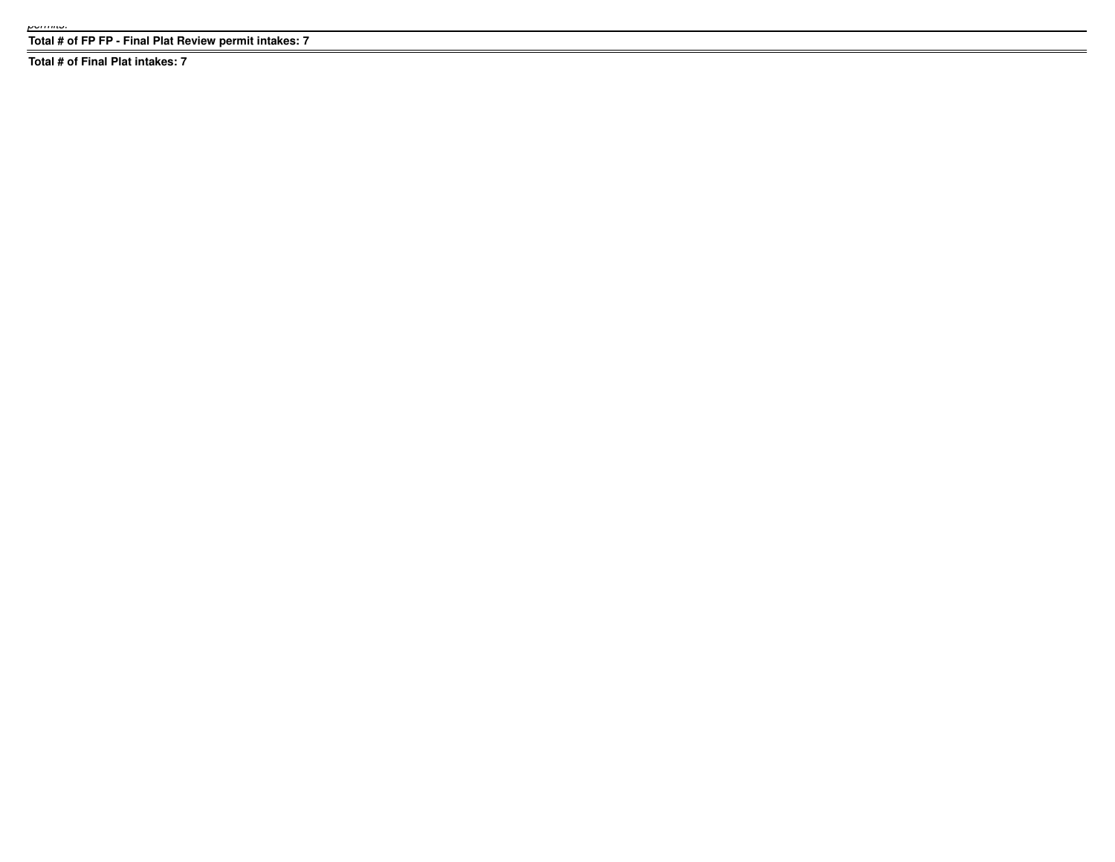**Total # of FP FP - Final Plat Review permit intakes: 7**

**Total # of Final Plat intakes: 7**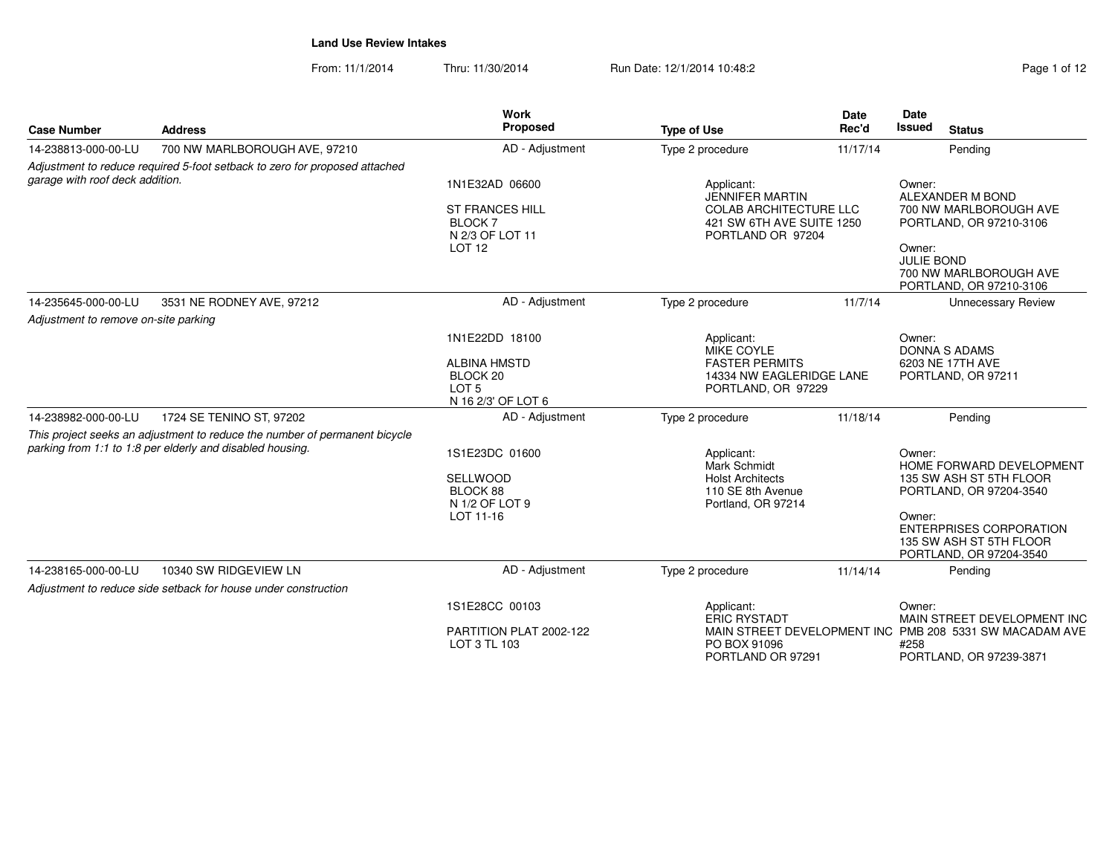From: 11/1/2014Thru: 11/30/2014 Run Date: 12/1/2014 10:48:2

| Page 1 of 12 |  |  |
|--------------|--|--|
|              |  |  |

| <b>Case Number</b>                   | <b>Address</b>                                                                                                                          | Work<br>Proposed                                                                     | <b>Type of Use</b>                                                                                                      | <b>Date</b><br>Rec'd | Date<br><b>Issued</b><br><b>Status</b>                                                         |
|--------------------------------------|-----------------------------------------------------------------------------------------------------------------------------------------|--------------------------------------------------------------------------------------|-------------------------------------------------------------------------------------------------------------------------|----------------------|------------------------------------------------------------------------------------------------|
| 14-238813-000-00-LU                  | 700 NW MARLBOROUGH AVE, 97210                                                                                                           | AD - Adjustment                                                                      | Type 2 procedure                                                                                                        | 11/17/14             | Pending                                                                                        |
| garage with roof deck addition.      | Adjustment to reduce required 5-foot setback to zero for proposed attached                                                              |                                                                                      |                                                                                                                         |                      |                                                                                                |
|                                      |                                                                                                                                         | 1N1E32AD 06600<br><b>ST FRANCES HILL</b><br>BLOCK 7<br>N 2/3 OF LOT 11               | Applicant:<br><b>JENNIFER MARTIN</b><br><b>COLAB ARCHITECTURE LLC</b><br>421 SW 6TH AVE SUITE 1250<br>PORTLAND OR 97204 |                      | Owner:<br>ALEXANDER M BOND<br>700 NW MARLBOROUGH AVE<br>PORTLAND, OR 97210-3106                |
|                                      |                                                                                                                                         | LOT <sub>12</sub>                                                                    |                                                                                                                         |                      | Owner:<br><b>JULIE BOND</b><br>700 NW MARLBOROUGH AVE<br>PORTLAND, OR 97210-3106               |
| 14-235645-000-00-LU                  | 3531 NE RODNEY AVE, 97212                                                                                                               | AD - Adjustment                                                                      | Type 2 procedure                                                                                                        | 11/7/14              | <b>Unnecessary Review</b>                                                                      |
| Adjustment to remove on-site parking |                                                                                                                                         |                                                                                      |                                                                                                                         |                      |                                                                                                |
|                                      |                                                                                                                                         | 1N1E22DD 18100                                                                       | Applicant:<br>MIKE COYLE                                                                                                |                      | Owner:                                                                                         |
|                                      |                                                                                                                                         | <b>ALBINA HMSTD</b><br>BLOCK <sub>20</sub><br>LOT <sub>5</sub><br>N 16 2/3' OF LOT 6 | <b>FASTER PERMITS</b><br>14334 NW EAGLERIDGE LANE<br>PORTLAND, OR 97229                                                 |                      | DONNA S ADAMS<br>6203 NE 17TH AVE<br>PORTLAND, OR 97211                                        |
| 14-238982-000-00-LU                  | 1724 SE TENINO ST, 97202                                                                                                                | AD - Adjustment                                                                      | Type 2 procedure                                                                                                        | 11/18/14             | Pending                                                                                        |
|                                      | This project seeks an adjustment to reduce the number of permanent bicycle<br>parking from 1:1 to 1:8 per elderly and disabled housing. |                                                                                      |                                                                                                                         |                      |                                                                                                |
|                                      |                                                                                                                                         | 1S1E23DC 01600                                                                       | Applicant:<br><b>Mark Schmidt</b>                                                                                       |                      | Owner:<br>HOME FORWARD DEVELOPMENT                                                             |
|                                      |                                                                                                                                         | <b>SELLWOOD</b><br>BLOCK 88<br>N 1/2 OF LOT 9                                        | <b>Holst Architects</b><br>110 SE 8th Avenue<br>Portland, OR 97214                                                      |                      | 135 SW ASH ST 5TH FLOOR<br>PORTLAND, OR 97204-3540                                             |
|                                      |                                                                                                                                         | LOT 11-16                                                                            |                                                                                                                         |                      | Owner:<br><b>ENTERPRISES CORPORATION</b><br>135 SW ASH ST 5TH FLOOR<br>PORTLAND, OR 97204-3540 |
| 14-238165-000-00-LU                  | 10340 SW RIDGEVIEW LN                                                                                                                   | AD - Adjustment                                                                      | Type 2 procedure                                                                                                        | 11/14/14             | Pending                                                                                        |
|                                      | Adjustment to reduce side setback for house under construction                                                                          |                                                                                      |                                                                                                                         |                      |                                                                                                |
|                                      |                                                                                                                                         | 1S1E28CC 00103                                                                       | Applicant:<br><b>ERIC RYSTADT</b>                                                                                       |                      | Owner:<br>MAIN STREET DEVELOPMENT INC                                                          |
|                                      |                                                                                                                                         | PARTITION PLAT 2002-122<br>LOT 3 TL 103                                              | PO BOX 91096<br>PORTLAND OR 97291                                                                                       |                      | MAIN STREET DEVELOPMENT INC PMB 208 5331 SW MACADAM AVE<br>#258<br>PORTLAND, OR 97239-3871     |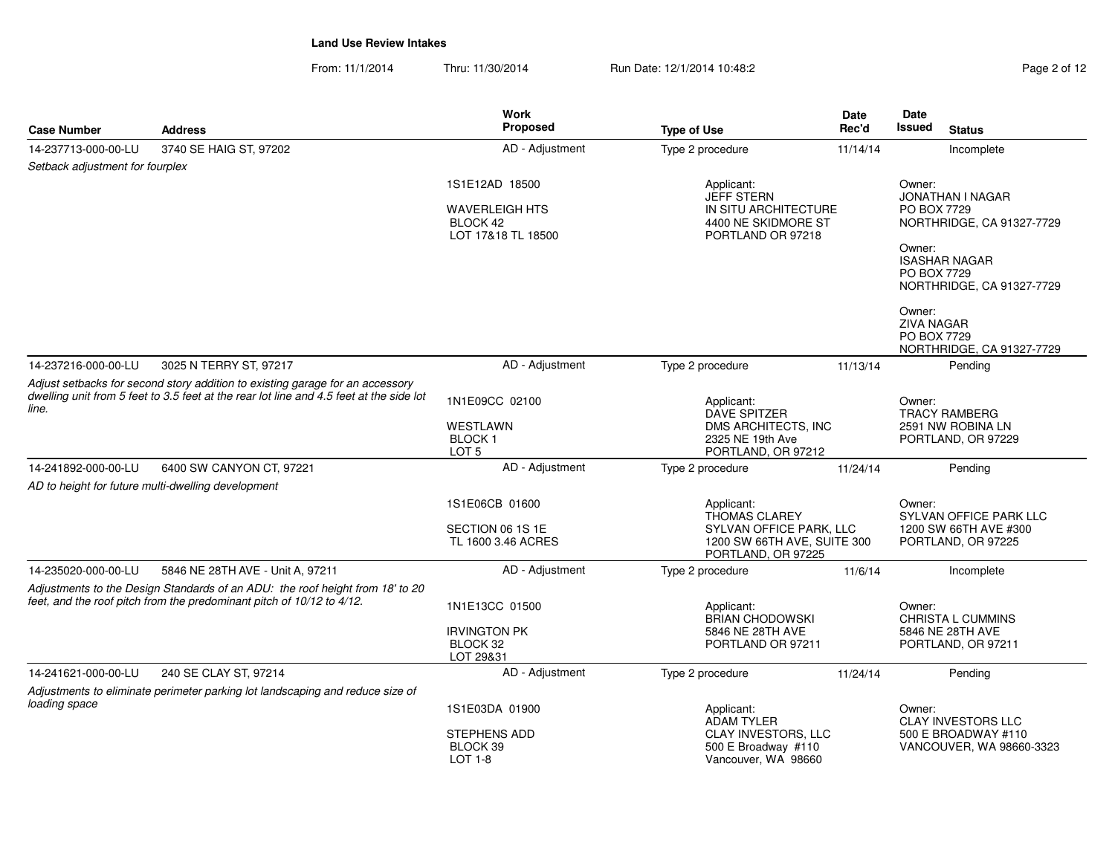From: 11/1/2014Thru: 11/30/2014 Run Date: 12/1/2014 10:48:2<br>
Page 2 of 12

|                                                                                                                                                                                   |                                                                                                                                                        | Work                                                    |                                                                              | Date     | Date                                        |                                                   |
|-----------------------------------------------------------------------------------------------------------------------------------------------------------------------------------|--------------------------------------------------------------------------------------------------------------------------------------------------------|---------------------------------------------------------|------------------------------------------------------------------------------|----------|---------------------------------------------|---------------------------------------------------|
| <b>Case Number</b>                                                                                                                                                                | <b>Address</b>                                                                                                                                         | <b>Proposed</b>                                         | <b>Type of Use</b>                                                           | Rec'd    | <b>Issued</b>                               | <b>Status</b>                                     |
| 14-237713-000-00-LU                                                                                                                                                               | 3740 SE HAIG ST, 97202                                                                                                                                 | AD - Adjustment                                         | Type 2 procedure                                                             | 11/14/14 |                                             | Incomplete                                        |
| Setback adjustment for fourplex                                                                                                                                                   |                                                                                                                                                        |                                                         |                                                                              |          |                                             |                                                   |
|                                                                                                                                                                                   |                                                                                                                                                        | 1S1E12AD 18500                                          | Applicant:<br><b>JEFF STERN</b>                                              |          | Owner:                                      | <b>JONATHAN I NAGAR</b>                           |
|                                                                                                                                                                                   |                                                                                                                                                        | <b>WAVERLEIGH HTS</b><br>BLOCK 42<br>LOT 17&18 TL 18500 | IN SITU ARCHITECTURE<br>4400 NE SKIDMORE ST<br>PORTLAND OR 97218             |          | PO BOX 7729<br>Owner:                       | NORTHRIDGE, CA 91327-7729<br><b>ISASHAR NAGAR</b> |
|                                                                                                                                                                                   |                                                                                                                                                        |                                                         |                                                                              |          | PO BOX 7729                                 | NORTHRIDGE, CA 91327-7729                         |
|                                                                                                                                                                                   |                                                                                                                                                        |                                                         |                                                                              |          | Owner:<br><b>ZIVA NAGAR</b><br>PO BOX 7729  | NORTHRIDGE, CA 91327-7729                         |
| 14-237216-000-00-LU                                                                                                                                                               | 3025 N TERRY ST, 97217                                                                                                                                 | AD - Adjustment                                         | Type 2 procedure                                                             | 11/13/14 |                                             | Pending                                           |
| Adjust setbacks for second story addition to existing garage for an accessory<br>dwelling unit from 5 feet to 3.5 feet at the rear lot line and 4.5 feet at the side lot<br>line. |                                                                                                                                                        | 1N1E09CC 02100                                          | Applicant:<br>Owner:<br><b>DAVE SPITZER</b><br><b>TRACY RAMBERG</b>          |          |                                             |                                                   |
|                                                                                                                                                                                   |                                                                                                                                                        | WESTLAWN<br><b>BLOCK1</b><br>LOT <sub>5</sub>           | DMS ARCHITECTS, INC<br>2325 NE 19th Ave<br>PORTLAND, OR 97212                |          | 2591 NW ROBINA LN<br>PORTLAND, OR 97229     |                                                   |
| 14-241892-000-00-LU                                                                                                                                                               | 6400 SW CANYON CT, 97221                                                                                                                               | AD - Adjustment                                         | Type 2 procedure                                                             | 11/24/14 |                                             | Pending                                           |
|                                                                                                                                                                                   | AD to height for future multi-dwelling development                                                                                                     |                                                         |                                                                              |          |                                             |                                                   |
|                                                                                                                                                                                   |                                                                                                                                                        | 1S1E06CB 01600                                          | Applicant:<br><b>THOMAS CLAREY</b>                                           |          | Owner:                                      | SYLVAN OFFICE PARK LLC                            |
|                                                                                                                                                                                   |                                                                                                                                                        | SECTION 06 1S 1E<br>TL 1600 3.46 ACRES                  | SYLVAN OFFICE PARK, LLC<br>1200 SW 66TH AVE, SUITE 300<br>PORTLAND, OR 97225 |          | 1200 SW 66TH AVE #300<br>PORTLAND, OR 97225 |                                                   |
| 14-235020-000-00-LU                                                                                                                                                               | 5846 NE 28TH AVE - Unit A, 97211                                                                                                                       | AD - Adjustment                                         | Type 2 procedure                                                             | 11/6/14  |                                             | Incomplete                                        |
|                                                                                                                                                                                   | Adjustments to the Design Standards of an ADU: the roof height from 18' to 20<br>feet, and the roof pitch from the predominant pitch of 10/12 to 4/12. | 1N1E13CC 01500                                          | Applicant:<br><b>BRIAN CHODOWSKI</b>                                         |          | Owner:<br><b>CHRISTA L CUMMINS</b>          |                                                   |
|                                                                                                                                                                                   |                                                                                                                                                        | <b>IRVINGTON PK</b><br>BLOCK 32<br>LOT 29&31            | 5846 NE 28TH AVE<br>PORTLAND OR 97211                                        |          |                                             | 5846 NE 28TH AVE<br>PORTLAND, OR 97211            |
| 14-241621-000-00-LU                                                                                                                                                               | 240 SE CLAY ST, 97214                                                                                                                                  | AD - Adjustment                                         | Type 2 procedure                                                             | 11/24/14 |                                             | Pending                                           |
|                                                                                                                                                                                   | Adjustments to eliminate perimeter parking lot landscaping and reduce size of                                                                          |                                                         |                                                                              |          |                                             |                                                   |
| loading space                                                                                                                                                                     |                                                                                                                                                        | 1S1E03DA 01900                                          | Applicant:<br><b>ADAM TYLER</b>                                              |          | Owner:                                      | <b>CLAY INVESTORS LLC</b>                         |
|                                                                                                                                                                                   |                                                                                                                                                        | <b>STEPHENS ADD</b><br>BLOCK 39<br>LOT 1-8              | <b>CLAY INVESTORS, LLC</b><br>500 E Broadway #110<br>Vancouver, WA 98660     |          |                                             | 500 E BROADWAY #110<br>VANCOUVER, WA 98660-3323   |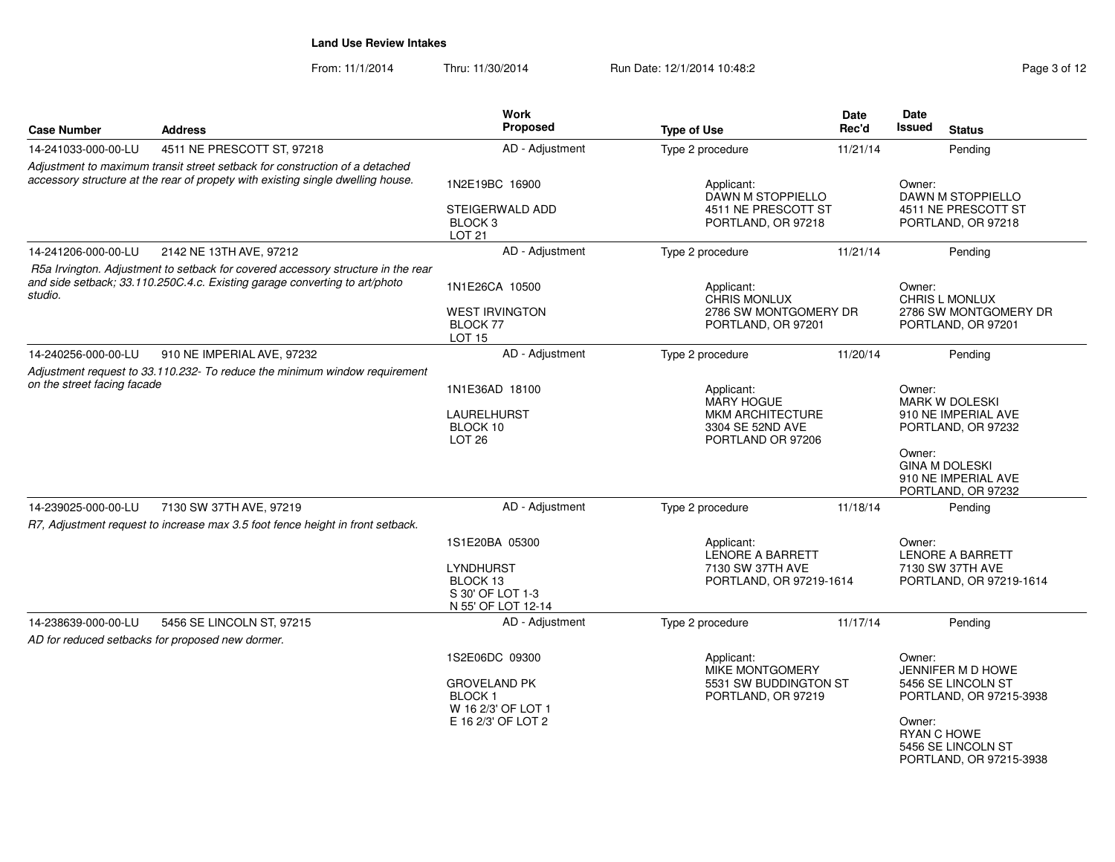From: 11/1/2014Thru: 11/30/2014 Run Date: 12/1/2014 10:48:2<br>
Page 3 of 12

| <b>Case Number</b>          | <b>Address</b>                                                                                                                                                 | <b>Work</b><br><b>Proposed</b>                                                                     | <b>Type of Use</b>                                                                                  | Date<br>Rec'd                                                                | Date<br><b>Issued</b>           | <b>Status</b>                                                                                                                     |
|-----------------------------|----------------------------------------------------------------------------------------------------------------------------------------------------------------|----------------------------------------------------------------------------------------------------|-----------------------------------------------------------------------------------------------------|------------------------------------------------------------------------------|---------------------------------|-----------------------------------------------------------------------------------------------------------------------------------|
| 14-241033-000-00-LU         | 4511 NE PRESCOTT ST, 97218                                                                                                                                     | AD - Adjustment                                                                                    | Type 2 procedure                                                                                    | 11/21/14                                                                     |                                 | Pending                                                                                                                           |
|                             | Adjustment to maximum transit street setback for construction of a detached<br>accessory structure at the rear of propety with existing single dwelling house. | 1N2E19BC 16900<br>STEIGERWALD ADD<br>BLOCK <sub>3</sub><br><b>LOT 21</b>                           |                                                                                                     | Applicant:<br>DAWN M STOPPIELLO<br>4511 NE PRESCOTT ST<br>PORTLAND, OR 97218 |                                 | DAWN M STOPPIELLO<br>4511 NE PRESCOTT ST<br>PORTLAND, OR 97218                                                                    |
| 14-241206-000-00-LU         | 2142 NE 13TH AVE, 97212                                                                                                                                        | AD - Adjustment                                                                                    | Type 2 procedure                                                                                    | 11/21/14                                                                     |                                 | Pending                                                                                                                           |
| studio.                     | R5a Irvington. Adjustment to setback for covered accessory structure in the rear<br>and side setback; 33.110.250C.4.c. Existing garage converting to art/photo | 1N1E26CA 10500<br><b>WEST IRVINGTON</b><br><b>BLOCK 77</b><br>LOT <sub>15</sub>                    | Applicant:<br><b>CHRIS MONLUX</b><br>2786 SW MONTGOMERY DR<br>PORTLAND, OR 97201                    |                                                                              | Owner:                          | CHRIS L MONLUX<br>2786 SW MONTGOMERY DR<br>PORTLAND, OR 97201                                                                     |
| 14-240256-000-00-LU         | 910 NE IMPERIAL AVE, 97232                                                                                                                                     | AD - Adjustment                                                                                    | Type 2 procedure                                                                                    | 11/20/14                                                                     |                                 | Pending                                                                                                                           |
| on the street facing facade | Adjustment request to 33.110.232- To reduce the minimum window requirement                                                                                     | 1N1E36AD 18100<br>LAURELHURST<br>BLOCK 10<br>LOT <sub>26</sub>                                     | Applicant:<br><b>MARY HOGUE</b><br><b>MKM ARCHITECTURE</b><br>3304 SE 52ND AVE<br>PORTLAND OR 97206 |                                                                              | Owner:<br>Owner:                | MARK W DOLESKI<br>910 NE IMPERIAL AVE<br>PORTLAND, OR 97232<br><b>GINA M DOLESKI</b><br>910 NE IMPERIAL AVE<br>PORTLAND, OR 97232 |
| 14-239025-000-00-LU         | 7130 SW 37TH AVE, 97219                                                                                                                                        | AD - Adjustment                                                                                    | Type 2 procedure                                                                                    | 11/18/14                                                                     |                                 | Pending                                                                                                                           |
|                             | R7, Adjustment request to increase max 3.5 foot fence height in front setback.                                                                                 | 1S1E20BA 05300<br>LYNDHURST<br>BLOCK 13<br>S 30' OF LOT 1-3<br>N 55' OF LOT 12-14                  | Applicant:<br>LENORE A BARRETT<br>7130 SW 37TH AVE<br>PORTLAND, OR 97219-1614                       |                                                                              | Owner:                          | <b>LENORE A BARRETT</b><br>7130 SW 37TH AVE<br>PORTLAND, OR 97219-1614                                                            |
| 14-238639-000-00-LU         | 5456 SE LINCOLN ST, 97215<br>AD for reduced setbacks for proposed new dormer.                                                                                  | AD - Adjustment                                                                                    | Type 2 procedure                                                                                    | 11/17/14                                                                     |                                 | Pending                                                                                                                           |
|                             |                                                                                                                                                                | 1S2E06DC 09300<br><b>GROVELAND PK</b><br><b>BLOCK1</b><br>W 16 2/3' OF LOT 1<br>E 16 2/3' OF LOT 2 | Applicant:<br><b>MIKE MONTGOMERY</b><br>5531 SW BUDDINGTON ST<br>PORTLAND, OR 97219                 |                                                                              | Owner:<br>Owner:<br>RYAN C HOWE | JENNIFER M D HOWE<br>5456 SE LINCOLN ST<br>PORTLAND, OR 97215-3938<br>5456 SE LINCOLN ST<br>PORTLAND, OR 97215-3938               |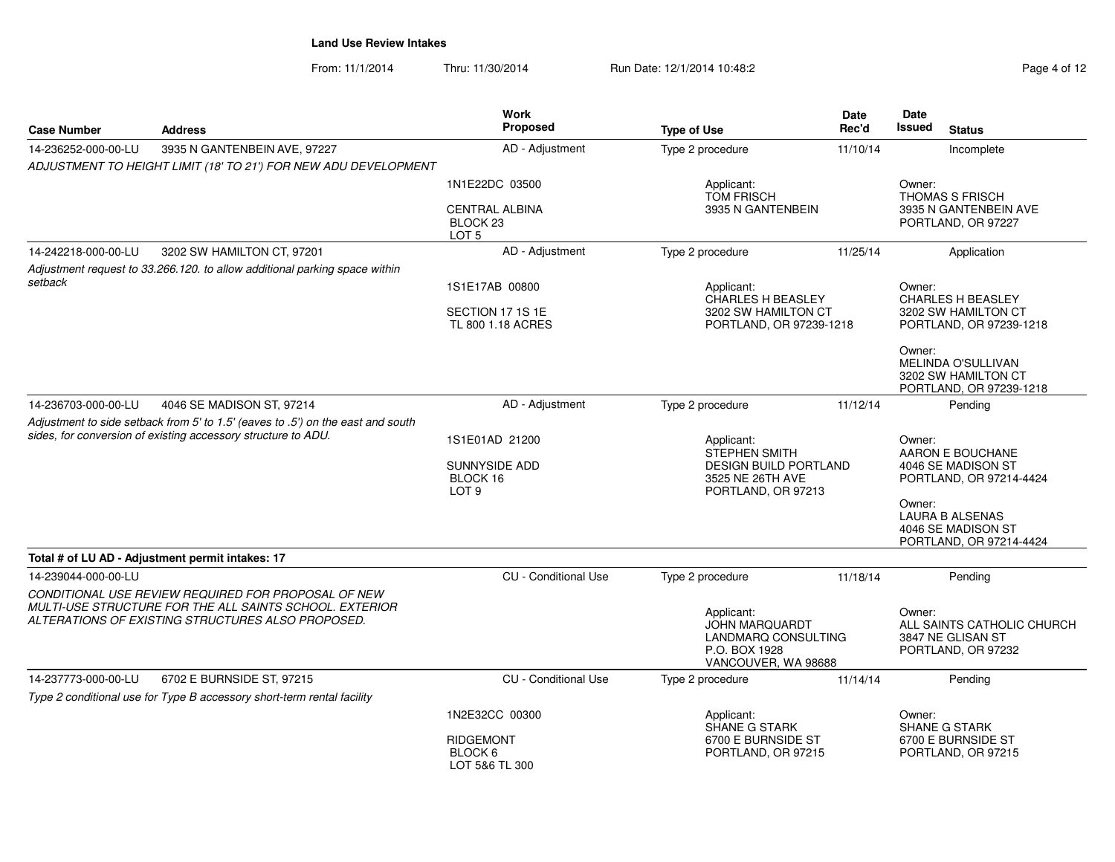From: 11/1/2014Thru: 11/30/2014 Run Date: 12/1/2014 10:48:2<br>
Page 4 of 12

| <b>Case Number</b>                                                                                                                               | <b>Address</b>                                                                                                                                                      | <b>Work</b><br><b>Proposed</b>                                         | <b>Type of Use</b>                                                                                 | Date<br>Rec'd                | Date<br><b>Issued</b><br><b>Status</b>                                            |
|--------------------------------------------------------------------------------------------------------------------------------------------------|---------------------------------------------------------------------------------------------------------------------------------------------------------------------|------------------------------------------------------------------------|----------------------------------------------------------------------------------------------------|------------------------------|-----------------------------------------------------------------------------------|
| 14-236252-000-00-LU                                                                                                                              | 3935 N GANTENBEIN AVE, 97227                                                                                                                                        | AD - Adjustment                                                        | Type 2 procedure                                                                                   | 11/10/14                     | Incomplete                                                                        |
|                                                                                                                                                  | ADJUSTMENT TO HEIGHT LIMIT (18' TO 21') FOR NEW ADU DEVELOPMENT                                                                                                     |                                                                        |                                                                                                    |                              |                                                                                   |
|                                                                                                                                                  |                                                                                                                                                                     | 1N1E22DC 03500                                                         | Applicant:<br><b>TOM FRISCH</b>                                                                    |                              | Owner:<br><b>THOMAS S FRISCH</b>                                                  |
|                                                                                                                                                  |                                                                                                                                                                     | <b>CENTRAL ALBINA</b><br>BLOCK <sub>23</sub><br>LOT <sub>5</sub>       | 3935 N GANTENBEIN                                                                                  |                              | 3935 N GANTENBEIN AVE<br>PORTLAND, OR 97227                                       |
| 14-242218-000-00-LU                                                                                                                              | 3202 SW HAMILTON CT, 97201                                                                                                                                          | AD - Adjustment                                                        | Type 2 procedure                                                                                   | 11/25/14                     | Application                                                                       |
|                                                                                                                                                  | Adjustment request to 33.266.120. to allow additional parking space within                                                                                          |                                                                        |                                                                                                    |                              |                                                                                   |
| setback                                                                                                                                          |                                                                                                                                                                     | 1S1E17AB 00800                                                         | Applicant:                                                                                         |                              | Owner:                                                                            |
|                                                                                                                                                  |                                                                                                                                                                     | SECTION 17 1S 1E<br>TL 800 1.18 ACRES                                  | <b>CHARLES H BEASLEY</b><br>3202 SW HAMILTON CT<br>PORTLAND, OR 97239-1218                         |                              | <b>CHARLES H BEASLEY</b><br>3202 SW HAMILTON CT<br>PORTLAND, OR 97239-1218        |
|                                                                                                                                                  |                                                                                                                                                                     |                                                                        |                                                                                                    |                              | Owner:<br>MELINDA O'SULLIVAN<br>3202 SW HAMILTON CT<br>PORTLAND, OR 97239-1218    |
| 14-236703-000-00-LU                                                                                                                              | 4046 SE MADISON ST, 97214                                                                                                                                           | AD - Adjustment                                                        | Type 2 procedure                                                                                   | 11/12/14                     | Pending                                                                           |
| Adjustment to side setback from 5' to 1.5' (eaves to .5') on the east and south<br>sides, for conversion of existing accessory structure to ADU. |                                                                                                                                                                     | 1S1E01AD 21200<br><b>SUNNYSIDE ADD</b><br>BLOCK 16<br>LOT <sub>9</sub> | Applicant:<br>STEPHEN SMITH<br>3525 NE 26TH AVE<br>PORTLAND, OR 97213                              | <b>DESIGN BUILD PORTLAND</b> |                                                                                   |
|                                                                                                                                                  |                                                                                                                                                                     |                                                                        |                                                                                                    |                              | Owner:<br><b>LAURA B ALSENAS</b><br>4046 SE MADISON ST<br>PORTLAND, OR 97214-4424 |
|                                                                                                                                                  | Total # of LU AD - Adjustment permit intakes: 17                                                                                                                    |                                                                        |                                                                                                    |                              |                                                                                   |
| 14-239044-000-00-LU                                                                                                                              |                                                                                                                                                                     | <b>CU</b> - Conditional Use                                            | Type 2 procedure                                                                                   | 11/18/14                     | Pending                                                                           |
|                                                                                                                                                  | CONDITIONAL USE REVIEW REQUIRED FOR PROPOSAL OF NEW<br>MULTI-USE STRUCTURE FOR THE ALL SAINTS SCHOOL. EXTERIOR<br>ALTERATIONS OF EXISTING STRUCTURES ALSO PROPOSED. |                                                                        | Applicant:<br><b>JOHN MARQUARDT</b><br>LANDMARQ CONSULTING<br>P.O. BOX 1928<br>VANCOUVER, WA 98688 |                              | Owner:<br>ALL SAINTS CATHOLIC CHURCH<br>3847 NE GLISAN ST<br>PORTLAND, OR 97232   |
| 14-237773-000-00-LU                                                                                                                              | 6702 E BURNSIDE ST, 97215                                                                                                                                           | CU - Conditional Use                                                   | Type 2 procedure                                                                                   | 11/14/14                     | Pending                                                                           |
|                                                                                                                                                  | Type 2 conditional use for Type B accessory short-term rental facility                                                                                              |                                                                        |                                                                                                    |                              |                                                                                   |
|                                                                                                                                                  |                                                                                                                                                                     | 1N2E32CC 00300                                                         | Applicant:<br><b>SHANE G STARK</b>                                                                 |                              | Owner:<br><b>SHANE G STARK</b>                                                    |
|                                                                                                                                                  |                                                                                                                                                                     | <b>RIDGEMONT</b><br>BLOCK 6<br>LOT 5&6 TL 300                          | 6700 E BURNSIDE ST<br>PORTLAND, OR 97215                                                           |                              | 6700 E BURNSIDE ST<br>PORTLAND, OR 97215                                          |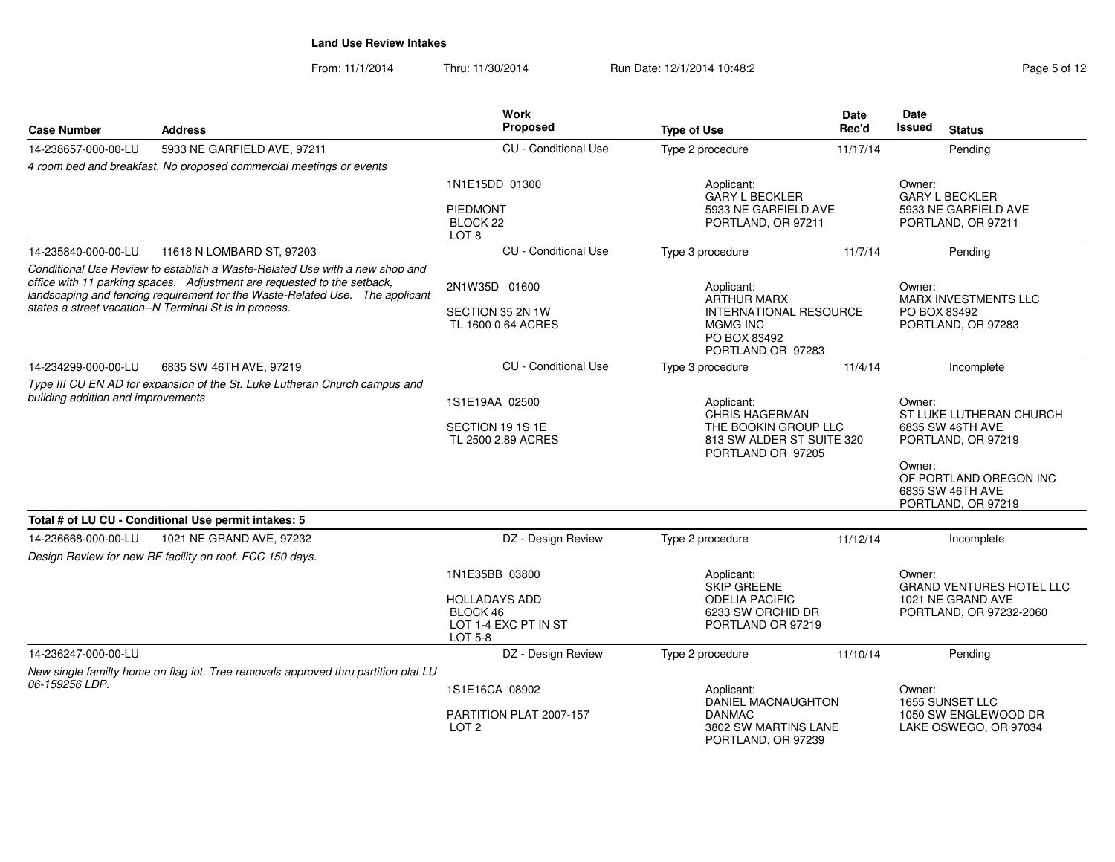From: 11/1/2014Thru: 11/30/2014 Run Date: 12/1/2014 10:48:2<br>
Page 5 of 12

| <b>Case Number</b>                 | <b>Address</b>                                                                                                                                                                                                                         | Work<br>Proposed                                                    | <b>Type of Use</b>                                                     | Date<br>Rec'd                     | Date<br><b>Issued</b> | <b>Status</b>                                                    |
|------------------------------------|----------------------------------------------------------------------------------------------------------------------------------------------------------------------------------------------------------------------------------------|---------------------------------------------------------------------|------------------------------------------------------------------------|-----------------------------------|-----------------------|------------------------------------------------------------------|
| 14-238657-000-00-LU                | 5933 NE GARFIELD AVE, 97211                                                                                                                                                                                                            | <b>CU</b> - Conditional Use                                         | Type 2 procedure                                                       | 11/17/14                          |                       | Pending                                                          |
|                                    | 4 room bed and breakfast. No proposed commercial meetings or events                                                                                                                                                                    |                                                                     |                                                                        |                                   |                       |                                                                  |
|                                    |                                                                                                                                                                                                                                        | 1N1E15DD 01300                                                      | Applicant:<br><b>GARY L BECKLER</b>                                    |                                   | Owner:                | <b>GARY L BECKLER</b>                                            |
|                                    |                                                                                                                                                                                                                                        | PIEDMONT<br>BLOCK <sub>22</sub><br>LOT <sub>8</sub>                 | 5933 NE GARFIELD AVE<br>PORTLAND, OR 97211                             |                                   |                       | 5933 NE GARFIELD AVE<br>PORTLAND, OR 97211                       |
| 14-235840-000-00-LU                | 11618 N LOMBARD ST, 97203                                                                                                                                                                                                              | <b>CU</b> - Conditional Use                                         | Type 3 procedure                                                       | 11/7/14                           |                       | Pending                                                          |
|                                    | Conditional Use Review to establish a Waste-Related Use with a new shop and<br>office with 11 parking spaces. Adjustment are requested to the setback,<br>landscaping and fencing requirement for the Waste-Related Use. The applicant | 2N1W35D 01600                                                       | Applicant:                                                             |                                   | Owner:                |                                                                  |
|                                    | states a street vacation--N Terminal St is in process.                                                                                                                                                                                 | SECTION 35 2N 1W                                                    | <b>ARTHUR MARX</b><br><b>INTERNATIONAL RESOURCE</b>                    |                                   | PO BOX 83492          | <b>MARX INVESTMENTS LLC</b>                                      |
|                                    |                                                                                                                                                                                                                                        | TL 1600 0.64 ACRES                                                  | <b>MGMG INC</b><br>PO BOX 83492<br>PORTLAND OR 97283                   |                                   |                       | PORTLAND, OR 97283                                               |
| 14-234299-000-00-LU                | 6835 SW 46TH AVE, 97219                                                                                                                                                                                                                | <b>CU</b> - Conditional Use                                         | Type 3 procedure                                                       | 11/4/14                           |                       | Incomplete                                                       |
|                                    | Type III CU EN AD for expansion of the St. Luke Lutheran Church campus and                                                                                                                                                             |                                                                     |                                                                        |                                   |                       |                                                                  |
| building addition and improvements |                                                                                                                                                                                                                                        | 1S1E19AA 02500                                                      | Applicant:<br><b>CHRIS HAGERMAN</b>                                    | Owner:<br>ST LUKE LUTHERAN CHURCH |                       |                                                                  |
|                                    |                                                                                                                                                                                                                                        | SECTION 19 1S 1E<br>TL 2500 2.89 ACRES                              | THE BOOKIN GROUP LLC<br>813 SW ALDER ST SUITE 320<br>PORTLAND OR 97205 |                                   |                       | 6835 SW 46TH AVE<br>PORTLAND, OR 97219                           |
|                                    |                                                                                                                                                                                                                                        |                                                                     |                                                                        |                                   | Owner:                | OF PORTLAND OREGON INC<br>6835 SW 46TH AVE<br>PORTLAND, OR 97219 |
|                                    | Total # of LU CU - Conditional Use permit intakes: 5                                                                                                                                                                                   |                                                                     |                                                                        |                                   |                       |                                                                  |
| 14-236668-000-00-LU                | 1021 NE GRAND AVE, 97232<br>Design Review for new RF facility on roof. FCC 150 days.                                                                                                                                                   | DZ - Design Review                                                  | Type 2 procedure                                                       | 11/12/14                          |                       | Incomplete                                                       |
|                                    |                                                                                                                                                                                                                                        | 1N1E35BB 03800                                                      | Applicant:<br>SKIP GREENE                                              |                                   | Owner:                | <b>GRAND VENTURES HOTEL LLC</b>                                  |
|                                    |                                                                                                                                                                                                                                        | <b>HOLLADAYS ADD</b><br>BLOCK 46<br>LOT 1-4 EXC PT IN ST<br>LOT 5-8 | <b>ODELIA PACIFIC</b><br>6233 SW ORCHID DR<br>PORTLAND OR 97219        |                                   |                       | 1021 NE GRAND AVE<br>PORTLAND, OR 97232-2060                     |
| 14-236247-000-00-LU                |                                                                                                                                                                                                                                        | DZ - Design Review                                                  | Type 2 procedure                                                       | 11/10/14                          |                       | Pending                                                          |
|                                    | New single familty home on flag lot. Tree removals approved thru partition plat LU                                                                                                                                                     |                                                                     |                                                                        |                                   |                       |                                                                  |
| 06-159256 LDP.                     |                                                                                                                                                                                                                                        | 1S1E16CA 08902                                                      | Applicant:<br>DANIEL MACNAUGHTON                                       |                                   | Owner:                | 1655 SUNSET LLC                                                  |
|                                    |                                                                                                                                                                                                                                        | PARTITION PLAT 2007-157<br>LOT <sub>2</sub>                         | <b>DANMAC</b><br>3802 SW MARTINS LANE<br>PORTLAND, OR 97239            |                                   |                       | 1050 SW ENGLEWOOD DR<br>LAKE OSWEGO, OR 97034                    |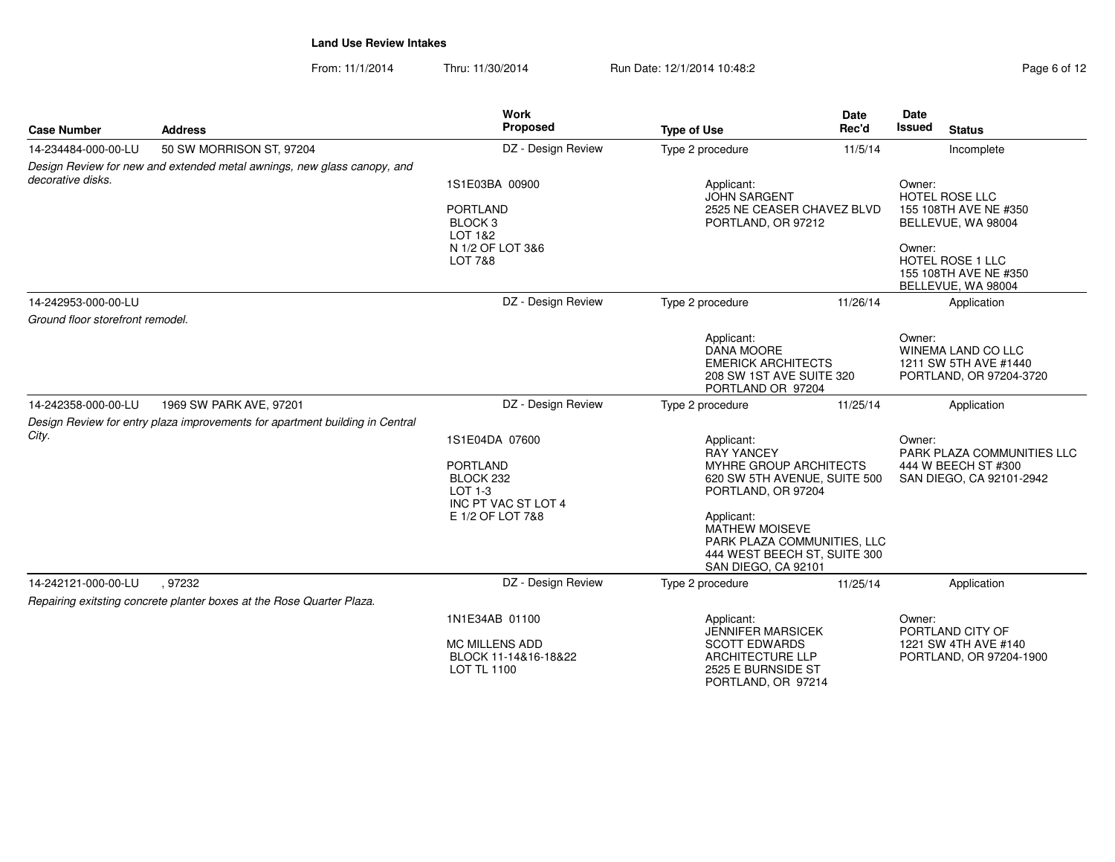From: 11/1/2014Thru: 11/30/2014 Run Date: 12/1/2014 10:48:2<br>
Page 6 of 12

| <b>Case Number</b>               | <b>Address</b>                                                               | <b>Work</b><br>Proposed                                             | <b>Type of Use</b>                                                                                                        | <b>Date</b><br>Rec'd | <b>Date</b><br>Issued<br><b>Status</b>                                                  |
|----------------------------------|------------------------------------------------------------------------------|---------------------------------------------------------------------|---------------------------------------------------------------------------------------------------------------------------|----------------------|-----------------------------------------------------------------------------------------|
| 14-234484-000-00-LU              | 50 SW MORRISON ST, 97204                                                     | DZ - Design Review                                                  | Type 2 procedure                                                                                                          | 11/5/14              | Incomplete                                                                              |
|                                  | Design Review for new and extended metal awnings, new glass canopy, and      |                                                                     |                                                                                                                           |                      |                                                                                         |
| decorative disks.                |                                                                              | 1S1E03BA 00900<br><b>PORTLAND</b>                                   | Applicant:<br><b>JOHN SARGENT</b><br>2525 NE CEASER CHAVEZ BLVD                                                           |                      | Owner:<br>HOTEL ROSE LLC<br>155 108TH AVE NE #350                                       |
|                                  |                                                                              | BLOCK <sub>3</sub><br>LOT 1&2                                       | PORTLAND, OR 97212                                                                                                        |                      | BELLEVUE, WA 98004                                                                      |
|                                  |                                                                              | N 1/2 OF LOT 3&6<br><b>LOT 7&amp;8</b>                              |                                                                                                                           |                      | Owner:<br><b>HOTEL ROSE 1 LLC</b><br>155 108TH AVE NE #350<br>BELLEVUE, WA 98004        |
| 14-242953-000-00-LU              |                                                                              | DZ - Design Review                                                  | Type 2 procedure                                                                                                          | 11/26/14             | Application                                                                             |
| Ground floor storefront remodel. |                                                                              |                                                                     |                                                                                                                           |                      |                                                                                         |
|                                  |                                                                              |                                                                     | Applicant:<br><b>DANA MOORE</b><br><b>EMERICK ARCHITECTS</b><br>208 SW 1ST AVE SUITE 320<br>PORTLAND OR 97204             |                      | Owner:<br><b>WINEMA LAND CO LLC</b><br>1211 SW 5TH AVE #1440<br>PORTLAND, OR 97204-3720 |
| 14-242358-000-00-LU              | 1969 SW PARK AVE, 97201                                                      | DZ - Design Review                                                  | Type 2 procedure                                                                                                          | 11/25/14             | Application                                                                             |
|                                  | Design Review for entry plaza improvements for apartment building in Central |                                                                     |                                                                                                                           |                      |                                                                                         |
| City.                            |                                                                              | 1S1E04DA 07600                                                      | Applicant:<br><b>RAY YANCEY</b>                                                                                           |                      | Owner:<br>PARK PLAZA COMMUNITIES LLC                                                    |
|                                  |                                                                              | <b>PORTLAND</b><br>BLOCK 232<br>$LOT 1-3$<br>INC PT VAC ST LOT 4    | MYHRE GROUP ARCHITECTS<br>620 SW 5TH AVENUE, SUITE 500<br>PORTLAND, OR 97204                                              |                      | 444 W BEECH ST #300<br>SAN DIEGO, CA 92101-2942                                         |
|                                  |                                                                              | E 1/2 OF LOT 7&8                                                    | Applicant:<br><b>MATHEW MOISEVE</b><br>PARK PLAZA COMMUNITIES, LLC<br>444 WEST BEECH ST, SUITE 300<br>SAN DIEGO, CA 92101 |                      |                                                                                         |
| 14-242121-000-00-LU              | .97232                                                                       | DZ - Design Review                                                  | Type 2 procedure                                                                                                          | 11/25/14             | Application                                                                             |
|                                  | Repairing exitsting concrete planter boxes at the Rose Quarter Plaza.        |                                                                     |                                                                                                                           |                      |                                                                                         |
|                                  |                                                                              | 1N1E34AB 01100                                                      | Applicant:<br><b>JENNIFER MARSICEK</b>                                                                                    |                      | Owner:<br>PORTLAND CITY OF                                                              |
|                                  |                                                                              | <b>MC MILLENS ADD</b><br>BLOCK 11-14&16-18&22<br><b>LOT TL 1100</b> | <b>SCOTT EDWARDS</b><br><b>ARCHITECTURE LLP</b><br>2525 E BURNSIDE ST<br>PORTLAND, OR 97214                               |                      | 1221 SW 4TH AVE #140<br>PORTLAND, OR 97204-1900                                         |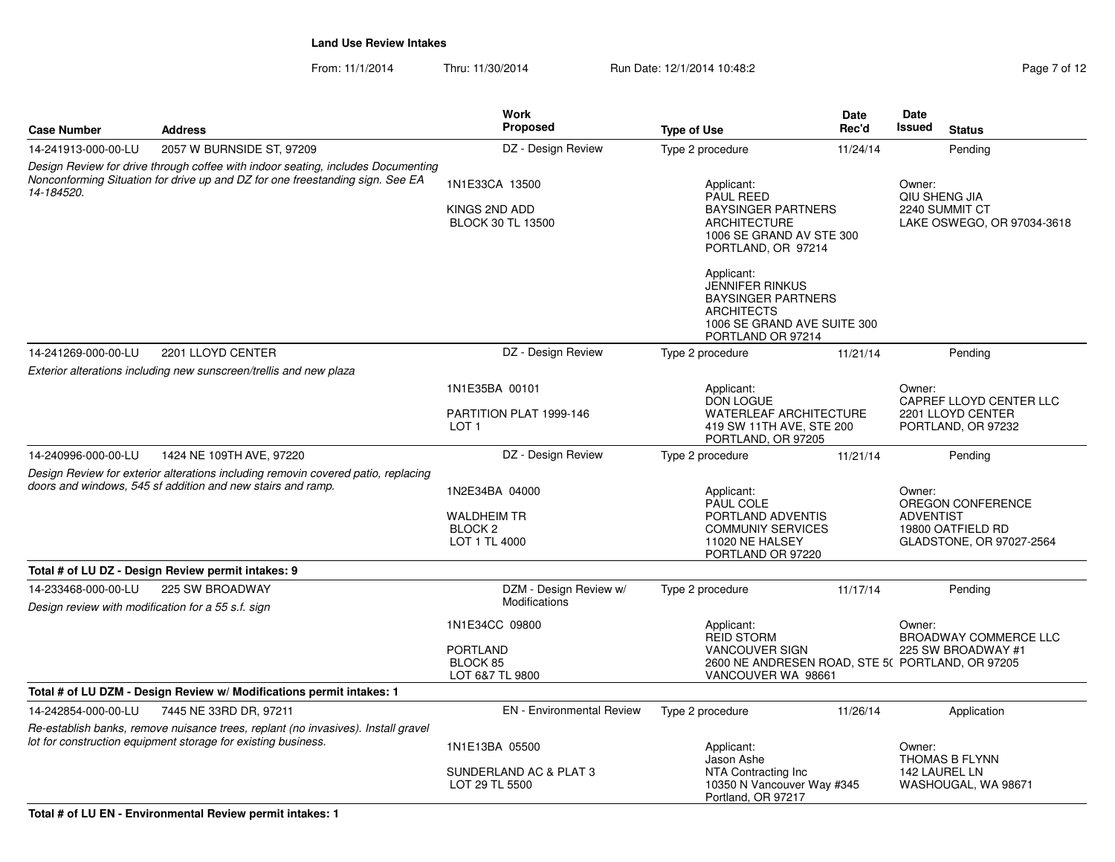From: 11/1/2014Thru: 11/30/2014 Run Date: 12/1/2014 10:48:2<br>
Page 7 of 12

|                                                                                                                                                                                 |                                                                                                                                                    | <b>Work</b><br>Proposed                                                     |                                                                                                                                      | Date<br>Rec'd | Date<br>Issued                                                                                                   |  |
|---------------------------------------------------------------------------------------------------------------------------------------------------------------------------------|----------------------------------------------------------------------------------------------------------------------------------------------------|-----------------------------------------------------------------------------|--------------------------------------------------------------------------------------------------------------------------------------|---------------|------------------------------------------------------------------------------------------------------------------|--|
| <b>Case Number</b>                                                                                                                                                              | <b>Address</b>                                                                                                                                     |                                                                             | <b>Type of Use</b>                                                                                                                   |               | <b>Status</b>                                                                                                    |  |
| 14-241913-000-00-LU                                                                                                                                                             | 2057 W BURNSIDE ST, 97209                                                                                                                          | DZ - Design Review                                                          | Type 2 procedure                                                                                                                     | 11/24/14      | Pending                                                                                                          |  |
| Design Review for drive through coffee with indoor seating, includes Documenting<br>Nonconforming Situation for drive up and DZ for one freestanding sign. See EA<br>14-184520. |                                                                                                                                                    | 1N1E33CA 13500<br>KINGS 2ND ADD<br><b>BLOCK 30 TL 13500</b>                 | Applicant:<br><b>PAUL REED</b><br><b>BAYSINGER PARTNERS</b><br><b>ARCHITECTURE</b><br>1006 SE GRAND AV STE 300<br>PORTLAND, OR 97214 |               | Owner:<br>QIU SHENG JIA<br>2240 SUMMIT CT<br>LAKE OSWEGO, OR 97034-3618                                          |  |
|                                                                                                                                                                                 |                                                                                                                                                    |                                                                             | Applicant:<br>JENNIFER RINKUS<br><b>BAYSINGER PARTNERS</b><br><b>ARCHITECTS</b><br>1006 SE GRAND AVE SUITE 300<br>PORTLAND OR 97214  |               |                                                                                                                  |  |
| 14-241269-000-00-LU                                                                                                                                                             | 2201 LLOYD CENTER                                                                                                                                  | DZ - Design Review                                                          | Type 2 procedure                                                                                                                     | 11/21/14      | Pending                                                                                                          |  |
|                                                                                                                                                                                 | Exterior alterations including new sunscreen/trellis and new plaza                                                                                 |                                                                             |                                                                                                                                      |               |                                                                                                                  |  |
|                                                                                                                                                                                 |                                                                                                                                                    | 1N1E35BA 00101                                                              | Applicant:                                                                                                                           |               | Owner:                                                                                                           |  |
|                                                                                                                                                                                 |                                                                                                                                                    | PARTITION PLAT 1999-146<br>LOT <sub>1</sub>                                 | <b>DON LOGUE</b><br><b>WATERLEAF ARCHITECTURE</b><br>419 SW 11TH AVE, STE 200<br>PORTLAND, OR 97205                                  |               | CAPREF LLOYD CENTER LLC<br>2201 LLOYD CENTER<br>PORTLAND, OR 97232                                               |  |
| 14-240996-000-00-LU                                                                                                                                                             | 1424 NE 109TH AVE, 97220                                                                                                                           | DZ - Design Review                                                          | Type 2 procedure                                                                                                                     | 11/21/14      | Pending                                                                                                          |  |
|                                                                                                                                                                                 | Design Review for exterior alterations including removin covered patio, replacing<br>doors and windows, 545 sf addition and new stairs and ramp.   | 1N2E34BA 04000<br><b>WALDHEIM TR</b><br>BLOCK <sub>2</sub><br>LOT 1 TL 4000 | Applicant:<br>PAUL COLE<br>PORTLAND ADVENTIS<br><b>COMMUNIY SERVICES</b><br>11020 NE HALSEY<br>PORTLAND OR 97220                     |               | Owner:<br>OREGON CONFERENCE<br><b>ADVENTIST</b><br>19800 OATFIELD RD<br>GLADSTONE, OR 97027-2564                 |  |
|                                                                                                                                                                                 | Total # of LU DZ - Design Review permit intakes: 9                                                                                                 |                                                                             |                                                                                                                                      |               |                                                                                                                  |  |
| 14-233468-000-00-LU<br>Design review with modification for a 55 s.f. sign                                                                                                       | 225 SW BROADWAY                                                                                                                                    | DZM - Design Review w/<br>Modifications                                     | Type 2 procedure                                                                                                                     | 11/17/14      | Pending                                                                                                          |  |
|                                                                                                                                                                                 |                                                                                                                                                    | 1N1E34CC 09800<br><b>PORTLAND</b><br>BLOCK 85<br>LOT 6&7 TL 9800            | Applicant:<br><b>REID STORM</b><br><b>VANCOUVER SIGN</b><br>VANCOUVER WA 98661                                                       |               | Owner:<br><b>BROADWAY COMMERCE LLC</b><br>225 SW BROADWAY #1<br>2600 NE ANDRESEN ROAD, STE 5( PORTLAND, OR 97205 |  |
|                                                                                                                                                                                 | Total # of LU DZM - Design Review w/ Modifications permit intakes: 1                                                                               |                                                                             |                                                                                                                                      |               |                                                                                                                  |  |
| 14-242854-000-00-LU                                                                                                                                                             | 7445 NE 33RD DR, 97211                                                                                                                             | <b>EN</b> - Environmental Review                                            | Type 2 procedure                                                                                                                     | 11/26/14      | Application                                                                                                      |  |
|                                                                                                                                                                                 | Re-establish banks, remove nuisance trees, replant (no invasives). Install gravel<br>lot for construction equipment storage for existing business. | 1N1E13BA 05500<br>SUNDERLAND AC & PLAT 3                                    | Applicant:<br>Jason Ashe<br>NTA Contracting Inc                                                                                      |               | Owner:<br>THOMAS B FLYNN<br>142 LAUREL LN                                                                        |  |
|                                                                                                                                                                                 |                                                                                                                                                    | LOT 29 TL 5500                                                              | 10350 N Vancouver Way #345<br>Portland, OR 97217                                                                                     |               | WASHOUGAL, WA 98671                                                                                              |  |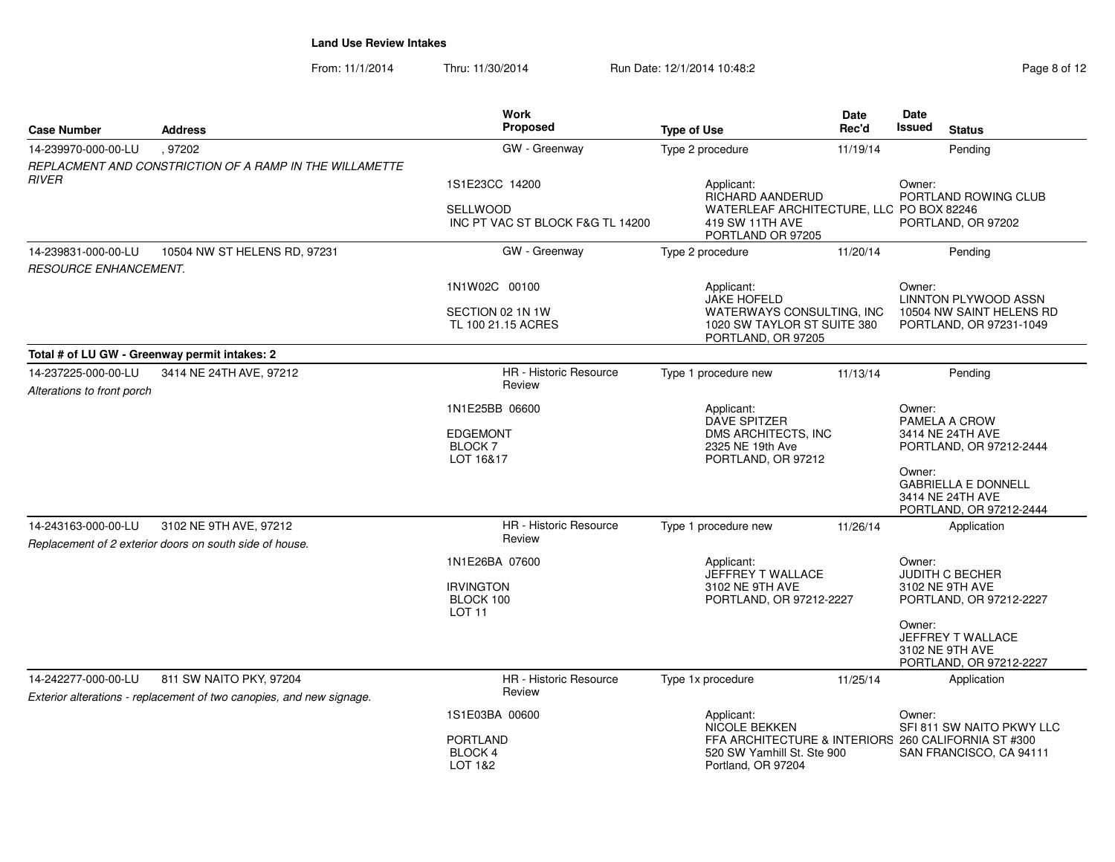From: 11/1/2014Thru: 11/30/2014 Run Date: 12/1/2014 10:48:2<br>
Page 8 of 12

| <b>Case Number</b>                                | <b>Address</b>                                                                                  | <b>Work</b><br>Proposed                                              | <b>Type of Use</b>                                                                                          | <b>Date</b><br>Rec'd | Date<br><b>Issued</b><br><b>Status</b>                                                                                             |
|---------------------------------------------------|-------------------------------------------------------------------------------------------------|----------------------------------------------------------------------|-------------------------------------------------------------------------------------------------------------|----------------------|------------------------------------------------------------------------------------------------------------------------------------|
| 14-239970-000-00-LU                               | 97202                                                                                           | GW - Greenway                                                        | Type 2 procedure                                                                                            | 11/19/14             | Pending                                                                                                                            |
| <b>RIVER</b>                                      | REPLACMENT AND CONSTRICTION OF A RAMP IN THE WILLAMETTE                                         | 1S1E23CC 14200                                                       | Applicant:                                                                                                  |                      | Owner:                                                                                                                             |
|                                                   |                                                                                                 | <b>SELLWOOD</b><br>INC PT VAC ST BLOCK F&G TL 14200                  | <b>RICHARD AANDERUD</b><br>WATERLEAF ARCHITECTURE, LLC PO BOX 82246<br>419 SW 11TH AVE<br>PORTLAND OR 97205 |                      | PORTLAND ROWING CLUB<br>PORTLAND, OR 97202                                                                                         |
| 14-239831-000-00-LU                               | 10504 NW ST HELENS RD, 97231                                                                    | GW - Greenway                                                        | Type 2 procedure                                                                                            | 11/20/14             | Pending                                                                                                                            |
| <b>RESOURCE ENHANCEMENT.</b>                      |                                                                                                 |                                                                      |                                                                                                             |                      |                                                                                                                                    |
|                                                   |                                                                                                 | 1N1W02C 00100                                                        | Applicant:<br><b>JAKE HOFELD</b>                                                                            |                      | Owner:<br><b>LINNTON PLYWOOD ASSN</b>                                                                                              |
|                                                   |                                                                                                 | SECTION 02 1N 1W<br>TL 100 21.15 ACRES                               | WATERWAYS CONSULTING, INC<br>1020 SW TAYLOR ST SUITE 380<br>PORTLAND, OR 97205                              |                      | 10504 NW SAINT HELENS RD<br>PORTLAND, OR 97231-1049                                                                                |
|                                                   | Total # of LU GW - Greenway permit intakes: 2                                                   |                                                                      |                                                                                                             |                      |                                                                                                                                    |
| 14-237225-000-00-LU<br>Alterations to front porch | 3414 NE 24TH AVE, 97212                                                                         | HR - Historic Resource<br>Review                                     | Type 1 procedure new                                                                                        | 11/13/14             | Pending                                                                                                                            |
|                                                   |                                                                                                 | 1N1E25BB 06600<br><b>EDGEMONT</b><br>BLOCK <sub>7</sub><br>LOT 16&17 | Applicant:<br><b>DAVE SPITZER</b><br>DMS ARCHITECTS, INC<br>2325 NE 19th Ave<br>PORTLAND, OR 97212          |                      | Owner:<br>PAMELA A CROW<br>3414 NE 24TH AVE<br>PORTLAND, OR 97212-2444<br>Owner:<br><b>GABRIELLA E DONNELL</b><br>3414 NE 24TH AVE |
|                                                   |                                                                                                 |                                                                      |                                                                                                             |                      | PORTLAND, OR 97212-2444                                                                                                            |
| 14-243163-000-00-LU                               | 3102 NE 9TH AVE, 97212<br>Replacement of 2 exterior doors on south side of house.               | HR - Historic Resource<br>Review                                     | Type 1 procedure new                                                                                        | 11/26/14             | Application                                                                                                                        |
|                                                   |                                                                                                 | 1N1E26BA 07600<br><b>IRVINGTON</b><br>BLOCK 100<br><b>LOT 11</b>     | Applicant:<br>JEFFREY T WALLACE<br>3102 NE 9TH AVE<br>PORTLAND, OR 97212-2227                               |                      | Owner:<br><b>JUDITH C BECHER</b><br>3102 NE 9TH AVE<br>PORTLAND, OR 97212-2227                                                     |
|                                                   |                                                                                                 |                                                                      |                                                                                                             |                      | Owner:<br>JEFFREY T WALLACE<br>3102 NE 9TH AVE<br>PORTLAND, OR 97212-2227                                                          |
| 14-242277-000-00-LU                               | 811 SW NAITO PKY, 97204<br>Exterior alterations - replacement of two canopies, and new signage. | HR - Historic Resource<br>Review                                     | Type 1x procedure                                                                                           | 11/25/14             | Application                                                                                                                        |
|                                                   |                                                                                                 | 1S1E03BA 00600                                                       | Applicant:<br><b>NICOLE BEKKEN</b>                                                                          |                      | Owner:<br>SFI 811 SW NAITO PKWY LLC                                                                                                |
|                                                   |                                                                                                 | <b>PORTLAND</b><br><b>BLOCK 4</b><br>LOT 1&2                         | 520 SW Yamhill St. Ste 900<br>Portland, OR 97204                                                            |                      | FFA ARCHITECTURE & INTERIORS 260 CALIFORNIA ST #300<br>SAN FRANCISCO, CA 94111                                                     |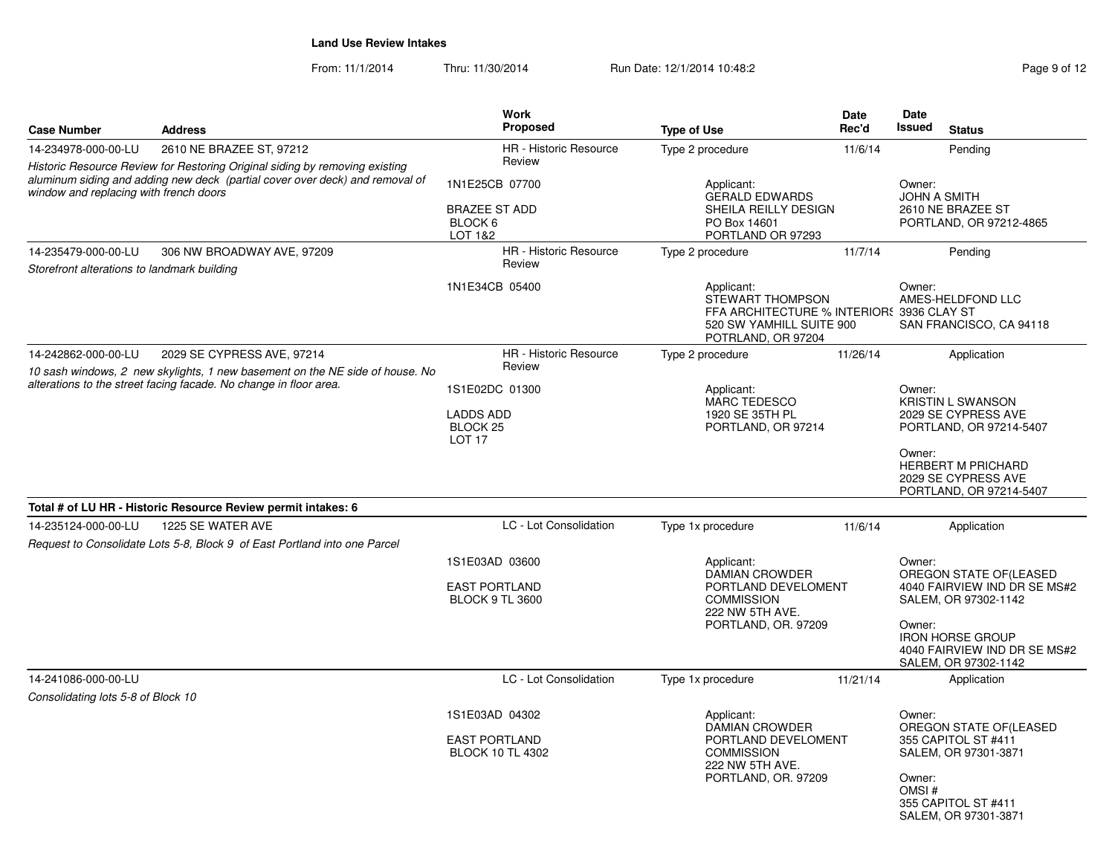From: 11/1/2014Thru: 11/30/2014 Run Date: 12/1/2014 10:48:2<br>
Page 9 of 12

| <b>Case Number</b>                                                                                                                                                                                    | <b>Address</b>                                                               | <b>Work</b><br><b>Proposed</b>                                   | <b>Type of Use</b>                                                                                                            | <b>Date</b><br>Rec'd | Date<br><b>Issued</b><br><b>Status</b>                                                    |
|-------------------------------------------------------------------------------------------------------------------------------------------------------------------------------------------------------|------------------------------------------------------------------------------|------------------------------------------------------------------|-------------------------------------------------------------------------------------------------------------------------------|----------------------|-------------------------------------------------------------------------------------------|
| 14-234978-000-00-LU                                                                                                                                                                                   | 2610 NE BRAZEE ST, 97212                                                     | <b>HR</b> - Historic Resource                                    | Type 2 procedure                                                                                                              | 11/6/14              | Pending                                                                                   |
| Historic Resource Review for Restoring Original siding by removing existing<br>aluminum siding and adding new deck (partial cover over deck) and removal of<br>window and replacing with french doors |                                                                              | Review                                                           |                                                                                                                               |                      |                                                                                           |
|                                                                                                                                                                                                       |                                                                              | 1N1E25CB 07700<br><b>BRAZEE ST ADD</b><br>BLOCK 6<br>LOT 1&2     | Applicant:<br><b>GERALD EDWARDS</b><br>SHEILA REILLY DESIGN<br>PO Box 14601<br>PORTLAND OR 97293                              |                      | Owner:<br><b>JOHN A SMITH</b><br>2610 NE BRAZEE ST<br>PORTLAND, OR 97212-4865             |
| 14-235479-000-00-LU                                                                                                                                                                                   | 306 NW BROADWAY AVE, 97209                                                   | <b>HR</b> - Historic Resource                                    | Type 2 procedure                                                                                                              | 11/7/14              | Pending                                                                                   |
| Storefront alterations to landmark building                                                                                                                                                           |                                                                              | Review                                                           |                                                                                                                               |                      |                                                                                           |
|                                                                                                                                                                                                       |                                                                              | 1N1E34CB 05400                                                   | Applicant:<br>STEWART THOMPSON<br>FFA ARCHITECTURE % INTERIOR: 3936 CLAY ST<br>520 SW YAMHILL SUITE 900<br>POTRLAND, OR 97204 |                      | Owner:<br>AMES-HELDFOND LLC<br>SAN FRANCISCO, CA 94118                                    |
| 14-242862-000-00-LU                                                                                                                                                                                   | 2029 SE CYPRESS AVE, 97214                                                   | <b>HR</b> - Historic Resource                                    | Type 2 procedure                                                                                                              | 11/26/14             | Application                                                                               |
|                                                                                                                                                                                                       | 10 sash windows, 2 new skylights, 1 new basement on the NE side of house. No | Review                                                           |                                                                                                                               |                      |                                                                                           |
|                                                                                                                                                                                                       | alterations to the street facing facade. No change in floor area.            | 1S1E02DC 01300                                                   | Applicant:<br><b>MARC TEDESCO</b>                                                                                             |                      | Owner:<br><b>KRISTIN L SWANSON</b>                                                        |
|                                                                                                                                                                                                       |                                                                              | <b>LADDS ADD</b><br>BLOCK 25<br>LOT <sub>17</sub>                | 1920 SE 35TH PL<br>PORTLAND, OR 97214                                                                                         |                      | 2029 SE CYPRESS AVE<br>PORTLAND, OR 97214-5407                                            |
|                                                                                                                                                                                                       |                                                                              |                                                                  |                                                                                                                               |                      | Owner:<br><b>HERBERT M PRICHARD</b><br>2029 SE CYPRESS AVE<br>PORTLAND, OR 97214-5407     |
|                                                                                                                                                                                                       | Total # of LU HR - Historic Resource Review permit intakes: 6                |                                                                  |                                                                                                                               |                      |                                                                                           |
| 14-235124-000-00-LU<br>1225 SE WATER AVE<br>Request to Consolidate Lots 5-8, Block 9 of East Portland into one Parcel                                                                                 |                                                                              | LC - Lot Consolidation                                           | Type 1x procedure                                                                                                             | 11/6/14              | Application                                                                               |
|                                                                                                                                                                                                       |                                                                              | 1S1E03AD 03600<br><b>EAST PORTLAND</b><br><b>BLOCK 9 TL 3600</b> | Applicant:<br><b>DAMIAN CROWDER</b><br>PORTLAND DEVELOMENT<br><b>COMMISSION</b>                                               |                      | Owner:<br>OREGON STATE OF(LEASED<br>4040 FAIRVIEW IND DR SE MS#2<br>SALEM, OR 97302-1142  |
|                                                                                                                                                                                                       |                                                                              |                                                                  | 222 NW 5TH AVE.<br>PORTLAND, OR. 97209                                                                                        |                      | Owner:<br><b>IRON HORSE GROUP</b><br>4040 FAIRVIEW IND DR SE MS#2<br>SALEM, OR 97302-1142 |
| 14-241086-000-00-LU                                                                                                                                                                                   |                                                                              | LC - Lot Consolidation                                           | Type 1x procedure                                                                                                             | 11/21/14             | Application                                                                               |
| Consolidating lots 5-8 of Block 10                                                                                                                                                                    |                                                                              |                                                                  |                                                                                                                               |                      |                                                                                           |
|                                                                                                                                                                                                       |                                                                              | 1S1E03AD 04302<br>Applicant:<br><b>DAMIAN CROWDER</b>            |                                                                                                                               |                      | Owner:<br>OREGON STATE OF(LEASED                                                          |
|                                                                                                                                                                                                       |                                                                              | <b>EAST PORTLAND</b><br>BLOCK 10 TL 4302                         | PORTLAND DEVELOMENT<br><b>COMMISSION</b><br>222 NW 5TH AVE.                                                                   |                      | 355 CAPITOL ST #411<br>SALEM, OR 97301-3871                                               |
|                                                                                                                                                                                                       |                                                                              |                                                                  | PORTLAND, OR. 97209                                                                                                           |                      | Owner:<br>OMSI#<br>355 CAPITOL ST #411<br>SALEM, OR 97301-3871                            |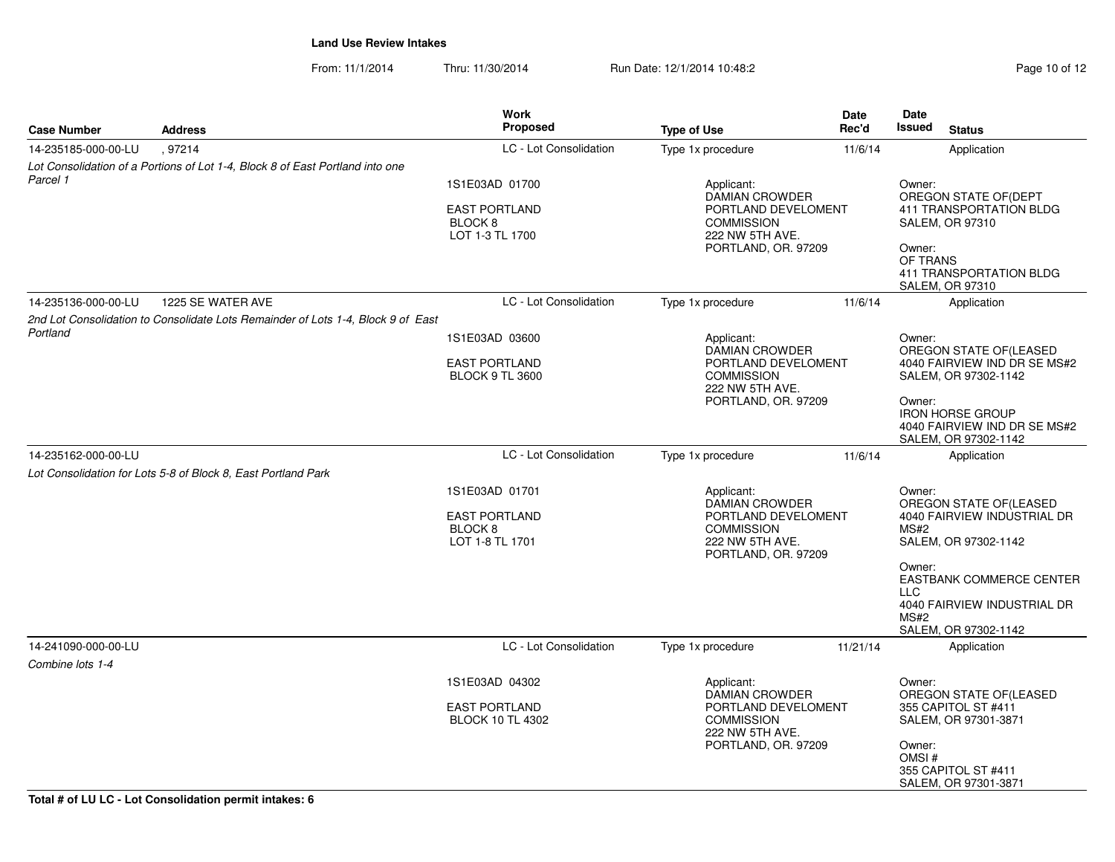From: 11/1/2014Thru: 11/30/2014 Run Date: 12/1/2014 10:48:2<br>
Page 10 of 12

| <b>Case Number</b>  | <b>Address</b>                                                                   | <b>Work</b><br><b>Proposed</b>                                                                                                                                                                 | <b>Type of Use</b>                                                                                                        | Date<br>Rec'd | Date<br><b>Issued</b>                          | <b>Status</b>                                                                                                                                                            |
|---------------------|----------------------------------------------------------------------------------|------------------------------------------------------------------------------------------------------------------------------------------------------------------------------------------------|---------------------------------------------------------------------------------------------------------------------------|---------------|------------------------------------------------|--------------------------------------------------------------------------------------------------------------------------------------------------------------------------|
| 14-235185-000-00-LU | .97214                                                                           | LC - Lot Consolidation                                                                                                                                                                         | Type 1x procedure                                                                                                         | 11/6/14       |                                                | Application                                                                                                                                                              |
|                     | Lot Consolidation of a Portions of Lot 1-4, Block 8 of East Portland into one    |                                                                                                                                                                                                |                                                                                                                           |               |                                                |                                                                                                                                                                          |
| Parcel 1            |                                                                                  | 1S1E03AD 01700<br><b>EAST PORTLAND</b><br>BLOCK <sub>8</sub><br>LOT 1-3 TL 1700                                                                                                                | Applicant:<br><b>DAMIAN CROWDER</b><br>PORTLAND DEVELOMENT<br><b>COMMISSION</b><br>222 NW 5TH AVE.<br>PORTLAND, OR. 97209 |               | Owner:<br>Owner:<br>OF TRANS                   | OREGON STATE OF (DEPT<br>411 TRANSPORTATION BLDG<br><b>SALEM, OR 97310</b><br><b>411 TRANSPORTATION BLDG</b><br><b>SALEM, OR 97310</b>                                   |
| 14-235136-000-00-LU | 1225 SE WATER AVE                                                                | LC - Lot Consolidation                                                                                                                                                                         | Type 1x procedure                                                                                                         | 11/6/14       |                                                | Application                                                                                                                                                              |
| Portland            | 2nd Lot Consolidation to Consolidate Lots Remainder of Lots 1-4. Block 9 of East | 1S1E03AD 03600<br><b>EAST PORTLAND</b><br><b>BLOCK 9 TL 3600</b>                                                                                                                               | Applicant:<br><b>DAMIAN CROWDER</b><br>PORTLAND DEVELOMENT<br><b>COMMISSION</b><br>222 NW 5TH AVE.<br>PORTLAND, OR. 97209 |               | Owner:<br>Owner:                               | OREGON STATE OF(LEASED<br>4040 FAIRVIEW IND DR SE MS#2<br>SALEM, OR 97302-1142<br><b>IRON HORSE GROUP</b><br>4040 FAIRVIEW IND DR SE MS#2<br>SALEM, OR 97302-1142        |
| 14-235162-000-00-LU |                                                                                  | LC - Lot Consolidation                                                                                                                                                                         | Type 1x procedure                                                                                                         | 11/6/14       |                                                | Application                                                                                                                                                              |
|                     | Lot Consolidation for Lots 5-8 of Block 8, East Portland Park                    |                                                                                                                                                                                                |                                                                                                                           |               |                                                |                                                                                                                                                                          |
|                     |                                                                                  | 1S1E03AD 01701<br><b>EAST PORTLAND</b><br>BLOCK <sub>8</sub><br>LOT 1-8 TL 1701                                                                                                                | Applicant:<br><b>DAMIAN CROWDER</b><br>PORTLAND DEVELOMENT<br><b>COMMISSION</b><br>222 NW 5TH AVE.<br>PORTLAND, OR. 97209 |               | Owner:<br>MS#2<br>Owner:<br><b>LLC</b><br>MS#2 | OREGON STATE OF (LEASED<br>4040 FAIRVIEW INDUSTRIAL DR<br>SALEM, OR 97302-1142<br><b>EASTBANK COMMERCE CENTER</b><br>4040 FAIRVIEW INDUSTRIAL DR<br>SALEM, OR 97302-1142 |
| 14-241090-000-00-LU |                                                                                  | LC - Lot Consolidation                                                                                                                                                                         | Type 1x procedure                                                                                                         | 11/21/14      |                                                | Application                                                                                                                                                              |
| Combine lots 1-4    |                                                                                  |                                                                                                                                                                                                |                                                                                                                           |               |                                                |                                                                                                                                                                          |
|                     |                                                                                  | 1S1E03AD 04302<br>Applicant:<br><b>DAMIAN CROWDER</b><br><b>EAST PORTLAND</b><br>PORTLAND DEVELOMENT<br><b>COMMISSION</b><br><b>BLOCK 10 TL 4302</b><br>222 NW 5TH AVE.<br>PORTLAND, OR. 97209 |                                                                                                                           |               | Owner:<br>Owner:<br>OMSI#                      | OREGON STATE OF (LEASED<br>355 CAPITOL ST #411<br>SALEM, OR 97301-3871<br>355 CAPITOL ST #411<br>SALEM, OR 97301-3871                                                    |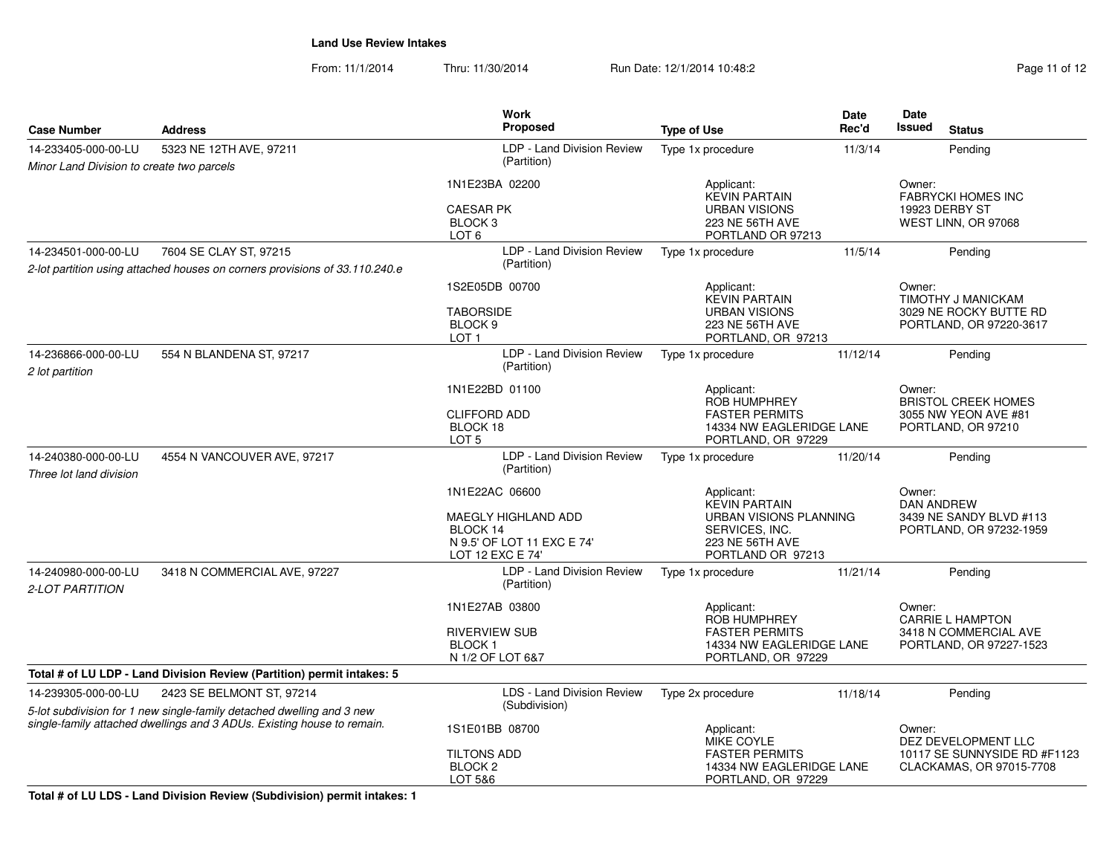From: 11/1/2014Thru: 11/30/2014 Run Date: 12/1/2014 10:48:2

| Page 11 of 12 |  |  |  |
|---------------|--|--|--|
|---------------|--|--|--|

| <b>Case Number</b>                                                                                                                              | <b>Address</b>                                                              | <b>Work</b><br><b>Proposed</b>                                                                      | <b>Type of Use</b>                                                                                                     | <b>Date</b><br>Rec'd | Date<br>Issued<br><b>Status</b>                                                       |
|-------------------------------------------------------------------------------------------------------------------------------------------------|-----------------------------------------------------------------------------|-----------------------------------------------------------------------------------------------------|------------------------------------------------------------------------------------------------------------------------|----------------------|---------------------------------------------------------------------------------------|
| 14-233405-000-00-LU                                                                                                                             | 5323 NE 12TH AVE, 97211                                                     | LDP - Land Division Review                                                                          | Type 1x procedure                                                                                                      | 11/3/14              | Pending                                                                               |
| Minor Land Division to create two parcels                                                                                                       |                                                                             | (Partition)                                                                                         |                                                                                                                        |                      |                                                                                       |
|                                                                                                                                                 |                                                                             | 1N1E23BA 02200<br><b>CAESAR PK</b><br>BLOCK <sub>3</sub><br>LOT <sub>6</sub>                        | Applicant:<br><b>KEVIN PARTAIN</b><br><b>URBAN VISIONS</b><br>223 NE 56TH AVE<br>PORTLAND OR 97213                     |                      | Owner:<br><b>FABRYCKI HOMES INC</b><br>19923 DERBY ST<br>WEST LINN, OR 97068          |
| 14-234501-000-00-LU                                                                                                                             | 7604 SE CLAY ST, 97215                                                      | LDP - Land Division Review                                                                          | Type 1x procedure                                                                                                      | 11/5/14              | Pending                                                                               |
|                                                                                                                                                 | 2-lot partition using attached houses on corners provisions of 33.110.240.e | (Partition)                                                                                         |                                                                                                                        |                      |                                                                                       |
|                                                                                                                                                 |                                                                             | 1S2E05DB 00700<br><b>TABORSIDE</b><br>BLOCK <sub>9</sub><br>LOT <sub>1</sub>                        | Applicant:<br><b>KEVIN PARTAIN</b><br><b>URBAN VISIONS</b><br>223 NE 56TH AVE<br>PORTLAND, OR 97213                    |                      | Owner:<br>TIMOTHY J MANICKAM<br>3029 NE ROCKY BUTTE RD<br>PORTLAND, OR 97220-3617     |
| 14-236866-000-00-LU<br>2 lot partition                                                                                                          | 554 N BLANDENA ST, 97217                                                    | LDP - Land Division Review<br>(Partition)                                                           | Type 1x procedure                                                                                                      | 11/12/14             | Pending                                                                               |
|                                                                                                                                                 |                                                                             | 1N1E22BD 01100<br><b>CLIFFORD ADD</b><br>BLOCK 18<br>LOT <sub>5</sub>                               | Applicant:<br><b>ROB HUMPHREY</b><br><b>FASTER PERMITS</b><br>14334 NW EAGLERIDGE LANE<br>PORTLAND, OR 97229           |                      | Owner:<br><b>BRISTOL CREEK HOMES</b><br>3055 NW YEON AVE #81<br>PORTLAND, OR 97210    |
| 14-240380-000-00-LU<br>Three lot land division                                                                                                  | 4554 N VANCOUVER AVE, 97217                                                 | LDP - Land Division Review<br>(Partition)                                                           | Type 1x procedure                                                                                                      | 11/20/14             | Pending                                                                               |
|                                                                                                                                                 |                                                                             | 1N1E22AC 06600<br>MAEGLY HIGHLAND ADD<br>BLOCK 14<br>N 9.5' OF LOT 11 EXC E 74'<br>LOT 12 EXC E 74' | Applicant:<br><b>KEVIN PARTAIN</b><br>URBAN VISIONS PLANNING<br>SERVICES, INC.<br>223 NE 56TH AVE<br>PORTLAND OR 97213 |                      | Owner:<br><b>DAN ANDREW</b><br>3439 NE SANDY BLVD #113<br>PORTLAND, OR 97232-1959     |
| 14-240980-000-00-LU<br>2-LOT PARTITION                                                                                                          | 3418 N COMMERCIAL AVE, 97227                                                | LDP - Land Division Review<br>(Partition)                                                           | Type 1x procedure                                                                                                      | 11/21/14             | Pending                                                                               |
|                                                                                                                                                 |                                                                             | 1N1E27AB 03800<br><b>RIVERVIEW SUB</b><br><b>BLOCK1</b><br>N 1/2 OF LOT 6&7                         | Applicant:<br><b>ROB HUMPHREY</b><br><b>FASTER PERMITS</b><br>14334 NW EAGLERIDGE LANE<br>PORTLAND, OR 97229           |                      | Owner:<br><b>CARRIE L HAMPTON</b><br>3418 N COMMERCIAL AVE<br>PORTLAND, OR 97227-1523 |
|                                                                                                                                                 | Total # of LU LDP - Land Division Review (Partition) permit intakes: 5      |                                                                                                     |                                                                                                                        |                      |                                                                                       |
| 14-239305-000-00-LU                                                                                                                             | 2423 SE BELMONT ST, 97214                                                   | LDS - Land Division Review                                                                          | Type 2x procedure                                                                                                      | 11/18/14             | Pending                                                                               |
| 5-lot subdivision for 1 new single-family detached dwelling and 3 new<br>single-family attached dwellings and 3 ADUs. Existing house to remain. |                                                                             | (Subdivision)<br>1S1E01BB 08700                                                                     | Applicant:<br><b>MIKE COYLE</b>                                                                                        |                      | Owner:<br>DEZ DEVELOPMENT LLC                                                         |
|                                                                                                                                                 |                                                                             | <b>TILTONS ADD</b><br>BLOCK <sub>2</sub><br>LOT 5&6                                                 | <b>FASTER PERMITS</b><br>14334 NW EAGLERIDGE LANE<br>PORTLAND, OR 97229                                                |                      | 10117 SE SUNNYSIDE RD #F1123<br>CLACKAMAS, OR 97015-7708                              |

**Total # of LU LDS - Land Division Review (Subdivision) permit intakes: 1**